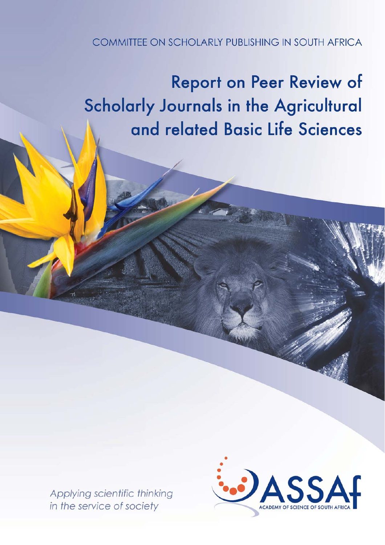COMMITTEE ON SCHOLARLY PUBLISHING IN SOUTH AFRICA

**Report on Peer Review of Scholarly Journals in the Agricultural** and related Basic Life Sciences

Applying scientific thinking in the service of society

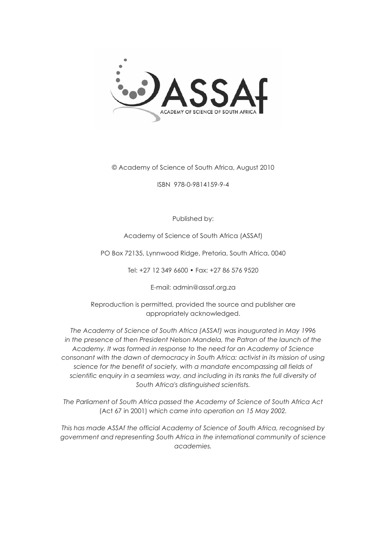

#### © Academy of Science of South Africa, August 2010

ISBN 978-0-9814159-9-4

#### Published by:

#### Academy of Science of South Africa (ASSAf)

#### PO Box 72135, Lynnwood Ridge, Pretoria, South Africa, 0040

Tel: +27 12 349 6600 • Fax: +27 86 576 9520

E-mail: admin@assaf.org.za

Reproduction is permitted, provided the source and publisher are appropriately acknowledged.

*The Academy of Science of South Africa (ASSAf) was inaugurated in May 1996 in the presence of then President Nelson Mandela, the Patron of the launch of the Academy. It was formed in response to the need for an Academy of Science consonant with the dawn of democracy in South Africa: activist in its mission of using science for the benefit of society, with a mandate encompassing all fields of scientific enquiry in a seamless way, and including in its ranks the full diversity of South Africa's distinguished scientists.*

*The Parliament of South Africa passed the Academy of Science of South Africa Act* (Act 67 in 2001) *which came into operation on 15 May 2002.*

*This has made ASSAf the official Academy of Science of South Africa, recognised by government and representing South Africa in the international community of science academies.*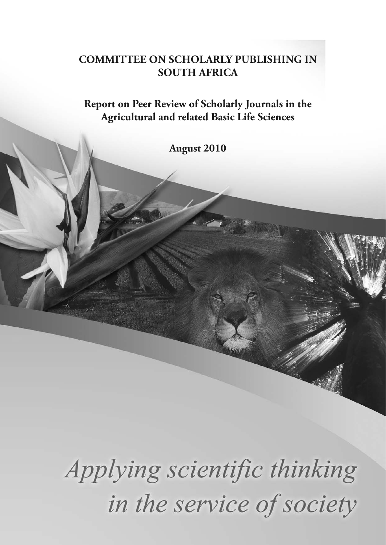# **COMMITTEE ON SCHOLARLY PUBLISHING IN SOUTH AFRICA**

**Report on Peer Review of Scholarly Journals in the Agricultural and related Basic Life Sciences**



Applying scientific thinking in the service of society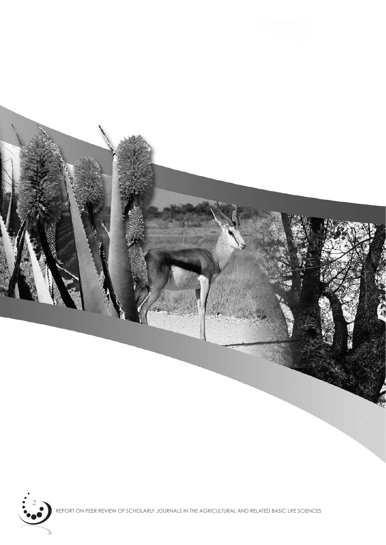



REPORT ON PEER REVIEW OF SCHOLARLY JOURNALS IN THE AGRICULTURAL AND RELATED BASIC LIFE SCIENCES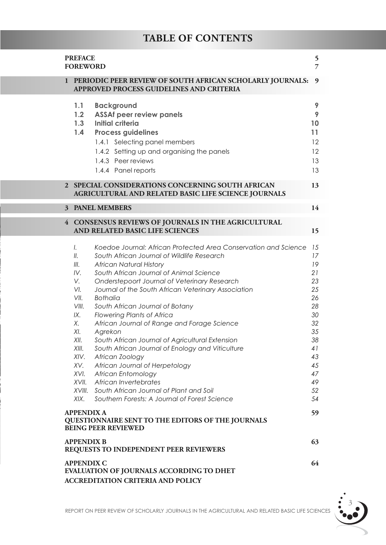# **TABLE OF CONTENTS**

| <b>PREFACE</b><br><b>FOREWORD</b> |                |                                                                                                                                                                                                                                                                                                                                                                                                                                                                                                                                                                                                                                                                                                                                                                                                                                                                                                                                              | 5<br>$\overline{7}$                                                                                                  |
|-----------------------------------|----------------|----------------------------------------------------------------------------------------------------------------------------------------------------------------------------------------------------------------------------------------------------------------------------------------------------------------------------------------------------------------------------------------------------------------------------------------------------------------------------------------------------------------------------------------------------------------------------------------------------------------------------------------------------------------------------------------------------------------------------------------------------------------------------------------------------------------------------------------------------------------------------------------------------------------------------------------------|----------------------------------------------------------------------------------------------------------------------|
|                                   | $\mathbf{1}$   | PERIODIC PEER REVIEW OF SOUTH AFRICAN SCHOLARLY JOURNALS:<br>APPROVED PROCESS GUIDELINES AND CRITERIA                                                                                                                                                                                                                                                                                                                                                                                                                                                                                                                                                                                                                                                                                                                                                                                                                                        | 9                                                                                                                    |
|                                   |                | 1.1<br><b>Background</b><br>1.2<br><b>ASSAf peer review panels</b><br><b>Initial criteria</b><br>1.3<br><b>Process guidelines</b><br>1.4<br>1.4.1 Selecting panel members<br>1.4.2 Setting up and organising the panels<br>1.4.3 Peer reviews<br>1.4.4 Panel reports                                                                                                                                                                                                                                                                                                                                                                                                                                                                                                                                                                                                                                                                         | 9<br>9<br>10<br>11<br>12<br>12<br>13<br>13                                                                           |
|                                   | 2              | SPECIAL CONSIDERATIONS CONCERNING SOUTH AFRICAN<br>AGRICULTURAL AND RELATED BASIC LIFE SCIENCE JOURNALS                                                                                                                                                                                                                                                                                                                                                                                                                                                                                                                                                                                                                                                                                                                                                                                                                                      | 13                                                                                                                   |
|                                   | $3^{\circ}$    | <b>PANEL MEMBERS</b>                                                                                                                                                                                                                                                                                                                                                                                                                                                                                                                                                                                                                                                                                                                                                                                                                                                                                                                         | 14                                                                                                                   |
|                                   | $\overline{4}$ | CONSENSUS REVIEWS OF JOURNALS IN THE AGRICULTURAL<br>AND RELATED BASIC LIFE SCIENCES                                                                                                                                                                                                                                                                                                                                                                                                                                                                                                                                                                                                                                                                                                                                                                                                                                                         | 15                                                                                                                   |
|                                   |                | $\mathsf{l}$ .<br>Koedoe Journal: African Protected Area Conservation and Science<br>II.<br>South African Journal of Wildlife Research<br>III.<br><b>African Natural History</b><br>South African Journal of Animal Science<br>IV.<br>V.<br>Onderstepoort Journal of Veterinary Research<br>VI.<br>Journal of the South African Veterinary Association<br>VII.<br><b>Bothalia</b><br>VIII.<br>South African Journal of Botany<br><b>Flowering Plants of Africa</b><br>IX.<br>Х.<br>African Journal of Range and Forage Science<br>XI.<br>Agrekon<br>South African Journal of Agricultural Extension<br>XII.<br>XIII.<br>South African Journal of Enology and Viticulture<br>African Zoology<br>XIV.<br>African Journal of Herpetology<br>XV.<br>XVI.<br>African Entomology<br>African Invertebrates<br>XVII.<br>XVIII. South African Journal of Plant and Soil<br>XIX.<br>Southern Forests: A Journal of Forest Science<br><b>APPENDIX A</b> | 15<br>17<br>19<br>21<br>23<br>25<br>26<br>28<br>30<br>32<br>35<br>38<br>41<br>43<br>45<br>47<br>49<br>52<br>54<br>59 |
|                                   |                | QUESTIONNAIRE SENT TO THE EDITORS OF THE JOURNALS<br><b>BEING PEER REVIEWED</b><br><b>APPENDIX B</b>                                                                                                                                                                                                                                                                                                                                                                                                                                                                                                                                                                                                                                                                                                                                                                                                                                         | 63                                                                                                                   |
|                                   |                | <b>REQUESTS TO INDEPENDENT PEER REVIEWERS</b><br><b>APPENDIX C</b><br><b>EVALUATION OF JOURNALS ACCORDING TO DHET</b><br><b>ACCREDITATION CRITERIA AND POLICY</b>                                                                                                                                                                                                                                                                                                                                                                                                                                                                                                                                                                                                                                                                                                                                                                            | 64                                                                                                                   |

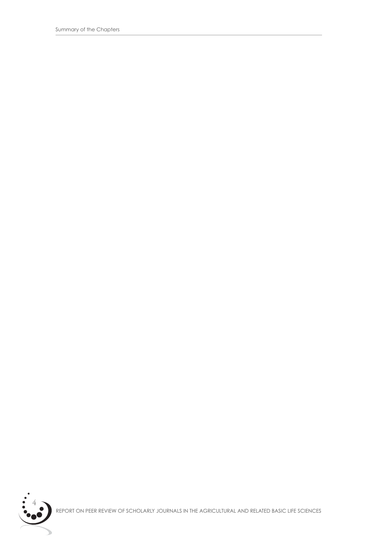

REPORT ON PEER REVIEW OF SCHOLARLY JOURNALS IN THE AGRICULTURAL AND RELATED BASIC LIFE SCIENCES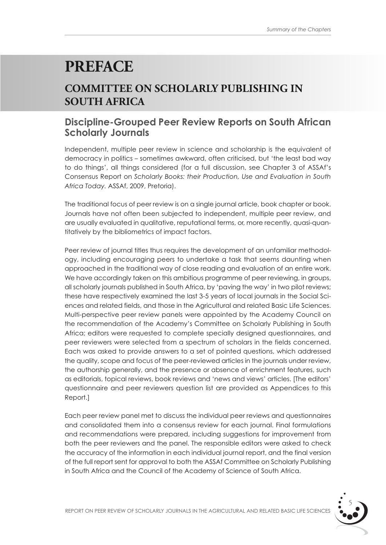# **PREFACE**

# **COMMITTEE ON SCHOLARLY PUBLISHING IN SOUTH AFRICA**

# **Discipline-Grouped Peer Review Reports on South African Scholarly Journals**

Independent, multiple peer review in science and scholarship is the equivalent of democracy in politics – sometimes awkward, often criticised, but 'the least bad way to do things', all things considered (for a full discussion, see Chapter 3 of ASSAf's Consensus Report on *Scholarly Books: their Production, Use and Evaluation in South Africa Today.* ASSAf, 2009, Pretoria).

The traditional focus of peer review is on a single journal article, book chapter or book. Journals have not often been subjected to independent, multiple peer review, and are usually evaluated in qualitative, reputational terms, or, more recently, quasi-quantitatively by the bibliometrics of impact factors.

Peer review of journal titles thus requires the development of an unfamiliar methodology, including encouraging peers to undertake a task that seems daunting when approached in the traditional way of close reading and evaluation of an entire work. We have accordingly taken on this ambitious programme of peer reviewing, in groups, all scholarly journals published in South Africa, by 'paving the way' in two pilot reviews; these have respectively examined the last 3-5 years of local journals in the Social Sciences and related fields, and those in the Agricultural and related Basic Life Sciences. Multi-perspective peer review panels were appointed by the Academy Council on the recommendation of the Academy's Committee on Scholarly Publishing in South Africa; editors were requested to complete specially designed questionnaires, and peer reviewers were selected from a spectrum of scholars in the fields concerned. Each was asked to provide answers to a set of pointed questions, which addressed the quality, scope and focus of the peer-reviewed articles in the journals under review, the authorship generally, and the presence or absence of enrichment features, such as editorials, topical reviews, book reviews and 'news and views' articles. [The editors' questionnaire and peer reviewers question list are provided as Appendices to this Report.]

Each peer review panel met to discuss the individual peer reviews and questionnaires and consolidated them into a consensus review for each journal. Final formulations and recommendations were prepared, including suggestions for improvement from both the peer reviewers and the panel. The responsible editors were asked to check the accuracy of the information in each individual journal report, and the final version of the full report sent for approval to both the ASSAf Committee on Scholarly Publishing in South Africa and the Council of the Academy of Science of South Africa.

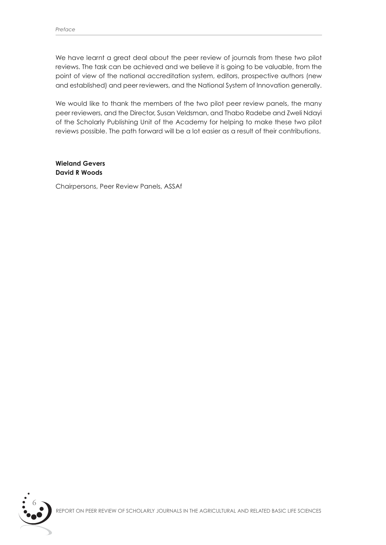We have learnt a great deal about the peer review of journals from these two pilot reviews. The task can be achieved and we believe it is going to be valuable, from the point of view of the national accreditation system, editors, prospective authors (new and established) and peer reviewers, and the National System of Innovation generally.

We would like to thank the members of the two pilot peer review panels, the many peer reviewers, and the Director, Susan Veldsman, and Thabo Radebe and Zweli Ndayi of the Scholarly Publishing Unit of the Academy for helping to make these two pilot reviews possible. The path forward will be a lot easier as a result of their contributions.

### **Wieland Gevers David R Woods**

Chairpersons, Peer Review Panels, ASSAf



REPORT ON PEER REVIEW OF SCHOLARLY JOURNALS IN THE AGRICULTURAL AND RELATED BASIC LIFE SCIENCES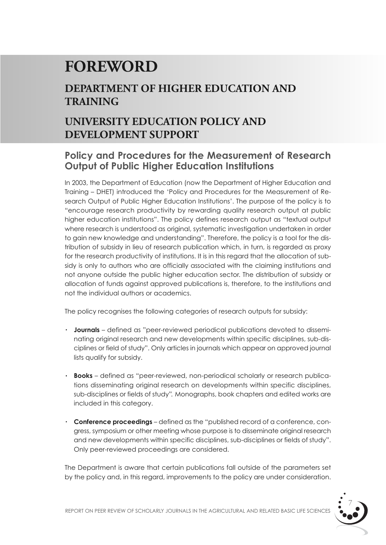# **FOREWORD**

# **DEPARTMENT OF HIGHER EDUCATION AND TRAINING**

# **UNIVERSITY EDUCATION POLICY AND DEVELOPMENT SUPPORT**

# **Policy and Procedures for the Measurement of Research Output of Public Higher Education Institutions**

In 2003, the Department of Education (now the Department of Higher Education and Training – DHET) introduced the 'Policy and Procedures for the Measurement of Research Output of Public Higher Education Institutions'. The purpose of the policy is to "encourage research productivity by rewarding quality research output at public higher education institutions". The policy defines research output as "textual output where research is understood as original, systematic investigation undertaken in order to gain new knowledge and understanding". Therefore, the policy is a tool for the distribution of subsidy in lieu of research publication which, in turn, is regarded as proxy for the research productivity of institutions. It is in this regard that the allocation of subsidy is only to authors who are officially associated with the claiming institutions and not anyone outside the public higher education sector. The distribution of subsidy or allocation of funds against approved publications is, therefore, to the institutions and not the individual authors or academics.

The policy recognises the following categories of research outputs for subsidy:

- **Journals**  defined as "peer-reviewed periodical publications devoted to disseminating original research and new developments within specific disciplines, sub-disciplines or field of study". Only articles in journals which appear on approved journal lists qualify for subsidy.
- **Books** defined as "peer-reviewed, non-periodical scholarly or research publications disseminating original research on developments within specific disciplines, sub-disciplines or fields of study". Monographs, book chapters and edited works are included in this category.
- **Conference proceedings**  defined as the "published record of a conference, congress, symposium or other meeting whose purpose is to disseminate original research and new developments within specific disciplines, sub-disciplines or fields of study". Only peer-reviewed proceedings are considered.

The Department is aware that certain publications fall outside of the parameters set by the policy and, in this regard, improvements to the policy are under consideration.

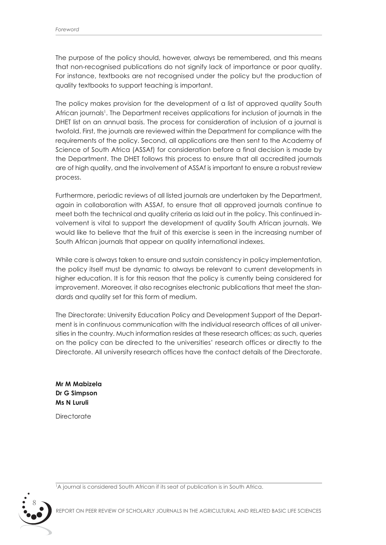The purpose of the policy should, however, always be remembered, and this means that non-recognised publications do not signify lack of importance or poor quality. For instance, textbooks are not recognised under the policy but the production of quality textbooks to support teaching is important.

The policy makes provision for the development of a list of approved quality South African journals<sup>1</sup>. The Department receives applications for inclusion of journals in the DHET list on an annual basis. The process for consideration of inclusion of a journal is twofold. First, the journals are reviewed within the Department for compliance with the requirements of the policy. Second, all applications are then sent to the Academy of Science of South Africa (ASSAf) for consideration before a final decision is made by the Department. The DHET follows this process to ensure that all accredited journals are of high quality, and the involvement of ASSAf is important to ensure a robust review process.

Furthermore, periodic reviews of all listed journals are undertaken by the Department, again in collaboration with ASSAf, to ensure that all approved journals continue to meet both the technical and quality criteria as laid out in the policy. This continued involvement is vital to support the development of quality South African journals. We would like to believe that the fruit of this exercise is seen in the increasing number of South African journals that appear on quality international indexes.

While care is always taken to ensure and sustain consistency in policy implementation, the policy itself must be dynamic to always be relevant to current developments in higher education. It is for this reason that the policy is currently being considered for improvement. Moreover, it also recognises electronic publications that meet the standards and quality set for this form of medium.

The Directorate: University Education Policy and Development Support of the Department is in continuous communication with the individual research offices of all universities in the country. Much information resides at these research offices; as such, queries on the policy can be directed to the universities' research offices or directly to the Directorate. All university research offices have the contact details of the Directorate.

**Mr M Mabizela Dr G Simpson Ms N Luruli**

**Directorate** 



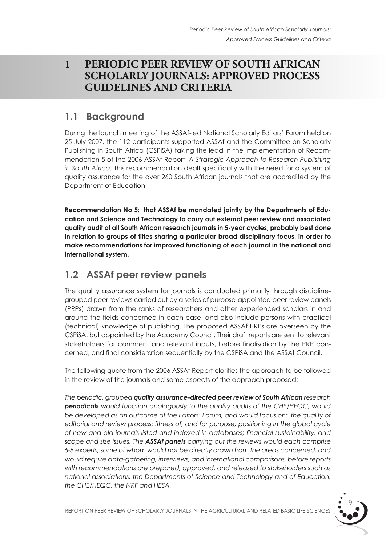# **1 PERIODIC PEER REVIEW OF SOUTH AFRICAN SCHOLARLY JOURNALS: APPROVED PROCESS GUIDELINES AND CRITERIA**

# **1.1 Background**

During the launch meeting of the ASSAf-led National Scholarly Editors' Forum held on 25 July 2007, the 112 participants supported ASSAf and the Committee on Scholarly Publishing in South Africa (CSPiSA) taking the lead in the implementation of Recommendation 5 of the 2006 ASSAf Report, *A Strategic Approach to Research Publishing in South Africa.* This recommendation dealt specifically with the need for a system of quality assurance for the over 260 South African journals that are accredited by the Department of Education:

**Recommendation No 5: that ASSAf be mandated jointly by the Departments of Education and Science and Technology to carry out external peer review and associated quality audit of all South African research journals in 5-year cycles, probably best done in relation to groups of titles sharing a particular broad disciplinary focus, in order to make recommendations for improved functioning of each journal in the national and international system.** 

# **1.2 ASSAf peer review panels**

The quality assurance system for journals is conducted primarily through disciplinegrouped peer reviews carried out by a series of purpose-appointed peer review panels (PRPs) drawn from the ranks of researchers and other experienced scholars in and around the fields concerned in each case, and also include persons with practical (technical) knowledge of publishing. The proposed ASSAf PRPs are overseen by the CSPiSA, but appointed by the Academy Council. Their draft reports are sent to relevant stakeholders for comment and relevant inputs, before finalisation by the PRP concerned, and final consideration sequentially by the CSPiSA and the ASSAf Council.

The following quote from the 2006 ASSAf Report clarifies the approach to be followed in the review of the journals and some aspects of the approach proposed:

*The periodic, grouped quality assurance-directed peer review of South African research periodicals would function analogously to the quality audits of the CHE/HEQC, would be developed as an outcome of the Editors' Forum, and would focus on: the quality of editorial and review process; fitness of, and for purpose; positioning in the global cycle of new and old journals listed and indexed in databases; financial sustainability; and scope and size issues. The ASSAf panels carrying out the reviews would each comprise 6-8 experts, some of whom would not be directly drawn from the areas concerned, and would require data-gathering, interviews, and international comparisons, before reports with recommendations are prepared, approved, and released to stakeholders such as national associations, the Departments of Science and Technology and of Education, the CHE/HEQC, the NRF and HESA.*

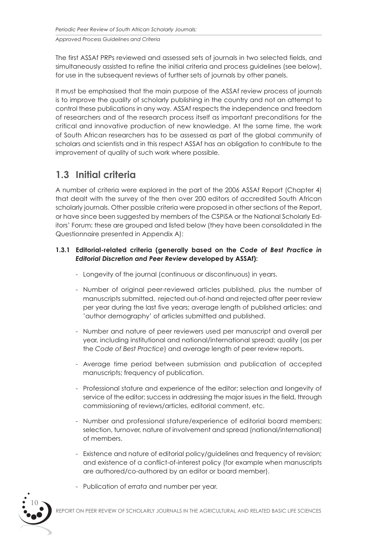*Approved Process Guidelines and Criteria*

The first ASSAf PRPs reviewed and assessed sets of journals in two selected fields, and simultaneously assisted to refine the initial criteria and process guidelines (see below), for use in the subsequent reviews of further sets of journals by other panels.

It must be emphasised that the main purpose of the ASSAf review process of journals is to improve the *quality* of scholarly publishing in the country and not an attempt to control these publications in any way. ASSAf respects the independence and freedom of researchers and of the research process itself as important preconditions for the critical and innovative production of new knowledge. At the same time, the work of South African researchers has to be assessed as part of the global community of scholars and scientists and in this respect ASSAf has an obligation to contribute to the improvement of quality of such work where possible.

# **1.3 Initial criteria**

A number of criteria were explored in the part of the 2006 ASSAf Report (Chapter 4) that dealt with the survey of the then over 200 editors of accredited South African scholarly journals. Other possible criteria were proposed in other sections of the Report, or have since been suggested by members of the CSPiSA or the National Scholarly Editors' Forum; these are grouped and listed below (they have been consolidated in the Questionnaire presented in Appendix A):

## **1.3.1 Editorial-related criteria (generally based on the** *Code of Best Practice in Editorial Discretion and Peer Review* **developed by ASSAf):**

- Longevity of the journal (continuous or discontinuous) in years.
- Number of original peer-reviewed articles published, plus the number of manuscripts submitted, rejected out-of-hand and rejected after peer review per year during the last five years; average length of published articles; and 'author demography' of articles submitted and published.
- Number and nature of peer reviewers used per manuscript and overall per year, including institutional and national/international spread; quality (as per the *Code of Best Practice*) and average length of peer review reports.
- Average time period between submission and publication of accepted manuscripts; frequency of publication.
- Professional stature and experience of the editor; selection and longevity of service of the editor; success in addressing the major issues in the field, through commissioning of reviews/articles, editorial comment, etc.
- Number and professional stature/experience of editorial board members; selection, turnover, nature of involvement and spread (national/international) of members.
- Existence and nature of editorial policy/guidelines and frequency of revision; and existence of a conflict-of-interest policy (for example when manuscripts are authored/co-authored by an editor or board member).
- Publication of *errata* and number per year.

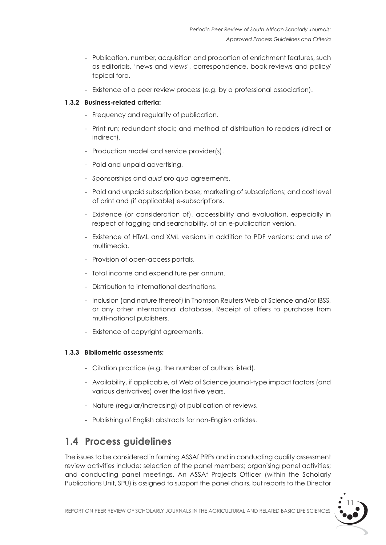- Publication, number, acquisition and proportion of enrichment features, such as editorials, 'news and views', correspondence, book reviews and policy/ topical fora.
- Existence of a peer review process (e.g. by a professional association).

#### **1.3.2 Business-related criteria:**

- Frequency and regularity of publication.
- Print run; redundant stock; and method of distribution to readers (direct or indirect).
- Production model and service provider(s).
- Paid and unpaid advertising.
- Sponsorships and *quid pro quo* agreements.
- Paid and unpaid subscription base; marketing of subscriptions; and cost level of print and (if applicable) e-subscriptions.
- Existence (or consideration of), accessibility and evaluation, especially in respect of tagging and searchability, of an e-publication version.
- Existence of HTML and XML versions in addition to PDF versions; and use of multimedia.
- Provision of open-access portals.
- Total income and expenditure per annum.
- Distribution to international destinations.
- Inclusion (and nature thereof) in Thomson Reuters Web of Science and/or IBSS, or any other international database. Receipt of offers to purchase from multi-national publishers.
- Existence of copyright agreements.

#### **1.3.3 Bibliometric assessments:**

- Citation practice (e.g. the number of authors listed).
- Availability, if applicable, of Web of Science journal-type impact factors (and various derivatives) over the last five years.
- Nature (regular/increasing) of publication of reviews.
- Publishing of English abstracts for non-English articles.

# **1.4 Process guidelines**

The issues to be considered in forming ASSAf PRPs and in conducting quality assessment review activities include: selection of the panel members; organising panel activities; and conducting panel meetings. An ASSAf Projects Officer (within the Scholarly Publications Unit, SPU) is assigned to support the panel chairs, but reports to the Director

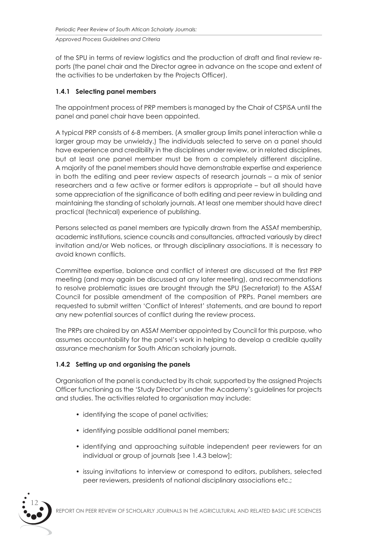*Approved Process Guidelines and Criteria*

of the SPU in terms of review logistics and the production of draft and final review reports (the panel chair and the Director agree in advance on the scope and extent of the activities to be undertaken by the Projects Officer).

### **1.4.1 Selecting panel members**

The appointment process of PRP members is managed by the Chair of CSPiSA until the panel and panel chair have been appointed.

A typical PRP consists of 6-8 members. (A smaller group limits panel interaction while a larger group may be unwieldy.) The individuals selected to serve on a panel should have experience and credibility in the disciplines under review, or in related disciplines, but at least one panel member must be from a completely different discipline. A majority of the panel members should have demonstrable expertise and experience in both the editing and peer review aspects of research journals – a mix of senior researchers and a few active or former editors is appropriate – but all should have some appreciation of the significance of both editing and peer review in building and maintaining the standing of scholarly journals. At least one member should have direct practical (technical) experience of publishing.

Persons selected as panel members are typically drawn from the ASSAf membership, academic institutions, science councils and consultancies, attracted variously by direct invitation and/or Web notices, or through disciplinary associations. It is necessary to avoid known conflicts.

Committee expertise, balance and conflict of interest are discussed at the first PRP meeting (and may again be discussed at any later meeting), and recommendations to resolve problematic issues are brought through the SPU (Secretariat) to the ASSAf Council for possible amendment of the composition of PRPs. Panel members are requested to submit written 'Conflict of Interest' statements, and are bound to report any new potential sources of conflict during the review process.

The PRPs are chaired by an ASSAf Member appointed by Council for this purpose, who assumes accountability for the panel's work in helping to develop a credible quality assurance mechanism for South African scholarly journals.

### **1.4.2 Setting up and organising the panels**

Organisation of the panel is conducted by its chair, supported by the assigned Projects Officer functioning as the 'Study Director' under the Academy's guidelines for projects and studies. The activities related to organisation may include:

- identifying the scope of panel activities;
- identifying possible additional panel members;
- identifying and approaching suitable independent peer reviewers for an individual or group of journals [see 1.4.3 below];
- issuing invitations to interview or correspond to editors, publishers, selected peer reviewers, presidents of national disciplinary associations etc.;

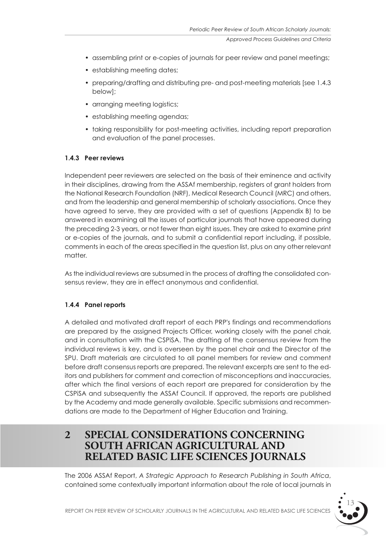- assembling print or e-copies of journals for peer review and panel meetings;
- establishing meeting dates;
- preparing/drafting and distributing pre- and post-meeting materials [see 1.4.3 below];
- arranging meeting logistics;
- establishing meeting agendas;
- taking responsibility for post-meeting activities, including report preparation and evaluation of the panel processes.

### **1.4.3 Peer reviews**

Independent peer reviewers are selected on the basis of their eminence and activity in their disciplines, drawing from the ASSAf membership, registers of grant holders from the National Research Foundation (NRF), Medical Research Council (MRC) and others, and from the leadership and general membership of scholarly associations. Once they have agreed to serve, they are provided with a set of questions (Appendix B) to be answered in examining all the issues of particular journals that have appeared during the preceding 2-3 years, or not fewer than eight issues. They are asked to examine print or e-copies of the journals, and to submit a confidential report including, if possible, comments in each of the areas specified in the question list, plus on any other relevant matter.

As the individual reviews are subsumed in the process of drafting the consolidated consensus review, they are in effect anonymous and confidential.

# **1.4.4 Panel reports**

A detailed and motivated draft report of each PRP's findings and recommendations are prepared by the assigned Projects Officer, working closely with the panel chair, and in consultation with the CSPiSA. The drafting of the consensus review from the individual reviews is key, and is overseen by the panel chair and the Director of the SPU. Draft materials are circulated to all panel members for review and comment before draft consensus reports are prepared. The relevant excerpts are sent to the editors and publishers for comment and correction of misconceptions and inaccuracies, after which the final versions of each report are prepared for consideration by the CSPiSA and subsequently the ASSAf Council. If approved, the reports are published by the Academy and made generally available. Specific submissions and recommendations are made to the Department of Higher Education and Training.

# **2 SPECIAL CONSIDERATIONS CONCERNING SOUTH AFRICAN AGRICULTURAL AND RELATED BASIC LIFE SCIENCES JOURNALS**

The 2006 ASSAf Report, *A Strategic Approach to Research Publishing in South Africa*, contained some contextually important information about the role of local journals in

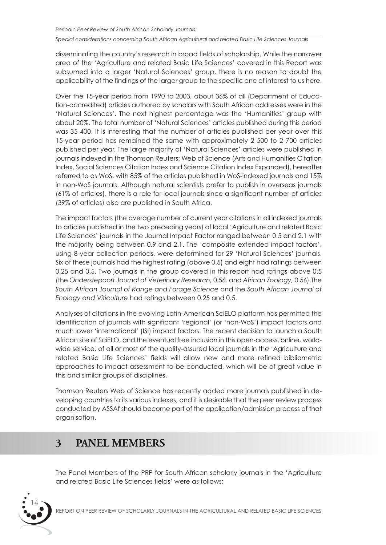#### *Special considerations concerning South African Agricultural and related Basic Life Sciences Journals*

disseminating the country's research in broad fields of scholarship. While the narrower area of the 'Agriculture and related Basic Life Sciences' covered in this Report was subsumed into a larger 'Natural Sciences' group, there is no reason to doubt the applicability of the findings of the larger group to the specific one of interest to us here.

Over the 15-year period from 1990 to 2003, about 36% of all (Department of Education-accredited) articles authored by scholars with South African addresses were in the 'Natural Sciences'. The next highest percentage was the 'Humanities' group with about 20%. The total number of 'Natural Sciences' articles published during this period was 35 400. It is interesting that the number of articles published per year over this 15-year period has remained the same with approximately 2 500 to 2 700 articles published per year. The large majority of 'Natural Sciences' articles were published in journals indexed in the Thomson Reuters: Web of Science (Arts and Humanities Citation Index, Social Sciences Citation Index and Science Citation Index Expanded), hereafter referred to as WoS, with 85% of the articles published in WoS-indexed journals and 15% in non-WoS journals. Although natural scientists prefer to publish in overseas journals (61% of articles), there is a role for local journals since a significant number of articles (39% of articles) also are published in South Africa.

The impact factors (the average number of current year citations in all indexed journals to articles published in the two preceding years) of local 'Agriculture and related Basic Life Sciences' journals in the Journal Impact Factor ranged between 0.5 and 2.1 with the majority being between 0.9 and 2.1. The 'composite extended impact factors', using 8-year collection periods, were determined for 29 'Natural Sciences' journals. Six of these journals had the highest rating (above 0.5) and eight had ratings between 0.25 and 0.5. Two journals in the group covered in this report had ratings above 0.5 (the *Onderstepoort Journal of Veterinary Research,* 0.56*,* and *African Zoology,* 0.56).The *South African Journal of Range and Forage Science* and the *South African Journal of Enology and Viticulture* had ratings between 0.25 and 0.5.

Analyses of citations in the evolving Latin-American SciELO platform has permitted the identification of journals with significant 'regional' (or 'non-WoS') impact factors and much lower 'international' (ISI) impact factors. The recent decision to launch a South African site of SciELO, and the eventual free inclusion in this open-access, online, worldwide service, of all or most of the quality-assured local journals in the 'Agriculture and related Basic Life Sciences' fields will allow new and more refined bibliometric approaches to impact assessment to be conducted, which will be of great value in this and similar groups of disciplines.

Thomson Reuters Web of Science has recently added more journals published in developing countries to its various indexes, and it is desirable that the peer review process conducted by ASSAf should become part of the application/admission process of that organisation.

# **3 PANEL MEMBERS**

The Panel Members of the PRP for South African scholarly journals in the 'Agriculture and related Basic Life Sciences fields' were as follows:

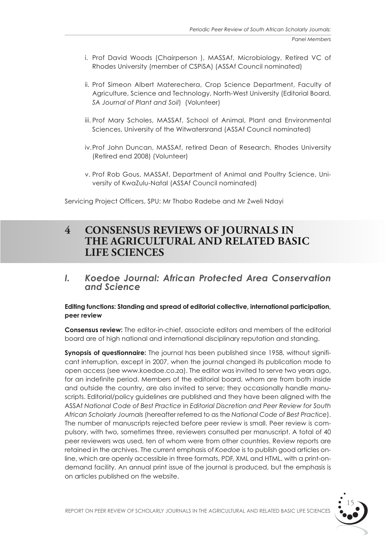- i. Prof David Woods (Chairperson ), MASSAf, Microbiology, Retired VC of Rhodes University (member of CSPiSA) (ASSAf Council nominated)
- ii. Prof Simeon Albert Materechera, Crop Science Department, Faculty of Agriculture, Science and Technology, North-West University (Editorial Board, *SA Journal of Plant and Soil*) (Volunteer)
- iii. Prof Mary Scholes, MASSAf, School of Animal, Plant and Environmental Sciences, University of the Witwatersrand (ASSAf Council nominated)
- iv.Prof John Duncan, MASSAf, retired Dean of Research, Rhodes University (Retired end 2008) (Volunteer)
- v. Prof Rob Gous, MASSAf, Department of Animal and Poultry Science, University of KwaZulu-Natal (ASSAf Council nominated)

Servicing Project Officers, SPU: Mr Thabo Radebe and Mr Zweli Ndayi

# **4 CONSENSUS REVIEWS OF JOURNALS IN THE AGRICULTURAL AND RELATED BASIC LIFE SCIENCES**

*I. Koedoe Journal: African Protected Area Conservation and Science* 

#### **Editing functions: Standing and spread of editorial collective, international participation, peer review**

**Consensus review:** The editor-in-chief, associate editors and members of the editorial board are of high national and international disciplinary reputation and standing.

**Synopsis of questionnaire:** The journal has been published since 1958, without significant interruption, except in 2007, when the journal changed its publication mode to open access (see www.koedoe.co.za). The editor was invited to serve two years ago, for an indefinite period. Members of the editorial board, whom are from both inside and outside the country, are also invited to serve; they occasionally handle manuscripts. Editorial/policy guidelines are published and they have been aligned with the ASSAf *National Code of Best Practice* in *Editorial Discretion and Peer Review for South African Scholarly Journals* (hereafter referred to as the *National Code of Best Practice*). The number of manuscripts rejected before peer review is small. Peer review is compulsory, with two, sometimes three, reviewers consulted per manuscript. A total of 40 peer reviewers was used, ten of whom were from other countries. Review reports are retained in the archives. The current emphasis of *Koedoe* is to publish good articles online, which are openly accessible in three formats, PDF, XML and HTML, with a print-ondemand facility. An annual print issue of the journal is produced, but the emphasis is on articles published on the website.

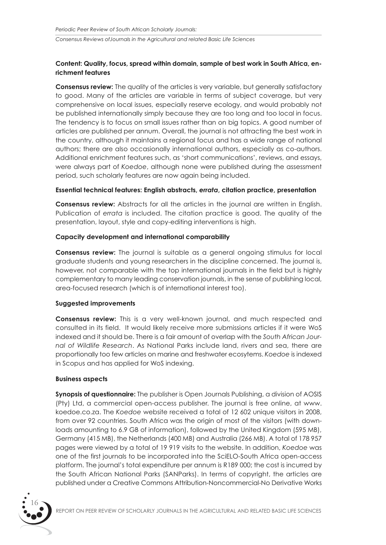### **Content: Quality, focus, spread within domain, sample of best work in South Africa, enrichment features**

**Consensus review:** The quality of the articles is very variable, but generally satisfactory to good. Many of the articles are variable in terms of subject coverage, but very comprehensive on local issues, especially reserve ecology, and would probably not be published internationally simply because they are too long and too local in focus. The tendency is to focus on small issues rather than on big topics. A good number of articles are published per annum. Overall, the journal is not attracting the best work in the country, although it maintains a regional focus and has a wide range of national authors; there are also occasionally international authors, especially as co-authors. Additional enrichment features such, as 'short communications', reviews, and essays, were always part of *Koedoe*, although none were published during the assessment period, such scholarly features are now again being included.

#### **Essential technical features: English abstracts,** *errata***, citation practice, presentation**

**Consensus review:** Abstracts for all the articles in the journal are written in English. Publication of *errata* is included. The citation practice is good. The quality of the presentation, layout, style and copy-editing interventions is high.

#### **Capacity development and international comparability**

**Consensus review:** The journal is suitable as a general ongoing stimulus for local graduate students and young researchers in the discipline concerned. The journal is, however, not comparable with the top international journals in the field but is highly complementary to many leading conservation journals, in the sense of publishing local, area-focused research (which is of international interest too).

#### **Suggested improvements**

**Consensus review:** This is a very well-known journal, and much respected and consulted in its field. It would likely receive more submissions articles if it were WoS indexed and it should be. There is a fair amount of overlap with the *South African Journal of Wildlife Research*. As National Parks include land, rivers and sea, there are proportionally too few articles on marine and freshwater ecosytems. *Koedoe* is indexed in Scopus and has applied for WoS indexing.

#### **Business aspects**

**Synopsis of questionnaire:** The publisher is Open Journals Publishing, a division of AOSIS (Pty) Ltd, a commercial open-access publisher. The journal is free online, at www. koedoe.co.za. The *Koedoe* website received a total of 12 602 unique visitors in 2008, from over 92 countries. South Africa was the origin of most of the visitors (with downloads amounting to 6.9 GB of information), followed by the United Kingdom (595 MB), Germany (415 MB), the Netherlands (400 MB) and Australia (266 MB). A total of 178 957 pages were viewed by a total of 19 919 visits to the website. In addition, *Koedoe* was one of the first journals to be incorporated into the SciELO-South Africa open-access platform. The journal's total expenditure per annum is R189 000; the cost is incurred by the South African National Parks (SANParks). In terms of copyright, the articles are published under a Creative Commons Attribution-Noncommercial-No Derivative Works

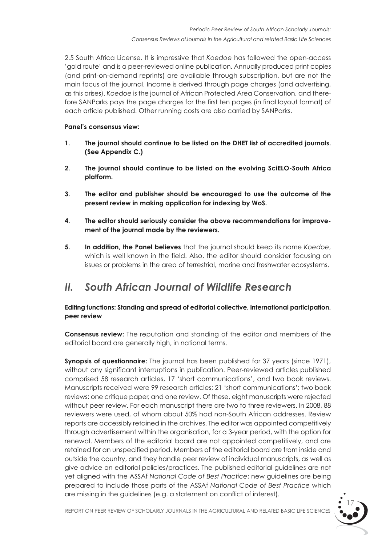2.5 South Africa License. It is impressive that *Koedoe* has followed the open-access 'gold route' and is a peer-reviewed online publication. Annually produced print copies (and print-on-demand reprints) are available through subscription, but are not the main focus of the journal. Income is derived through page charges (and advertising, as this arises). *Koedoe* is the journal of African Protected Area Conservation, and therefore SANParks pays the page charges for the first ten pages (in final layout format) of each article published. Other running costs are also carried by SANParks.

#### **Panel's consensus view:**

- **1. The journal should continue to be listed on the DHET list of accredited journals. (See Appendix C.)**
- **2. The journal should continue to be listed on the evolving SciELO-South Africa platform.**
- **3. The editor and publisher should be encouraged to use the outcome of the present review in making application for indexing by WoS.**
- **4. The editor should seriously consider the above recommendations for improvement of the journal made by the reviewers.**
- **5. In addition, the Panel believes** that the journal should keep its name *Koedoe*, which is well known in the field. Also, the editor should consider focusing on issues or problems in the area of terrestrial, marine and freshwater ecosystems.

# *II. South African Journal of Wildlife Research*

### **Editing functions: Standing and spread of editorial collective, international participation, peer review**

**Consensus review:** The reputation and standing of the editor and members of the editorial board are generally high, in national terms.

**Synopsis of questionnaire:** The journal has been published for 37 years (since 1971), without any significant interruptions in publication. Peer-reviewed articles published comprised 58 research articles, 17 'short communications', and two book reviews. Manuscripts received were 99 research articles; 21 'short communications'; two book reviews; one critique paper, and one review. Of these, eight manuscripts were rejected without peer review. For each manuscript there are two to three reviewers. In 2008, 88 reviewers were used, of whom about 50% had non-South African addresses. Review reports are accessibly retained in the archives. The editor was appointed competitively through advertisement within the organisation, for a 3-year period, with the option for renewal. Members of the editorial board are not appointed competitively, and are retained for an unspecified period. Members of the editorial board are from inside and outside the country, and they handle peer review of individual manuscripts, as well as give advice on editorial policies/practices. The published editorial guidelines are not yet aligned with the ASSAf *National Code of Best Practice*; new guidelines are being prepared to include those parts of the ASSAf *National Code of Best Practice* which are missing in the guidelines (e.g. a statement on conflict of interest).

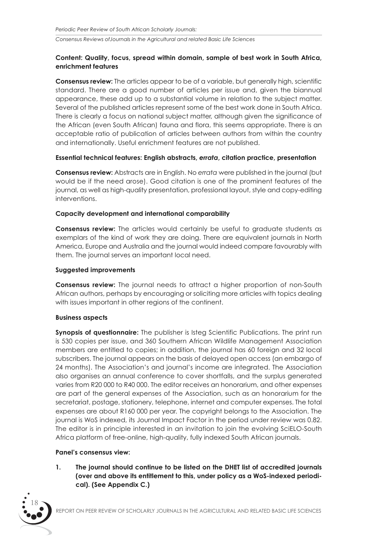#### **Content: Quality, focus, spread within domain, sample of best work in South Africa, enrichment features**

**Consensus review:** The articles appear to be of a variable, but generally high, scientific standard. There are a good number of articles per issue and, given the biannual appearance, these add up to a substantial volume in relation to the subject matter. Several of the published articles represent some of the best work done in South Africa. There is clearly a focus on national subject matter, although given the significance of the African (even South African) fauna and flora, this seems appropriate. There is an acceptable ratio of publication of articles between authors from within the country and internationally. Useful enrichment features are not published.

#### **Essential technical features: English abstracts,** *errata***, citation practice, presentation**

**Consensus review:** Abstracts are in English. No *errata* were published in the journal (but would be if the need arose). Good citation is one of the prominent features of the journal, as well as high-quality presentation, professional layout, style and copy-editing interventions.

#### **Capacity development and international comparability**

**Consensus review:** The articles would certainly be useful to graduate students as exemplars of the kind of work they are doing. There are equivalent journals in North America, Europe and Australia and the journal would indeed compare favourably with them. The journal serves an important local need.

#### **Suggested improvements**

**Consensus review:** The journal needs to attract a higher proportion of non-South African authors, perhaps by encouraging or soliciting more articles with topics dealing with issues important in other regions of the continent.

#### **Business aspects**

**Synopsis of questionnaire:** The publisher is Isteg Scientific Publications. The print run is 530 copies per issue, and 360 Southern African Wildlife Management Association members are entitled to copies; in addition, the journal has 60 foreign and 32 local subscribers. The journal appears on the basis of delayed open access (an embargo of 24 months). The Association's and journal's income are integrated. The Association also organises an annual conference to cover shortfalls, and the surplus generated varies from R20 000 to R40 000. The editor receives an honorarium, and other expenses are part of the general expenses of the Association, such as an honorarium for the secretariat, postage, stationery, telephone, internet and computer expenses. The total expenses are about R160 000 per year. The copyright belongs to the Association. The journal is WoS indexed, its Journal Impact Factor in the period under review was 0.82. The editor is in principle interested in an invitation to join the evolving SciELO-South Africa platform of free-online, high-quality, fully indexed South African journals.

#### **Panel's consensus view:**

**1. The journal should continue to be listed on the DHET list of accredited journals (over and above its entitlement to this, under policy as a WoS-indexed periodical). (See Appendix C.)**

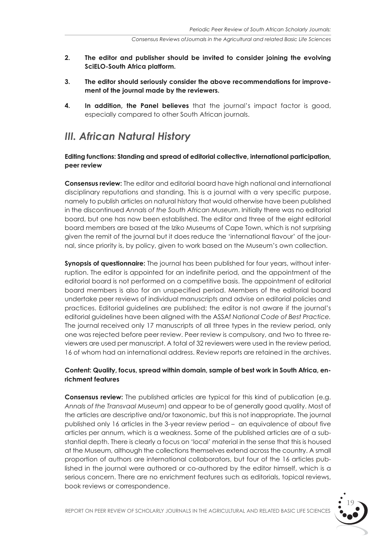- **2. The editor and publisher should be invited to consider joining the evolving SciELO-South Africa platform.**
- **3. The editor should seriously consider the above recommendations for improvement of the journal made by the reviewers.**
- **4. In addition, the Panel believes** that the journal's impact factor is good, especially compared to other South African journals.

# *III. African Natural History*

### **Editing functions: Standing and spread of editorial collective, international participation, peer review**

**Consensus review:** The editor and editorial board have high national and international disciplinary reputations and standing. This is a journal with a very specific purpose, namely to publish articles on natural history that would otherwise have been published in the discontinued *Annals of the South African Museum*. Initially there was no editorial board, but one has now been established. The editor and three of the eight editorial board members are based at the Iziko Museums of Cape Town, which is not surprising given the remit of the journal but it does reduce the 'international flavour' of the journal, since priority is, by policy, given to work based on the Museum's own collection.

**Synopsis of questionnaire:** The journal has been published for four years, without interruption. The editor is appointed for an indefinite period, and the appointment of the editorial board is not performed on a competitive basis. The appointment of editorial board members is also for an unspecified period. Members of the editorial board undertake peer reviews of individual manuscripts and advise on editorial policies and practices. Editorial guidelines are published; the editor is not aware if the journal's editorial guidelines have been aligned with the ASSAf *National Code of Best Practice.* The journal received only 17 manuscripts of all three types in the review period, only one was rejected before peer review. Peer review is compulsory, and two to three reviewers are used per manuscript. A total of 32 reviewers were used in the review period, 16 of whom had an international address. Review reports are retained in the archives.

### **Content: Quality, focus, spread within domain, sample of best work in South Africa, enrichment features**

**Consensus review:** The published articles are typical for this kind of publication (e.g. *Annals of the Transvaal Museum*) and appear to be of generally good quality. Most of the articles are descriptive and/or taxonomic, but this is not inappropriate. The journal published only 16 articles in the 3-year review period – an equivalence of about five articles per annum, which is a weakness. Some of the published articles are of a substantial depth. There is clearly a focus on 'local' material in the sense that this is housed at the Museum, although the collections themselves extend across the country. A small proportion of authors are international collaborators, but four of the 16 articles published in the journal were authored or co-authored by the editor himself, which is a serious concern. There are no enrichment features such as editorials, topical reviews, book reviews or correspondence.

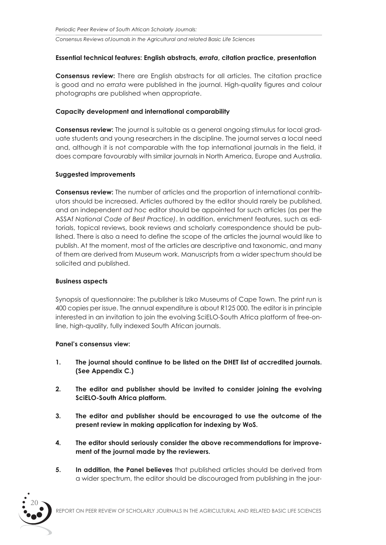#### **Essential technical features: English abstracts,** *errata***, citation practice, presentation**

**Consensus review:** There are English abstracts for all articles. The citation practice is good and no *errata* were published in the journal. High-quality figures and colour photographs are published when appropriate.

#### **Capacity development and international comparability**

**Consensus review:** The journal is suitable as a general ongoing stimulus for local graduate students and young researchers in the discipline. The journal serves a local need and, although it is not comparable with the top international journals in the field, it does compare favourably with similar journals in North America, Europe and Australia.

#### **Suggested improvements**

**Consensus review:** The number of articles and the proportion of international contributors should be increased. Articles authored by the editor should rarely be published, and an independent *ad hoc* editor should be appointed for such articles (as per the ASSAf *National Code of Best Practice)*. In addition, enrichment features, such as editorials, topical reviews, book reviews and scholarly correspondence should be published. There is also a need to define the scope of the articles the journal would like to publish. At the moment, most of the articles are descriptive and taxonomic, and many of them are derived from Museum work. Manuscripts from a wider spectrum should be solicited and published.

#### **Business aspects**

Synopsis of questionnaire: The publisher is Iziko Museums of Cape Town. The print run is 400 copies per issue. The annual expenditure is about R125 000. The editor is in principle interested in an invitation to join the evolving SciELO-South Africa platform of free-online, high-quality, fully indexed South African journals.

#### **Panel's consensus view:**

- **1. The journal should continue to be listed on the DHET list of accredited journals. (See Appendix C.)**
- **2. The editor and publisher should be invited to consider joining the evolving SciELO-South Africa platform.**
- **3. The editor and publisher should be encouraged to use the outcome of the present review in making application for indexing by WoS.**
- **4. The editor should seriously consider the above recommendations for improvement of the journal made by the reviewers.**
- **5. In addition, the Panel believes** that published articles should be derived from a wider spectrum, the editor should be discouraged from publishing in the jour-

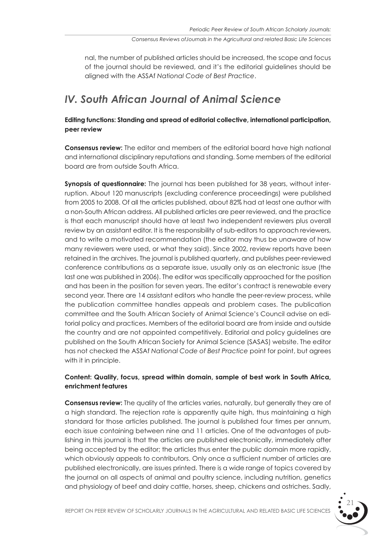nal, the number of published articles should be increased, the scope and focus of the journal should be reviewed, and it's the editorial guidelines should be aligned with the ASSAf *National Code of Best Practice*.

# *IV. South African Journal of Animal Science*

## **Editing functions: Standing and spread of editorial collective, international participation, peer review**

**Consensus review:** The editor and members of the editorial board have high national and international disciplinary reputations and standing. Some members of the editorial board are from outside South Africa.

**Synopsis of questionnaire:** The journal has been published for 38 years, without interruption. About 120 manuscripts (excluding conference proceedings) were published from 2005 to 2008. Of all the articles published, about 82% had at least one author with a non-South African address. All published articles are peer reviewed, and the practice is that each manuscript should have at least two independent reviewers plus overall review by an assistant editor. It is the responsibility of sub-editors to approach reviewers, and to write a motivated recommendation (the editor may thus be unaware of how many reviewers were used, or what they said). Since 2002, review reports have been retained in the archives. The journal is published quarterly, and publishes peer-reviewed conference contributions as a separate issue, usually only as an electronic issue (the last one was published in 2006). The editor was specifically approached for the position and has been in the position for seven years. The editor's contract is renewable every second year. There are 14 assistant editors who handle the peer-review process, while the publication committee handles appeals and problem cases. The publication committee and the South African Society of Animal Science's Council advise on editorial policy and practices. Members of the editorial board are from inside and outside the country and are not appointed competitively. Editorial and policy guidelines are published on the South African Society for Animal Science (SASAS) website. The editor has not checked the ASSAf *National Code of Best Practice* point for point, but agrees with it in principle.

### **Content: Quality, focus, spread within domain, sample of best work in South Africa, enrichment features**

**Consensus review:** The quality of the articles varies, naturally, but generally they are of a high standard. The rejection rate is apparently quite high, thus maintaining a high standard for those articles published. The journal is published four times per annum, each issue containing between nine and 11 articles. One of the advantages of publishing in this journal is that the articles are published electronically, immediately after being accepted by the editor; the articles thus enter the public domain more rapidly, which obviously appeals to contributors. Only once a sufficient number of articles are published electronically, are issues printed. There is a wide range of topics covered by the journal on all aspects of animal and poultry science, including nutrition, genetics and physiology of beef and dairy cattle, horses, sheep, chickens and ostriches. Sadly,

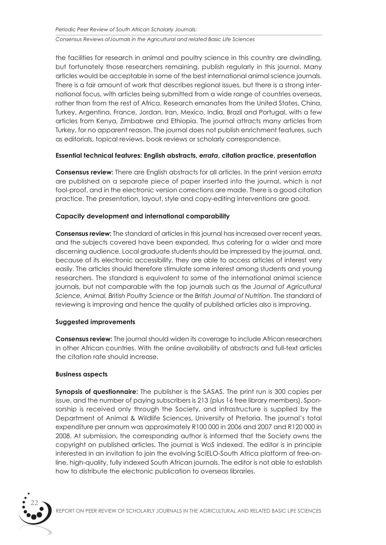the facilities for research in animal and poultry science in this country are dwindling, but fortunately those researchers remaining, publish regularly in this journal. Many articles would be acceptable in some of the best international animal science journals. There is a fair amount of work that describes regional issues, but there is a strong international focus, with articles being submitted from a wide range of countries overseas, rather than from the rest of Africa. Research emanates from the United States, China, Turkey, Argentina, France, Jordan, Iran, Mexico, India, Brazil and Portugal, with a few articles from Kenya, Zimbabwe and Ethiopia. The journal attracts many articles from Turkey, for no apparent reason. The journal does not publish enrichment features, such as editorials, topical reviews, book reviews or scholarly correspondence.

### **Essential technical features: English abstracts,** *errata***, citation practice, presentation**

**Consensus review:** There are English abstracts for all articles. In the print version *errata* are published on a separate piece of paper inserted into the journal, which is not fool-proof, and in the electronic version corrections are made. There is a good citation practice. The presentation, layout, style and copy-editing interventions are good.

### **Capacity development and international comparability**

**Consensus review:** The standard of articles in this journal has increased over recent years, and the subjects covered have been expanded, thus catering for a wider and more discerning audience. Local graduate students should be impressed by the journal, and, because of its electronic accessibility, they are able to access articles of interest very easily. The articles should therefore stimulate some interest among students and young researchers. The standard is equivalent to some of the international animal science journals, but not comparable with the top journals such as the *Journal of Agricultural Science, Animal, British Poultry Science* or the *British Journal of Nutrition*. The standard of reviewing is improving and hence the quality of published articles also is improving.

### **Suggested improvements**

**Consensus review:** The journal should widen its coverage to include African researchers in other African countries. With the online availability of abstracts and full-text articles the citation rate should increase.

### **Business aspects**

**Synopsis of questionnaire:** The publisher is the SASAS. The print run is 300 copies per issue, and the number of paying subscribers is 213 (plus 16 free library members). Sponsorship is received only through the Society, and infrastructure is supplied by the Department of Animal & Wildlife Sciences, University of Pretoria. The journal's total expenditure per annum was approximately R100 000 in 2006 and 2007 and R120 000 in 2008. At submission, the corresponding author is informed that the Society owns the copyright on published articles. The journal is WoS indexed. The editor is in principle interested in an invitation to join the evolving SciELO-South Africa platform of free-online, high-quality, fully indexed South African journals. The editor is not able to establish how to distribute the electronic publication to overseas libraries.

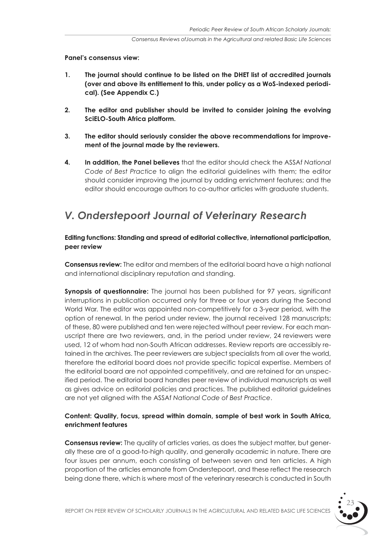**Panel's consensus view:** 

- **1. The journal should continue to be listed on the DHET list of accredited journals (over and above its entitlement to this, under policy as a WoS-indexed periodical). (See Appendix C.)**
- **2. The editor and publisher should be invited to consider joining the evolving SciELO-South Africa platform.**
- **3. The editor should seriously consider the above recommendations for improvement of the journal made by the reviewers.**
- **4. In addition, the Panel believes** that the editor should check the ASSAf *National Code of Best Practice* to align the editorial guidelines with them; the editor should consider improving the journal by adding enrichment features; and the editor should encourage authors to co-author articles with graduate students.

# *V. Onderstepoort Journal of Veterinary Research*

#### **Editing functions: Standing and spread of editorial collective, international participation, peer review**

**Consensus review:** The editor and members of the editorial board have a high national and international disciplinary reputation and standing.

**Synopsis of questionnaire:** The journal has been published for 97 years, significant interruptions in publication occurred only for three or four years during the Second World War. The editor was appointed non-competitively for a 3-year period, with the option of renewal. In the period under review, the journal received 128 manuscripts; of these, 80 were published and ten were rejected without peer review. For each manuscript there are two reviewers, and, in the period under review, 24 reviewers were used, 12 of whom had non-South African addresses. Review reports are accessibly retained in the archives. The peer reviewers are subject specialists from all over the world, therefore the editorial board does not provide specific topical expertise. Members of the editorial board are not appointed competitively, and are retained for an unspecified period. The editorial board handles peer review of individual manuscripts as well as gives advice on editorial policies and practices. The published editorial guidelines are not yet aligned with the ASSAf *National Code of Best Practice*.

## **Content: Quality, focus, spread within domain, sample of best work in South Africa, enrichment features**

**Consensus review:** The quality of articles varies, as does the subject matter, but generally these are of a good-to-high quality, and generally academic in nature. There are four issues per annum, each consisting of between seven and ten articles. A high proportion of the articles emanate from Onderstepoort, and these reflect the research being done there, which is where most of the veterinary research is conducted in South

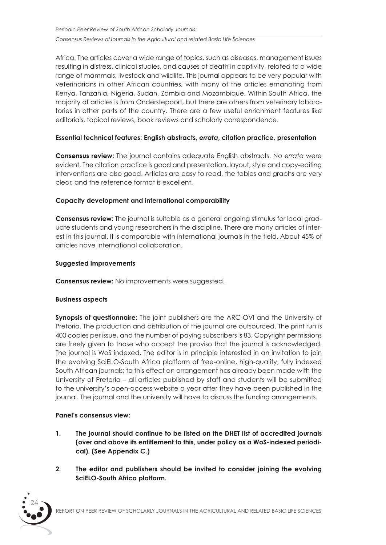Africa. The articles cover a wide range of topics, such as diseases, management issues resulting in distress, clinical studies, and causes of death in captivity, related to a wide range of mammals, livestock and wildlife. This journal appears to be very popular with veterinarians in other African countries, with many of the articles emanating from Kenya, Tanzania, Nigeria, Sudan, Zambia and Mozambique. Within South Africa, the majority of articles is from Onderstepoort, but there are others from veterinary laboratories in other parts of the country. There are a few useful enrichment features like editorials, topical reviews, book reviews and scholarly correspondence.

### **Essential technical features: English abstracts,** *errata***, citation practice, presentation**

**Consensus review:** The journal contains adequate English abstracts. No *errata* were evident. The citation practice is good and presentation, layout, style and copy-editing interventions are also good. Articles are easy to read, the tables and graphs are very clear, and the reference format is excellent.

#### **Capacity development and international comparability**

**Consensus review:** The journal is suitable as a general ongoing stimulus for local graduate students and young researchers in the discipline. There are many articles of interest in this journal. It is comparable with international journals in the field. About 45% of articles have international collaboration.

#### **Suggested improvements**

**Consensus review:** No improvements were suggested.

#### **Business aspects**

**Synopsis of questionnaire:** The joint publishers are the ARC-OVI and the University of Pretoria. The production and distribution of the journal are outsourced. The print run is 400 copies per issue, and the number of paying subscribers is 83. Copyright permissions are freely given to those who accept the proviso that the journal is acknowledged. The journal is WoS indexed. The editor is in principle interested in an invitation to join the evolving SciELO-South Africa platform of free-online, high-quality, fully indexed South African journals; to this effect an arrangement has already been made with the University of Pretoria – all articles published by staff and students will be submitted to the university's open-access website a year after they have been published in the journal. The journal and the university will have to discuss the funding arrangements.

### **Panel's consensus view:**

- **1. The journal should continue to be listed on the DHET list of accredited journals (over and above its entitlement to this, under policy as a WoS-indexed periodical). (See Appendix C.)**
- **2. The editor and publishers should be invited to consider joining the evolving SciELO-South Africa platform.**

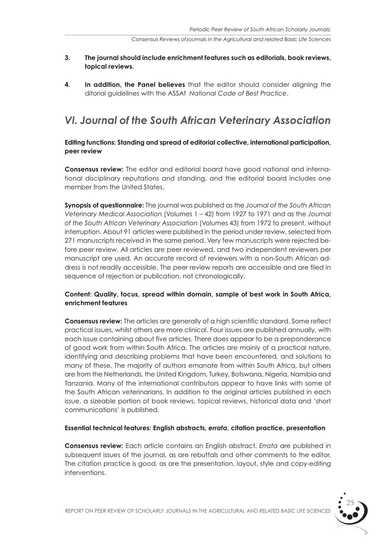#### **3. The journal should include enrichment features such as editorials, book reviews, topical reviews.**

**4. In addition, the Panel believes** that the editor should consider aligning the ditorial guidelines with the ASSAf *National Code of Best Practice*.

# *VI. Journal of the South African Veterinary Association*

## **Editing functions: Standing and spread of editorial collective, international participation, peer review**

**Consensus review:** The editor and editorial board have good national and international disciplinary reputations and standing, and the editorial board includes one member from the United States.

**Synopsis of questionnaire:** The journal was published as the *Journal of the South African Veterinary Medical Association* (Volumes 1 – 42) from 1927 to 1971 and as the *Journal of the South African Veterinary Association* (Volumes 43) from 1972 to present, without interruption. About 91 articles were published in the period under review, selected from 271 manuscripts received in the same period. Very few manuscripts were rejected before peer review. All articles are peer reviewed, and two independent reviewers per manuscript are used. An accurate record of reviewers with a non-South African address is not readily accessible. The peer review reports are accessible and are filed in sequence of rejection or publication, not chronologically.

## **Content: Quality, focus, spread within domain, sample of best work in South Africa, enrichment features**

**Consensus review:** The articles are generally of a high scientific standard. Some reflect practical issues, whilst others are more clinical. Four issues are published annually, with each issue containing about five articles. There does appear to be a preponderance of good work from within South Africa. The articles are mainly of a practical nature, identifying and describing problems that have been encountered, and solutions to many of these. The majority of authors emanate from within South Africa, but others are from the Netherlands, the United Kingdom, Turkey, Botswana, Nigeria, Namibia and Tanzania. Many of the international contributors appear to have links with some of the South African veterinarians. In addition to the original articles published in each issue, a sizeable portion of book reviews, topical reviews, historical data and 'short communications' is published.

### **Essential technical features: English abstracts,** *errata***, citation practice, presentation**

**Consensus review:** Each article contains an English abstract. *Errata* are published in subsequent issues of the journal, as are rebuttals and other comments to the editor. The citation practice is good, as are the presentation, layout, style and copy-editing interventions.

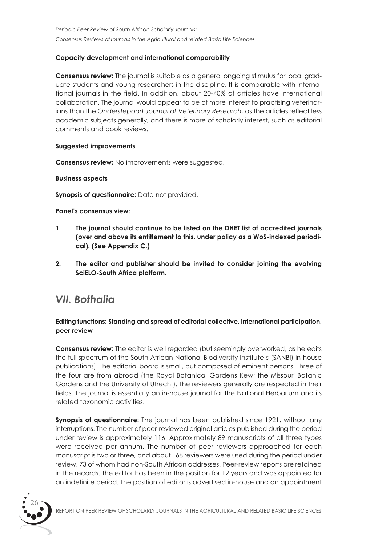#### **Capacity development and international comparability**

**Consensus review:** The journal is suitable as a general ongoing stimulus for local graduate students and young researchers in the discipline. It is comparable with international journals in the field. In addition, about 20-40% of articles have international collaboration. The journal would appear to be of more interest to practising veterinarians than the *Onderstepoort Journal of Veterinary Research*, as the articles reflect less academic subjects generally, and there is more of scholarly interest, such as editorial comments and book reviews.

#### **Suggested improvements**

**Consensus review:** No improvements were suggested.

**Business aspects**

**Synopsis of questionnaire:** Data not provided.

**Panel's consensus view:** 

- **1. The journal should continue to be listed on the DHET list of accredited journals (over and above its entitlement to this, under policy as a WoS-indexed periodical). (See Appendix C.)**
- **2. The editor and publisher should be invited to consider joining the evolving SciELO-South Africa platform.**

# *VII. Bothalia*

### **Editing functions: Standing and spread of editorial collective, international participation, peer review**

**Consensus review:** The editor is well regarded (but seemingly overworked, as he edits the full spectrum of the South African National Biodiversity Institute's (SANBI) in-house publications). The editorial board is small, but composed of eminent persons. Three of the four are from abroad (the Royal Botanical Gardens Kew; the Missouri Botanic Gardens and the University of Utrecht). The reviewers generally are respected in their fields. The journal is essentially an in-house journal for the National Herbarium and its related taxonomic activities.

**Synopsis of questionnaire:** The journal has been published since 1921, without any interruptions. The number of peer-reviewed original articles published during the period under review is approximately 116. Approximately 89 manuscripts of all three types were received per annum. The number of peer reviewers approached for each manuscript is two or three, and about 168 reviewers were used during the period under review, 73 of whom had non-South African addresses. Peer-review reports are retained in the records. The editor has been in the position for 12 years and was appointed for an indefinite period. The position of editor is advertised in-house and an appointment

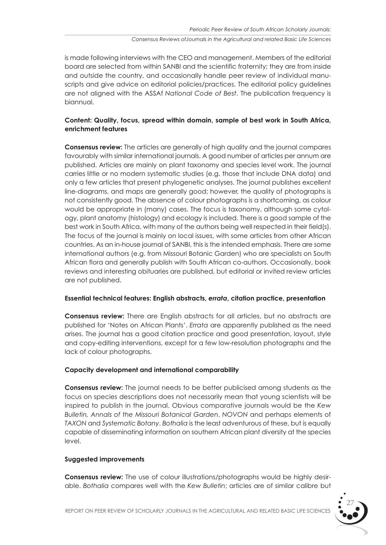is made following interviews with the CEO and management. Members of the editorial board are selected from within SANBI and the scientific fraternity; they are from inside and outside the country, and occasionally handle peer review of individual manuscripts and give advice on editorial policies/practices. The editorial policy guidelines are not aligned with the ASSAf *National Code of Best*. The publication frequency is biannual.

## **Content: Quality, focus, spread within domain, sample of best work in South Africa, enrichment features**

**Consensus review:** The articles are generally of high quality and the journal compares favourably with similar international journals. A good number of articles per annum are published. Articles are mainly on plant taxonomy and species level work. The journal carries little or no modern systematic studies (e.g. those that include DNA data) and only a few articles that present phylogenetic analyses. The journal publishes excellent line-diagrams, and maps are generally good; however, the quality of photographs is not consistently good. The absence of colour photographs is a shortcoming, as colour would be appropriate in (many) cases. The focus is taxonomy, although some cytology, plant anatomy (histology) and ecology is included. There is a good sample of the best work in South Africa, with many of the authors being well respected in their field(s). The focus of the journal is mainly on local issues, with some articles from other African countries. As an in-house journal of SANBI, this is the intended emphasis. There are some international authors (e.g. from Missouri Botanic Garden) who are specialists on South African flora and generally publish with South African co-authors. Occasionally, book reviews and interesting obituaries are published, but editorial or invited review articles are not published.

#### **Essential technical features: English abstracts,** *errata***, citation practice, presentation**

**Consensus review:** There are English abstracts for all articles, but no abstracts are published for 'Notes on African Plants'. *Errata* are apparently published as the need arises. The journal has a good citation practice and good presentation, layout, style and copy-editing interventions, except for a few low-resolution photographs and the lack of colour photographs.

#### **Capacity development and international comparability**

**Consensus review:** The journal needs to be better publicised among students as the focus on species descriptions does not necessarily mean that young scientists will be inspired to publish in the journal. Obvious comparative journals would be the *Kew Bulletin, Annals of the Missouri Botanical Garden*, *NOVON* and perhaps elements of *TAXON* and *Systematic Botany*. *Bothalia* is the least adventurous of these, but is equally capable of disseminating information on southern African plant diversity at the species level.

#### **Suggested improvements**

**Consensus review:** The use of colour illustrations/photographs would be highly desirable. *Bothalia* compares well with the *Kew Bulletin*; articles are of similar calibre but

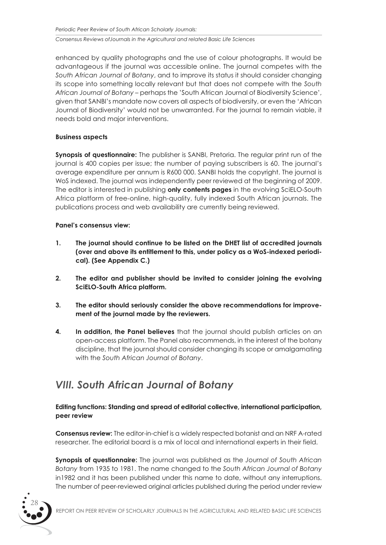enhanced by quality photographs and the use of colour photographs. It would be advantageous if the journal was accessible online. The journal competes with the *South African Journal of Botany*, and to improve its status it should consider changing its scope into something locally relevant but that does not compete with the *South African Journal of Botany* – perhaps the 'South African Journal of Biodiversity Science', given that SANBI's mandate now covers all aspects of biodiversity, or even the 'African Journal of Biodiversity' would not be unwarranted. For the journal to remain viable, it needs bold and major interventions.

#### **Business aspects**

**Synopsis of questionnaire:** The publisher is SANBI, Pretoria. The regular print run of the journal is 400 copies per issue; the number of paying subscribers is 60. The journal's average expenditure per annum is R600 000. SANBI holds the copyright. The journal is WoS indexed. The journal was independently peer reviewed at the beginning of 2009. The editor is interested in publishing **only contents pages** in the evolving SciELO-South Africa platform of free-online, high-quality, fully indexed South African journals. The publications process and web availability are currently being reviewed.

#### **Panel's consensus view:**

- **1. The journal should continue to be listed on the DHET list of accredited journals (over and above its entitlement to this, under policy as a WoS-indexed periodical). (See Appendix C.)**
- **2. The editor and publisher should be invited to consider joining the evolving SciELO-South Africa platform.**
- **3. The editor should seriously consider the above recommendations for improvement of the journal made by the reviewers.**
- **4. In addition, the Panel believes** that the journal should publish articles on an open-access platform. The Panel also recommends, in the interest of the botany discipline, that the journal should consider changing its scope or amalgamating with the *South African Journal of Botany*.

# *VIII. South African Journal of Botany*

**Editing functions: Standing and spread of editorial collective, international participation, peer review**

**Consensus review:** The editor-in-chief is a widely respected botanist and an NRF A-rated researcher. The editorial board is a mix of local and international experts in their field.

**Synopsis of questionnaire:** The journal was published as the *Journal of South African Botany* from 1935 to 1981. The name changed to the *South African Journal of Botany* in1982 and it has been published under this name to date, without any interruptions. The number of peer-reviewed original articles published during the period under review

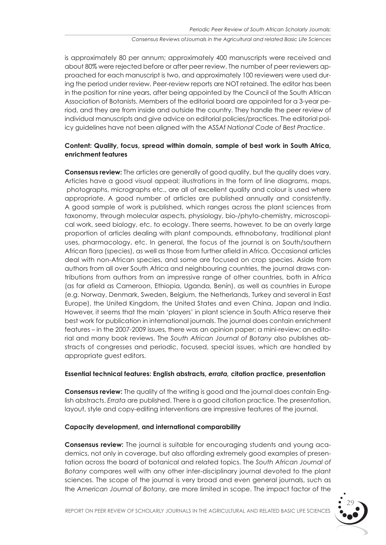is approximately 80 per annum; approximately 400 manuscripts were received and about 80% were rejected before or after peer review. The number of peer reviewers approached for each manuscript is two, and approximately 100 reviewers were used during the period under review. Peer-review reports are NOT retained. The editor has been in the position for nine years, after being appointed by the Council of the South African Association of Botanists. Members of the editorial board are appointed for a 3-year period, and they are from inside and outside the country. They handle the peer review of individual manuscripts and give advice on editorial policies/practices. The editorial policy guidelines have not been aligned with the ASSAf *National Code of Best Practice*.

### **Content: Quality, focus, spread within domain, sample of best work in South Africa, enrichment features**

**Consensus review:** The articles are generally of good quality, but the quality does vary. Articles have a good visual appeal; illustrations in the form of line diagrams, maps, photographs, micrographs etc., are all of excellent quality and colour is used where appropriate. A good number of articles are published annually and consistently. A good sample of work is published, which ranges across the plant sciences from taxonomy, through molecular aspects, physiology, bio-/phyto-chemistry, microscopical work, seed biology, etc. to ecology. There seems, however, to be an overly large proportion of articles dealing with plant compounds, ethnobotany, traditional plant uses, pharmacology, etc. In general, the focus of the journal is on South/southern African flora (species), as well as those from further afield in Africa. Occasional articles deal with non-African species, and some are focused on crop species. Aside from authors from all over South Africa and neighbouring countries, the journal draws contributions from authors from an impressive range of other countries, both in Africa (as far afield as Cameroon, Ethiopia, Uganda, Benín), as well as countries in Europe (e.g. Norway, Denmark, Sweden, Belgium, the Netherlands, Turkey and several in East Europe), the United Kingdom, the United States and even China, Japan and India. However, it seems that the main 'players' in plant science in South Africa reserve their best work for publication in international journals. The journal does contain enrichment features – in the 2007-2009 issues, there was an opinion paper; a mini-review; an editorial and many book reviews. The *South African Journal of Botany* also publishes abstracts of congresses and periodic, focused, special issues, which are handled by appropriate guest editors.

#### **Essential technical features: English abstracts,** *errata,* **citation practice, presentation**

**Consensus review:** The quality of the writing is good and the journal does contain English abstracts. *Errata* are published. There is a good citation practice. The presentation, layout, style and copy-editing interventions are impressive features of the journal.

#### **Capacity development, and international comparability**

**Consensus review:** The journal is suitable for encouraging students and young academics, not only in coverage, but also affording extremely good examples of presentation across the board of botanical and related topics. The *South African Journal of Botany* compares well with any other inter-disciplinary journal devoted to the plant sciences. The scope of the journal is very broad and even general journals, such as the *American Journal of Botany*, are more limited in scope. The impact factor of the

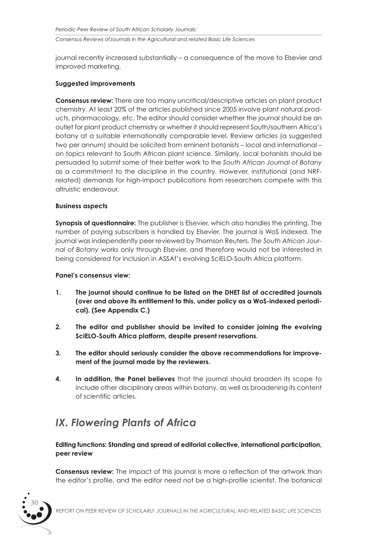journal recently increased substantially – a consequence of the move to Elsevier and improved marketing.

#### **Suggested improvements**

**Consensus review:** There are too many uncritical/descriptive articles on plant product chemistry. At least 20% of the articles published since 2005 involve plant natural products, pharmacology, etc. The editor should consider whether the journal should be an outlet for plant product chemistry or whether it should represent South/southern Africa's botany at a suitable internationally comparable level. Review articles (a suggested two per annum) should be solicited from eminent botanists – local and international – on topics relevant to South African plant science. Similarly, local botanists should be persuaded to submit some of their better work to the *South African Journal of Botany* as a commitment to the discipline in the country. However, institutional (and NRFrelated) demands for high-impact publications from researchers compete with this altruistic endeavour.

#### **Business aspects**

**Synopsis of questionnaire:** The publisher is Elsevier, which also handles the printing. The number of paying subscribers is handled by Elsevier. The journal is WoS indexed. The journal was independently peer reviewed by Thomson Reuters. *The South African Journal of Botany* works only through Elsevier, and therefore would not be interested in being considered for inclusion in ASSAf's evolving SciELO-South Africa platform.

#### **Panel's consensus view:**

- **1. The journal should continue to be listed on the DHET list of accredited journals (over and above its entitlement to this, under policy as a WoS-indexed periodical). (See Appendix C.)**
- **2. The editor and publisher should be invited to consider joining the evolving SciELO-South Africa platform, despite present reservations.**
- **3. The editor should seriously consider the above recommendations for improvement of the journal made by the reviewers.**
- **4.** In addition, the Panel believes that the journal should broaden its scope to include other disciplinary areas within botany, as well as broadening its content of scientific articles.

# *IX. Flowering Plants of Africa*

**Editing functions: Standing and spread of editorial collective, international participation, peer review**

**Consensus review:** The impact of this journal is more a reflection of the artwork than the editor's profile, and the editor need not be a high-profile scientist. The botanical

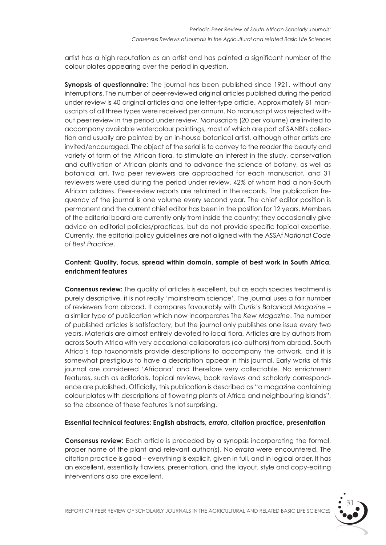artist has a high reputation as an artist and has painted a significant number of the colour plates appearing over the period in question.

**Synopsis of questionnaire:** The journal has been published since 1921, without any interruptions. The number of peer-reviewed original articles published during the period under review is 40 original articles and one letter-type article. Approximately 81 manuscripts of all three types were received per annum. No manuscript was rejected without peer review in the period under review. Manuscripts (20 per volume) are invited to accompany available watercolour paintings, most of which are part of SANBI's collection and usually are painted by an in-house botanical artist, although other artists are invited/encouraged. The object of the serial is to convey to the reader the beauty and variety of form of the African flora, to stimulate an interest in the study, conservation and cultivation of African plants and to advance the science of botany, as well as botanical art. Two peer reviewers are approached for each manuscript, and 31 reviewers were used during the period under review, 42% of whom had a non-South African address. Peer-review reports are retained in the records. The publication frequency of the journal is one volume every second year. The chief editor position is permanent and the current chief editor has been in the position for 12 years. Members of the editorial board are currently only from inside the country; they occasionally give advice on editorial policies/practices, but do not provide specific topical expertise. Currently, the editorial policy guidelines are not aligned with the ASSAf *National Code of Best Practice*.

### **Content: Quality, focus, spread within domain, sample of best work in South Africa, enrichment features**

**Consensus review:** The quality of articles is excellent, but as each species treatment is purely descriptive, it is not really 'mainstream science'. The journal uses a fair number of reviewers from abroad. It compares favourably with *Curtis's Botanical Magazine* – a similar type of publication which now incorporates The *Kew Magazine*. The number of published articles is satisfactory, but the journal only publishes one issue every two years. Materials are almost entirely devoted to local flora. Articles are by authors from across South Africa with very occasional collaborators (co-authors) from abroad. South Africa's top taxonomists provide descriptions to accompany the artwork, and it is somewhat prestigious to have a description appear in this journal. Early works of this journal are considered 'Africana' and therefore very collectable. No enrichment features, such as editorials, topical reviews, book reviews and scholarly correspondence are published. Officially, this publication is described as "a magazine containing colour plates with descriptions of flowering plants of Africa and neighbouring islands", so the absence of these features is not surprising.

#### **Essential technical features: English abstracts,** *errata***, citation practice, presentation**

**Consensus review:** Each article is preceded by a synopsis incorporating the formal, proper name of the plant and relevant author(s). No *errata* were encountered. The citation practice is good – everything is explicit, given in full, and in logical order. It has an excellent, essentially flawless, presentation, and the layout, style and copy-editing interventions also are excellent.

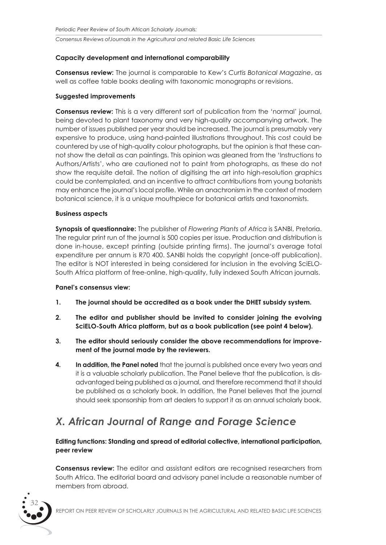#### **Capacity development and international comparability**

**Consensus review:** The journal is comparable to Kew's *Curtis Botanical Magazine*, as well as coffee table books dealing with taxonomic monographs or revisions.

#### **Suggested improvements**

**Consensus review:** This is a very different sort of publication from the 'normal' journal, being devoted to plant taxonomy and very high-quality accompanying artwork. The number of issues published per year should be increased. The journal is presumably very expensive to produce, using hand-painted illustrations throughout. This cost could be countered by use of high-quality colour photographs, but the opinion is that these cannot show the detail as can paintings. This opinion was gleaned from the 'Instructions to Authors/Artists', who are cautioned not to paint from photographs, as these do not show the requisite detail. The notion of digitising the art into high-resolution graphics could be contemplated, and an incentive to attract contributions from young botanists may enhance the journal's local profile. While an anachronism in the context of modern botanical science, it is a unique mouthpiece for botanical artists and taxonomists.

#### **Business aspects**

**Synopsis of questionnaire:** The publisher of *Flowering Plants of Africa* is SANBI, Pretoria. The regular print run of the journal is 500 copies per issue. Production and distribution is done in-house, except printing (outside printing firms). The journal's average total expenditure per annum is R70 400. SANBI holds the copyright (once-off publication). The editor is NOT interested in being considered for inclusion in the evolving SciELO-South Africa platform of free-online, high-quality, fully indexed South African journals.

#### **Panel's consensus view:**

- **1. The journal should be accredited as a book under the DHET subsidy system.**
- **2. The editor and publisher should be invited to consider joining the evolving SciELO-South Africa platform, but as a book publication (see point 4 below).**
- **3. The editor should seriously consider the above recommendations for improvement of the journal made by the reviewers.**
- **4. In addition, the Panel noted** that the journal is published once every two years and it is a valuable scholarly publication. The Panel believe that the publication, is disadvantaged being published as a journal, and therefore recommend that it should be published as a scholarly book. In addition, the Panel believes that the journal should seek sponsorship from art dealers to support it as an annual scholarly book.

# *X. African Journal of Range and Forage Science*

**Editing functions: Standing and spread of editorial collective, international participation, peer review**

**Consensus review:** The editor and assistant editors are recognised researchers from South Africa. The editorial board and advisory panel include a reasonable number of members from abroad.

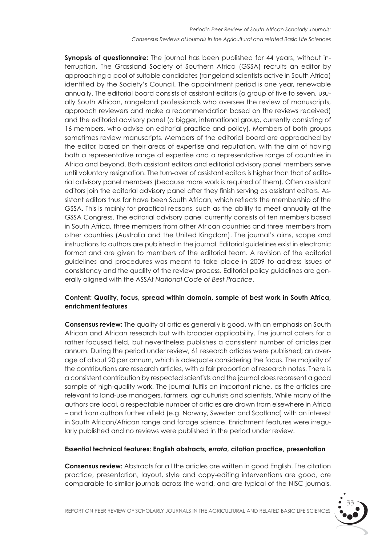**Synopsis of questionnaire:** The journal has been published for 44 years, without interruption. The Grassland Society of Southern Africa (GSSA) recruits an editor by approaching a pool of suitable candidates (rangeland scientists active in South Africa) identified by the Society's Council. The appointment period is one year, renewable annually. The editorial board consists of assistant editors (a group of five to seven, usually South African, rangeland professionals who oversee the review of manuscripts, approach reviewers and make a recommendation based on the reviews received) and the editorial advisory panel (a bigger, international group, currently consisting of 16 members, who advise on editorial practice and policy). Members of both groups sometimes review manuscripts. Members of the editorial board are approached by the editor, based on their areas of expertise and reputation, with the aim of having both a representative range of expertise and a representative range of countries in Africa and beyond. Both assistant editors and editorial advisory panel members serve until voluntary resignation. The turn-over of assistant editors is higher than that of editorial advisory panel members (because more work is required of them). Often assistant editors join the editorial advisory panel after they finish serving as assistant editors. Assistant editors thus far have been South African, which reflects the membership of the GSSA. This is mainly for practical reasons, such as the ability to meet annually at the GSSA Congress. The editorial advisory panel currently consists of ten members based in South Africa, three members from other African countries and three members from other countries (Australia and the United Kingdom). The journal's aims, scope and instructions to authors are published in the journal. Editorial guidelines exist in electronic format and are given to members of the editorial team. A revision of the editorial guidelines and procedures was meant to take place in 2009 to address issues of consistency and the quality of the review process. Editorial policy guidelines are generally aligned with the ASSAf *National Code of Best Practice*.

### **Content: Quality, focus, spread within domain, sample of best work in South Africa, enrichment features**

**Consensus review:** The quality of articles generally is good, with an emphasis on South African and African research but with broader applicability. The journal caters for a rather focused field, but nevertheless publishes a consistent number of articles per annum. During the period under review, 61 research articles were published; an average of about 20 per annum, which is adequate considering the focus. The majority of the contributions are research articles, with a fair proportion of research notes. There is a consistent contribution by respected scientists and the journal does represent a good sample of high-quality work. The journal fulfils an important niche, as the articles are relevant to land-use managers, farmers, agriculturists and scientists. While many of the authors are local, a respectable number of articles are drawn from elsewhere in Africa – and from authors further afield (e.g. Norway, Sweden and Scotland) with an interest in South African/African range and forage science. Enrichment features were irregularly published and no reviews were published in the period under review.

#### **Essential technical features: English abstracts,** *errata***, citation practice, presentation**

**Consensus review:** Abstracts for all the articles are written in good English. The citation practice, presentation, layout, style and copy-editing interventions are good, are comparable to similar journals across the world, and are typical of the NISC journals.

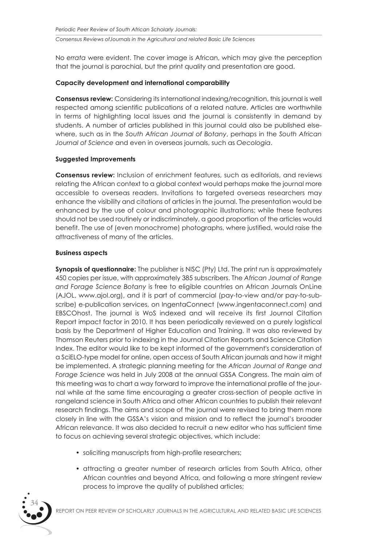No *errata* were evident. The cover image is African, which may give the perception that the journal is parochial, but the print quality and presentation are good.

#### **Capacity development and international comparability**

**Consensus review:** Considering its international indexing/recognition, this journal is well respected among scientific publications of a related nature. Articles are worthwhile in terms of highlighting local issues and the journal is consistently in demand by students. A number of articles published in this journal could also be published elsewhere, such as in the *South African Journal of Botany*, perhaps in the *South African Journal of Science* and even in overseas journals, such as *Oecologia*.

#### **Suggested Improvements**

**Consensus review:** Inclusion of enrichment features, such as editorials, and reviews relating the African context to a global context would perhaps make the journal more accessible to overseas readers. Invitations to targeted overseas researchers may enhance the visibility and citations of articles in the journal. The presentation would be enhanced by the use of colour and photographic illustrations; while these features should not be used routinely or indiscriminately, a good proportion of the articles would benefit. The use of (even monochrome) photographs, where justified, would raise the attractiveness of many of the articles.

#### **Business aspects**

**Synopsis of questionnaire:** The publisher is NISC (Pty) Ltd. The print run is approximately 450 copies per issue, with approximately 385 subscribers. The *African Journal of Range and Forage Science Botany* is free to eligible countries on African Journals OnLine (AJOL, www.ajol.org), and it is part of commercial (pay-to-view and/or pay-to-subscribe) e-publication services, on IngentaConnect (www.ingentaconnect.com) and EBSCOhost. The journal is WoS indexed and will receive its first Journal Citation Report impact factor in 2010. It has been periodically reviewed on a purely logistical basis by the Department of Higher Education and Training. It was also reviewed by Thomson Reuters prior to indexing in the Journal Citation Reports and Science Citation Index. The editor would like to be kept informed of the government's consideration of a SciELO-type model for online, open access of South African journals and how it might be implemented. A strategic planning meeting for the *African Journal of Range and Forage Science* was held in July 2008 at the annual GSSA Congress. The main aim of this meeting was to chart a way forward to improve the international profile of the journal while at the same time encouraging a greater cross-section of people active in rangeland science in South Africa and other African countries to publish their relevant research findings. The aims and scope of the journal were revised to bring them more closely in line with the GSSA's vision and mission and to reflect the journal's broader African relevance. It was also decided to recruit a new editor who has sufficient time to focus on achieving several strategic objectives, which include:

- soliciting manuscripts from high-profile researchers;
- attracting a greater number of research articles from South Africa, other African countries and beyond Africa, and following a more stringent review process to improve the quality of published articles;

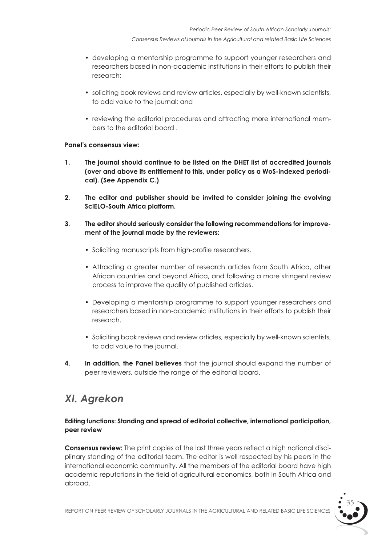- developing a mentorship programme to support younger researchers and researchers based in non-academic institutions in their efforts to publish their research;
- soliciting book reviews and review articles, especially by well-known scientists, to add value to the journal; and
- reviewing the editorial procedures and attracting more international members to the editorial board .

#### **Panel's consensus view:**

- **1. The journal should continue to be listed on the DHET list of accredited journals (over and above its entitlement to this, under policy as a WoS-indexed periodical). (See Appendix C.)**
- **2. The editor and publisher should be invited to consider joining the evolving SciELO-South Africa platform.**
- **3. The editor should seriously consider the following recommendations for improvement of the journal made by the reviewers:**
	- Soliciting manuscripts from high-profile researchers.
	- Attracting a greater number of research articles from South Africa, other African countries and beyond Africa, and following a more stringent review process to improve the quality of published articles.
	- Developing a mentorship programme to support younger researchers and researchers based in non-academic institutions in their efforts to publish their research.
	- Soliciting book reviews and review articles, especially by well-known scientists, to add value to the journal.
- **4. In addition, the Panel believes** that the journal should expand the number of peer reviewers, outside the range of the editorial board.

## *XI. Agrekon*

#### **Editing functions: Standing and spread of editorial collective, international participation, peer review**

**Consensus review:** The print copies of the last three years reflect a high national disciplinary standing of the editorial team. The editor is well respected by his peers in the international economic community. All the members of the editorial board have high academic reputations in the field of agricultural economics, both in South Africa and abroad.

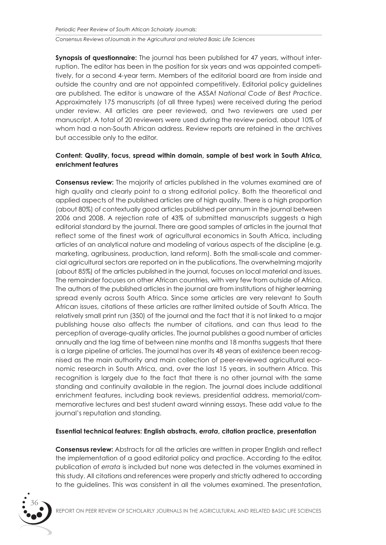**Synopsis of questionnaire:** The journal has been published for 47 years, without interruption. The editor has been in the position for six years and was appointed competitively, for a second 4-year term. Members of the editorial board are from inside and outside the country and are not appointed competitively. Editorial policy guidelines are published. The editor is unaware of the ASSAf *National Code of Best Practice*. Approximately 175 manuscripts (of all three types) were received during the period under review. All articles are peer reviewed, and two reviewers are used per manuscript. A total of 20 reviewers were used during the review period, about 10% of whom had a non-South African address. Review reports are retained in the archives but accessible only to the editor.

#### **Content: Quality, focus, spread within domain, sample of best work in South Africa, enrichment features**

**Consensus review:** The majority of articles published in the volumes examined are of high quality and clearly point to a strong editorial policy. Both the theoretical and applied aspects of the published articles are of high quality. There is a high proportion (about 80%) of contextually good articles published per annum in the journal between 2006 and 2008. A rejection rate of 43% of submitted manuscripts suggests a high editorial standard by the journal. There are good samples of articles in the journal that reflect some of the finest work of agricultural economics in South Africa, including articles of an analytical nature and modeling of various aspects of the discipline (e.g. marketing, agribusiness, production, land reform). Both the small-scale and commercial agricultural sectors are reported on in the publications. The overwhelming majority (about 85%) of the articles published in the journal, focuses on local material and issues. The remainder focuses on other African countries, with very few from outside of Africa. The authors of the published articles in the journal are from institutions of higher learning spread evenly across South Africa. Since some articles are very relevant to South African issues, citations of these articles are rather limited outside of South Africa. The relatively small print run (350) of the journal and the fact that it is not linked to a major publishing house also affects the number of citations, and can thus lead to the perception of average-quality articles. The journal publishes a good number of articles annually and the lag time of between nine months and 18 months suggests that there is a large pipeline of articles. The journal has over its 48 years of existence been recognised as the main authority and main collection of peer-reviewed agricultural economic research in South Africa, and, over the last 15 years, in southern Africa. This recognition is largely due to the fact that there is no other journal with the same standing and continuity available in the region. The journal does include additional enrichment features, including book reviews, presidential address, memorial/commemorative lectures and best student award winning essays. These add value to the journal's reputation and standing.

#### **Essential technical features: English abstracts,** *errata***, citation practice, presentation**

**Consensus review:** Abstracts for all the articles are written in proper English and reflect the implementation of a good editorial policy and practice. According to the editor, publication of *errata* is included but none was detected in the volumes examined in this study. All citations and references were properly and strictly adhered to according to the guidelines. This was consistent in all the volumes examined. The presentation,

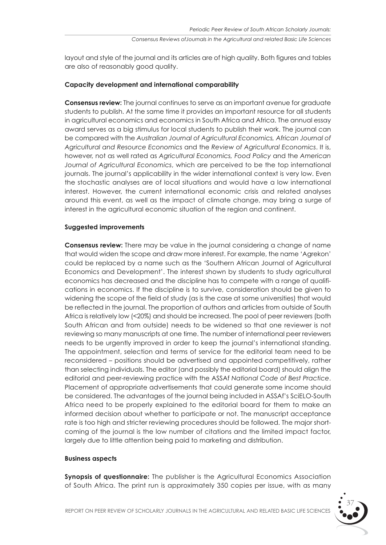layout and style of the journal and its articles are of high quality. Both figures and tables are also of reasonably good quality.

#### **Capacity development and international comparability**

**Consensus review:** The journal continues to serve as an important avenue for graduate students to publish. At the same time it provides an important resource for all students in agricultural economics and economics in South Africa and Africa. The annual essay award serves as a big stimulus for local students to publish their work. The journal can be compared with the *Australian Journal of Agricultural Economics, African Journal of Agricultural and Resource Economics* and the *Review of Agricultural Economics*. It is, however, not as well rated as *Agricultural Economics, Food Policy* and the *American Journal of Agricultural Economics*, which are perceived to be the top international journals. The journal's applicability in the wider international context is very low. Even the stochastic analyses are of local situations and would have a low international interest. However, the current international economic crisis and related analyses around this event, as well as the impact of climate change, may bring a surge of interest in the agricultural economic situation of the region and continent.

#### **Suggested improvements**

**Consensus review:** There may be value in the journal considering a change of name that would widen the scope and draw more interest. For example, the name 'Agrekon' could be replaced by a name such as the 'Southern African Journal of Agricultural Economics and Development'. The interest shown by students to study agricultural economics has decreased and the discipline has to compete with a range of qualifications in economics. If the discipline is to survive, consideration should be given to widening the scope of the field of study (as is the case at some universities) that would be reflected in the journal. The proportion of authors and articles from outside of South Africa is relatively low (<20%) and should be increased. The pool of peer reviewers (both South African and from outside) needs to be widened so that one reviewer is not reviewing so many manuscripts at one time. The number of international peer reviewers needs to be urgently improved in order to keep the journal's international standing. The appointment, selection and terms of service for the editorial team need to be reconsidered – positions should be advertised and appointed competitively, rather than selecting individuals. The editor (and possibly the editorial board) should align the editorial and peer-reviewing practice with the ASSAf *National Code of Best Practice*. Placement of appropriate advertisements that could generate some income should be considered. The advantages of the journal being included in ASSAf's SciELO-South Africa need to be properly explained to the editorial board for them to make an informed decision about whether to participate or not. The manuscript acceptance rate is too high and stricter reviewing procedures should be followed. The major shortcoming of the journal is the low number of citations and the limited impact factor, largely due to little attention being paid to marketing and distribution.

#### **Business aspects**

**Synopsis of questionnaire:** The publisher is the Agricultural Economics Association of South Africa. The print run is approximately 350 copies per issue, with as many

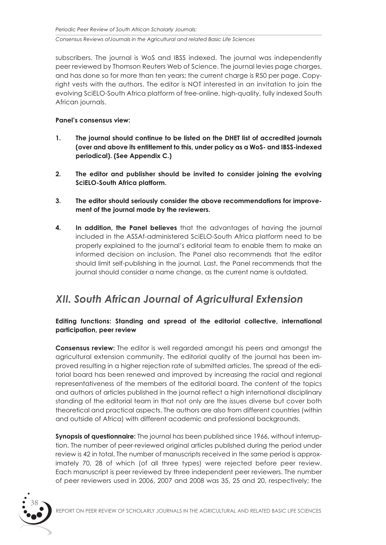subscribers. The journal is WoS and IBSS indexed. The journal was independently peer reviewed by Thomson Reuters Web of Science. The journal levies page charges, and has done so for more than ten years; the current charge is R50 per page. Copyright vests with the authors. The editor is NOT interested in an invitation to join the evolving SciELO-South Africa platform of free-online, high-quality, fully indexed South African journals.

#### **Panel's consensus view:**

- **1. The journal should continue to be listed on the DHET list of accredited journals (over and above its entitlement to this, under policy as a WoS- and IBSS-indexed periodical). (See Appendix C.)**
- **2. The editor and publisher should be invited to consider joining the evolving SciELO-South Africa platform.**
- **3. The editor should seriously consider the above recommendations for improvement of the journal made by the reviewers.**
- **4. In addition, the Panel believes** that the advantages of having the journal included in the ASSAf-administered SciELO-South Africa platform need to be properly explained to the journal's editorial team to enable them to make an informed decision on inclusion. The Panel also recommends that the editor should limit self-publishing in the journal. Last, the Panel recommends that the journal should consider a name change, as the current name is outdated.

## *XII. South African Journal of Agricultural Extension*

#### **Editing functions: Standing and spread of the editorial collective, international participation, peer review**

**Consensus review:** The editor is well regarded amongst his peers and amongst the agricultural extension community. The editorial quality of the journal has been improved resulting in a higher rejection rate of submitted articles. The spread of the editorial board has been renewed and improved by increasing the racial and regional representativeness of the members of the editorial board. The content of the topics and authors of articles published in the journal reflect a high international disciplinary standing of the editorial team in that not only are the issues diverse but cover both theoretical and practical aspects. The authors are also from different countries (within and outside of Africa) with different academic and professional backgrounds.

**Synopsis of questionnaire:** The journal has been published since 1966, without interruption. The number of peer-reviewed original articles published during the period under review is 42 in total. The number of manuscripts received in the same period is approximately 70, 28 of which (of all three types) were rejected before peer review. Each manuscript is peer reviewed by three independent peer reviewers. The number of peer reviewers used in 2006, 2007 and 2008 was 35, 25 and 20, respectively; the

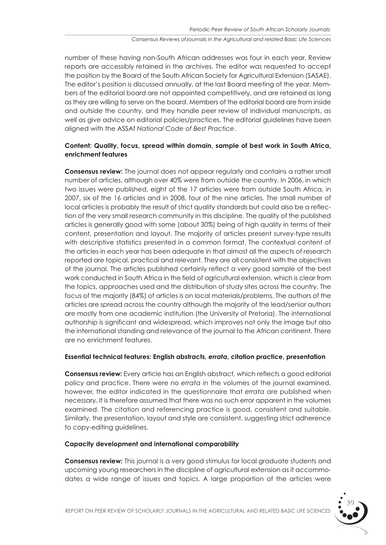number of these having non-South African addresses was four in each year. Review reports are accessibly retained in the archives. The editor was requested to accept the position by the Board of the South African Society for Agricultural Extension (SASAE). The editor's position is discussed annually, at the last Board meeting of the year. Members of the editorial board are not appointed competitively, and are retained as long as they are willing to serve on the board. Members of the editorial board are from inside and outside the country, and they handle peer review of individual manuscripts, as well as give advice on editorial policies/practices. The editorial guidelines have been aligned with the ASSAf *National Code of Best Practice*.

#### **Content: Quality, focus, spread within domain, sample of best work in South Africa, enrichment features**

**Consensus review:** The journal does not appear regularly and contains a rather small number of articles, although over 40% were from outside the country. In 2006, in which two issues were published, eight of the 17 articles were from outside South Africa, in 2007, six of the 16 articles and in 2008, four of the nine articles. The small number of local articles is probably the result of strict quality standards but could also be a reflection of the very small research community in this discipline. The quality of the published articles is generally good with some (about 30%) being of high quality in terms of their content, presentation and layout. The majority of articles present survey-type results with descriptive statistics presented in a common format. The contextual content of the articles in each year has been adequate in that almost all the aspects of research reported are topical, practical and relevant. They are all consistent with the objectives of the journal. The articles published certainly reflect a very good sample of the best work conducted in South Africa in the field of agricultural extension, which is clear from the topics, approaches used and the distribution of study sites across the country. The focus of the majority (84%) of articles is on local materials/problems. The authors of the articles are spread across the country although the majority of the lead/senior authors are mostly from one academic institution (the University of Pretoria). The international authorship is significant and widespread, which improves not only the image but also the international standing and relevance of the journal to the African continent. There are no enrichment features.

#### **Essential technical features: English abstracts,** *errata***, citation practice, presentation**

**Consensus review:** Every article has an English abstract, which reflects a good editorial policy and practice. There were no *errata* in the volumes of the journal examined, however, the editor indicated in the questionnaire that *errata* are published when necessary. It is therefore assumed that there was no such error apparent in the volumes examined. The citation and referencing practice is good, consistent and suitable. Similarly, the presentation, layout and style are consistent, suggesting strict adherence to copy-editing guidelines.

#### **Capacity development and international comparability**

**Consensus review:** This journal is a very good stimulus for local graduate students and upcoming young researchers in the discipline of agricultural extension as it accommodates a wide range of issues and topics. A large proportion of the articles were

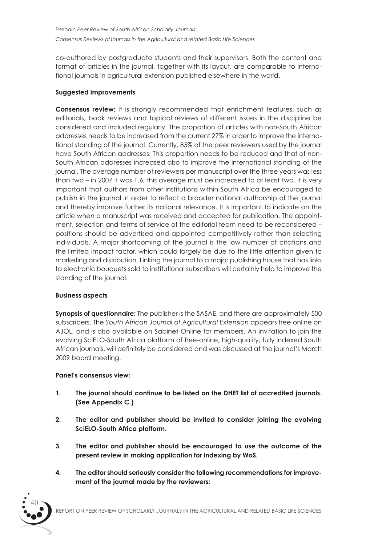co-authored by postgraduate students and their supervisors. Both the content and format of articles in the journal, together with its layout, are comparable to international journals in agricultural extension published elsewhere in the world.

#### **Suggested improvements**

**Consensus review:** It is strongly recommended that enrichment features, such as editorials, book reviews and topical reviews of different issues in the discipline be considered and included regularly. The proportion of articles with non-South African addresses needs to be increased from the current 27% in order to improve the international standing of the journal. Currently, 85% of the peer reviewers used by the journal have South African addresses. This proportion needs to be reduced and that of non-South African addresses increased also to improve the international standing of the journal. The average number of reviewers per manuscript over the three years was less than two – in 2007 it was 1.6; this average must be increased to at least two. It is very important that authors from other institutions within South Africa be encouraged to publish in the journal in order to reflect a broader national authorship of the journal and thereby improve further its national relevance. It is important to indicate on the article when a manuscript was received and accepted for publication. The appointment, selection and terms of service of the editorial team need to be reconsidered – positions should be advertised and appointed competitively rather than selecting individuals. A major shortcoming of the journal is the low number of citations and the limited impact factor, which could largely be due to the little attention given to marketing and distribution. Linking the journal to a major publishing house that has links to electronic bouquets sold to institutional subscribers will certainly help to improve the standing of the journal.

#### **Business aspects**

**Synopsis of questionnaire:** The publisher is the SASAE, and there are approximately 500 subscribers. The *South African Journal of Agricultural Extension* appears free online on AJOL, and is also available on Sabinet Online for members. An invitation to join the evolving SciELO-South Africa platform of free-online, high-quality, fully indexed South African journals, will definitely be considered and was discussed at the journal's March 2009 board meeting.

#### **Panel's consensus view:**

- **1. The journal should continue to be listed on the DHET list of accredited journals. (See Appendix C.)**
- **2. The editor and publisher should be invited to consider joining the evolving SciELO-South Africa platform.**
- **3. The editor and publisher should be encouraged to use the outcome of the present review in making application for indexing by WoS.**
- **4. The editor should seriously consider the following recommendations for improvement of the journal made by the reviewers:**

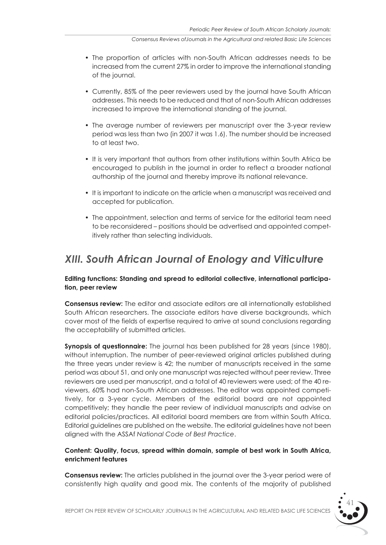- The proportion of articles with non-South African addresses needs to be increased from the current 27% in order to improve the international standing of the journal.
- Currently, 85% of the peer reviewers used by the journal have South African addresses. This needs to be reduced and that of non-South African addresses increased to improve the international standing of the journal.
- The average number of reviewers per manuscript over the 3-year review period was less than two (in 2007 it was 1.6). The number should be increased to at least two.
- It is very important that authors from other institutions within South Africa be encouraged to publish in the journal in order to reflect a broader national authorship of the journal and thereby improve its national relevance.
- It is important to indicate on the article when a manuscript was received and accepted for publication.
- The appointment, selection and terms of service for the editorial team need to be reconsidered – positions should be advertised and appointed competitively rather than selecting individuals.

## *XIII. South African Journal of Enology and Viticulture*

**Editing functions: Standing and spread to editorial collective, international participation, peer review**

**Consensus review:** The editor and associate editors are all internationally established South African researchers. The associate editors have diverse backgrounds, which cover most of the fields of expertise required to arrive at sound conclusions regarding the acceptability of submitted articles.

**Synopsis of questionnaire:** The journal has been published for 28 years (since 1980), without interruption. The number of peer-reviewed original articles published during the three years under review is 42; the number of manuscripts received in the same period was about 51, and only one manuscript was rejected without peer review. Three reviewers are used per manuscript, and a total of 40 reviewers were used; of the 40 reviewers, 60% had non-South African addresses. The editor was appointed competitively, for a 3-year cycle. Members of the editorial board are not appointed competitively; they handle the peer review of individual manuscripts and advise on editorial policies/practices. All editorial board members are from within South Africa. Editorial guidelines are published on the website. The editorial guidelines have not been aligned with the ASSAf *National Code of Best Practice*.

#### **Content: Quality, focus, spread within domain, sample of best work in South Africa, enrichment features**

**Consensus review:** The articles published in the journal over the 3-year period were of consistently high quality and good mix. The contents of the majority of published

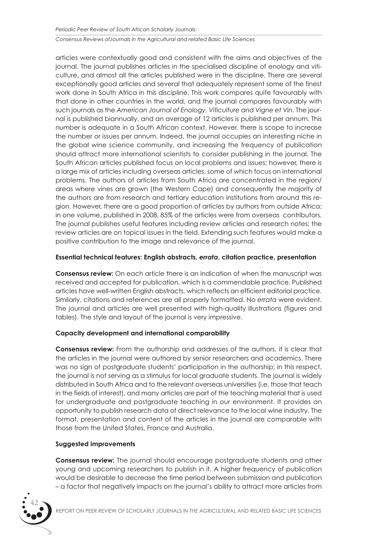articles were contextually good and consistent with the aims and objectives of the journal. The journal publishes articles in the specialised discipline of enology and viticulture, and almost all the articles published were in the discipline. There are several exceptionally good articles and several that adequately represent some of the finest work done in South Africa in this discipline. This work compares quite favourably with that done in other countries in the world, and the journal compares favourably with such journals as the *American Journal of Enology, Viticulture* and *Vigne et Vin*. The journal is published biannually, and an average of 12 articles is published per annum. This number is adequate in a South African context. However, there is scope to increase the number or issues per annum. Indeed, the journal occupies an interesting niche in the global wine science community, and increasing the frequency of publication should attract more international scientists to consider publishing in the journal. The South African articles published focus on local problems and issues; however, there is a large mix of articles including overseas articles, some of which focus on international problems. The authors of articles from South Africa are concentrated in the region/ areas where vines are grown (the Western Cape) and consequently the majority of the authors are from research and tertiary education institutions from around this region. However, there are a good proportion of articles by authors from outside Africa; in one volume, published in 2008, 85% of the articles were from overseas contributors. The journal publishes useful features including review articles and research notes; the review articles are on topical issues in the field. Extending such features would make a positive contribution to the image and relevance of the journal.

#### **Essential technical features: English abstracts,** *errata***, citation practice, presentation**

**Consensus review:** On each article there is an indication of when the manuscript was received and accepted for publication, which is a commendable practice. Published articles have well-written English abstracts, which reflects an efficient editorial practice. Similarly, citations and references are all properly formatted. No *errata* were evident. The journal and articles are well presented with high-quality illustrations (figures and tables). The style and layout of the journal is very impressive.

#### **Capacity development and international comparability**

**Consensus review:** From the authorship and addresses of the authors, it is clear that the articles in the journal were authored by senior researchers and academics. There was no sign of postgraduate students' participation in the authorship; in this respect, the journal is not serving as a stimulus for local graduate students. The journal is widely distributed in South Africa and to the relevant overseas universities (i.e. those that teach in the fields of interest), and many articles are part of the teaching material that is used for undergraduate and postgraduate teaching in our environment. It provides an opportunity to publish research data of direct relevance to the local wine industry. The format, presentation and content of the articles in the journal are comparable with those from the United States, France and Australia.

#### **Suggested improvements**

**Consensus review:** The journal should encourage postgraduate students and other young and upcoming researchers to publish in it. A higher frequency of publication would be desirable to decrease the time period between submission and publication – a factor that negatively impacts on the journal's ability to attract more articles from

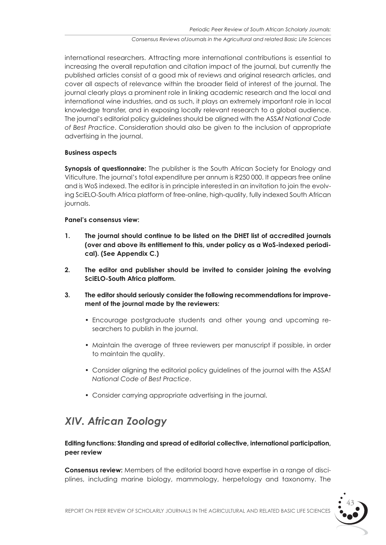international researchers. Attracting more international contributions is essential to increasing the overall reputation and citation impact of the journal, but currently the published articles consist of a good mix of reviews and original research articles, and cover all aspects of relevance within the broader field of interest of the journal. The journal clearly plays a prominent role in linking academic research and the local and international wine industries, and as such, it plays an extremely important role in local knowledge transfer, and in exposing locally relevant research to a global audience. The journal's editorial policy guidelines should be aligned with the ASSAf *National Code of Best Practice*. Consideration should also be given to the inclusion of appropriate advertising in the journal.

#### **Business aspects**

**Synopsis of questionnaire:** The publisher is the South African Society for Enology and Viticulture. The journal's total expenditure per annum is R250 000. It appears free online and is WoS indexed. The editor is in principle interested in an invitation to join the evolving SciELO-South Africa platform of free-online, high-quality, fully indexed South African journals.

#### **Panel's consensus view:**

- **1. The journal should continue to be listed on the DHET list of accredited journals (over and above its entitlement to this, under policy as a WoS-indexed periodical). (See Appendix C.)**
- **2. The editor and publisher should be invited to consider joining the evolving SciELO-South Africa platform.**
- **3. The editor should seriously consider the following recommendations for improvement of the journal made by the reviewers:**
	- Encourage postgraduate students and other young and upcoming researchers to publish in the journal.
	- Maintain the average of three reviewers per manuscript if possible, in order to maintain the quality.
	- Consider aligning the editorial policy guidelines of the journal with the ASSAf *National Code of Best Practice*.
	- Consider carrying appropriate advertising in the journal.

## *XIV. African Zoology*

**Editing functions: Standing and spread of editorial collective, international participation, peer review**

**Consensus review:** Members of the editorial board have expertise in a range of disciplines, including marine biology, mammology, herpetology and taxonomy. The

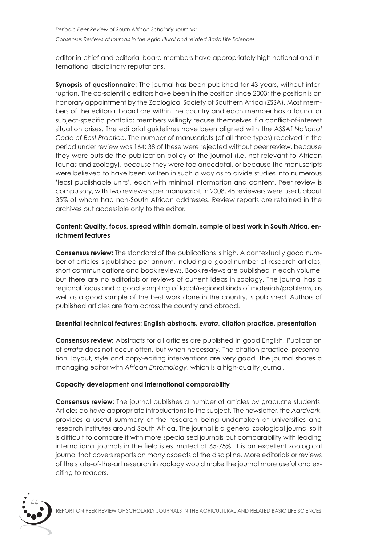editor-in-chief and editorial board members have appropriately high national and international disciplinary reputations.

**Synopsis of questionnaire:** The journal has been published for 43 years, without interruption. The co-scientific editors have been in the position since 2003; the position is an honorary appointment by the Zoological Society of Southern Africa (ZSSA). Most members of the editorial board are within the country and each member has a faunal or subject-specific portfolio; members willingly recuse themselves if a conflict-of-interest situation arises. The editorial guidelines have been aligned with the ASSAf *National Code of Best Practice*. The number of manuscripts (of all three types) received in the period under review was 164; 38 of these were rejected without peer review, because they were outside the publication policy of the journal (i.e. not relevant to African faunas and zoology), because they were too anecdotal, or because the manuscripts were believed to have been written in such a way as to divide studies into numerous 'least publishable units', each with minimal information and content. Peer review is compulsory, with two reviewers per manuscript; in 2008, 48 reviewers were used, about 35% of whom had non-South African addresses. Review reports are retained in the archives but accessible only to the editor.

#### **Content: Quality, focus, spread within domain, sample of best work in South Africa, enrichment features**

**Consensus review:** The standard of the publications is high. A contextually good number of articles is published per annum, including a good number of research articles, short communications and book reviews. Book reviews are published in each volume, but there are no editorials or reviews of current ideas in zoology. The journal has a regional focus and a good sampling of local/regional kinds of materials/problems, as well as a good sample of the best work done in the country, is published. Authors of published articles are from across the country and abroad.

#### **Essential technical features: English abstracts,** *errata***, citation practice, presentation**

**Consensus review:** Abstracts for all articles are published in good English. Publication of *errata* does not occur often, but when necessary. The citation practice, presentation, layout, style and copy-editing interventions are very good. The journal shares a managing editor with *African Entomology*, which is a high-quality journal.

#### **Capacity development and international comparability**

**Consensus review:** The journal publishes a number of articles by graduate students. Articles do have appropriate introductions to the subject. The newsletter, the *Aardvark*, provides a useful summary of the research being undertaken at universities and research institutes around South Africa. The journal is a general zoological journal so it is difficult to compare it with more specialised journals but comparability with leading international journals in the field is estimated at 65-75%. It is an excellent zoological journal that covers reports on many aspects of the discipline. More editorials or reviews of the state-of-the-art research in zoology would make the journal more useful and exciting to readers.

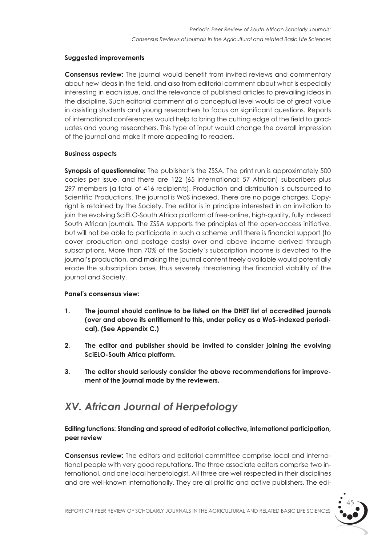#### **Suggested improvements**

**Consensus review:** The journal would benefit from invited reviews and commentary about new ideas in the field, and also from editorial comment about what is especially interesting in each issue, and the relevance of published articles to prevailing ideas in the discipline. Such editorial comment at a conceptual level would be of great value in assisting students and young researchers to focus on significant questions. Reports of international conferences would help to bring the cutting edge of the field to graduates and young researchers. This type of input would change the overall impression of the journal and make it more appealing to readers.

#### **Business aspects**

**Synopsis of questionnaire:** The publisher is the ZSSA. The print run is approximately 500 copies per issue, and there are 122 (65 international; 57 African) subscribers plus 297 members (a total of 416 recipients). Production and distribution is outsourced to Scientific Productions. The journal is WoS indexed. There are no page charges. Copyright is retained by the Society. The editor is in principle interested in an invitation to join the evolving SciELO-South Africa platform of free-online, high-quality, fully indexed South African journals. The ZSSA supports the principles of the open-access initiative, but will not be able to participate in such a scheme until there is financial support (to cover production and postage costs) over and above income derived through subscriptions. More than 70% of the Society's subscription income is devoted to the journal's production, and making the journal content freely available would potentially erode the subscription base, thus severely threatening the financial viability of the journal and Society.

#### **Panel's consensus view:**

- **1. The journal should continue to be listed on the DHET list of accredited journals (over and above its entitlement to this, under policy as a WoS-indexed periodical). (See Appendix C.)**
- **2. The editor and publisher should be invited to consider joining the evolving SciELO-South Africa platform.**
- **3. The editor should seriously consider the above recommendations for improvement of the journal made by the reviewers.**

## *XV. African Journal of Herpetology*

#### **Editing functions: Standing and spread of editorial collective, international participation, peer review**

**Consensus review:** The editors and editorial committee comprise local and international people with very good reputations. The three associate editors comprise two international, and one local herpetologist. All three are well respected in their disciplines and are well-known internationally. They are all prolific and active publishers. The edi-

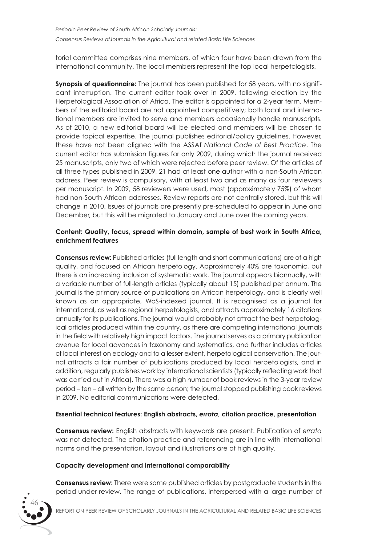torial committee comprises nine members, of which four have been drawn from the international community. The local members represent the top local herpetologists.

**Synopsis of questionnaire:** The journal has been published for 58 years, with no significant interruption. The current editor took over in 2009, following election by the Herpetological Association of Africa. The editor is appointed for a 2-year term. Members of the editorial board are not appointed competitively; both local and international members are invited to serve and members occasionally handle manuscripts. As of 2010, a new editorial board will be elected and members will be chosen to provide topical expertise. The journal publishes editorial/policy guidelines. However, these have not been aligned with the ASSAf *National Code of Best Practice*. The current editor has submission figures for only 2009, during which the journal received 25 manuscripts, only two of which were rejected before peer review. Of the articles of all three types published in 2009, 21 had at least one author with a non-South African address. Peer review is compulsory, with at least two and as many as four reviewers per manuscript. In 2009, 58 reviewers were used, most (approximately 75%) of whom had non-South African addresses. Review reports are not centrally stored, but this will change in 2010. Issues of journals are presently pre-scheduled to appear in June and December, but this will be migrated to January and June over the coming years.

#### **Content: Quality, focus, spread within domain, sample of best work in South Africa, enrichment features**

**Consensus review:** Published articles (full length and short communications) are of a high quality, and focused on African herpetology. Approximately 40% are taxonomic, but there is an increasing inclusion of systematic work. The journal appears biannually, with a variable number of full-length articles (typically about 15) published per annum. The journal is the primary source of publications on African herpetology, and is clearly well known as an appropriate, WoS-indexed journal. It is recognised as a journal for international, as well as regional herpetologists, and attracts approximately 16 citations annually for its publications. The journal would probably not attract the best herpetological articles produced within the country, as there are competing international journals in the field with relatively high impact factors. The journal serves as a primary publication avenue for local advances in taxonomy and systematics, and further includes articles of local interest on ecology and to a lesser extent, herpetological conservation. The journal attracts a fair number of publications produced by local herpetologists, and in addition, regularly publishes work by international scientists (typically reflecting work that was carried out in Africa). There was a high number of book reviews in the 3-year review period – ten – all written by the same person; the journal stopped publishing book reviews in 2009. No editorial communications were detected.

#### **Essential technical features: English abstracts,** *errata***, citation practice, presentation**

**Consensus review:** English abstracts with keywords are present. Publication of *errata* was not detected. The citation practice and referencing are in line with international norms and the presentation, layout and illustrations are of high quality.

#### **Capacity development and international comparability**

**Consensus review:** There were some published articles by postgraduate students in the period under review. The range of publications, interspersed with a large number of

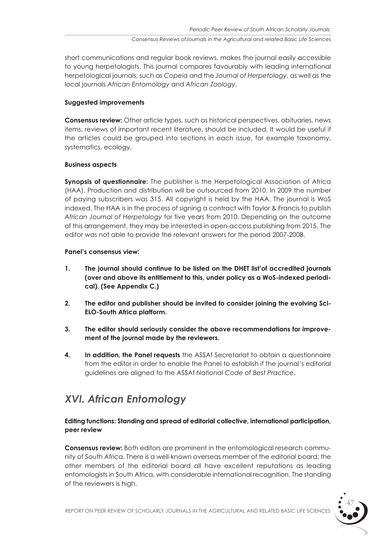short communications and regular book reviews, makes the journal easily accessible to young herpetologists. This journal compares favourably with leading international herpetological journals, such as *Copeia* and the *Journal of Herpetology*, as well as the local journals *African Entomology* and *African Zoology*.

#### **Suggested improvements**

**Consensus review:** Other article types, such as historical perspectives, obituaries, news items, reviews of important recent literature, should be included. It would be useful if the articles could be grouped into sections in each issue, for example taxonomy, systematics, ecology.

#### **Business aspects**

**Synopsis of questionnaire:** The publisher is the Herpetological Association of Africa (HAA). Production and distribution will be outsourced from 2010. In 2009 the number of paying subscribers was 315. All copyright is held by the HAA. The journal is WoS indexed. The HAA is in the process of signing a contract with Taylor & Francis to publish *African Journal of Herpetology* for five years from 2010. Depending on the outcome of this arrangement, they may be interested in open-access publishing from 2015. The editor was not able to provide the relevant answers for the period 2007-2008.

#### **Panel's consensus view:**

- **1. The journal should continue to be listed on the DHET list'of accredited journals (over and above its entitlement to this, under policy as a WoS-indexed periodical). (See Appendix C.)**
- **2. The editor and publisher should be invited to consider joining the evolving Sci-ELO-South Africa platform.**
- **3. The editor should seriously consider the above recommendations for improvement of the journal made by the reviewers.**
- **4. In addition, the Panel requests** the ASSAf Secretariat to obtain a questionnaire from the editor in order to enable the Panel to establish if the journal's editorial guidelines are aligned to the ASSAf *National Code of Best Practice*.

## *XVI. African Entomology*

#### **Editing functions: Standing and spread of editorial collective, international participation, peer review**

**Consensus review:** Both editors are prominent in the entomological research community of South Africa. There is a well-known overseas member of the editorial board; the other members of the editorial board all have excellent reputations as leading entomologists in South Africa, with considerable international recognition. The standing of the reviewers is high.

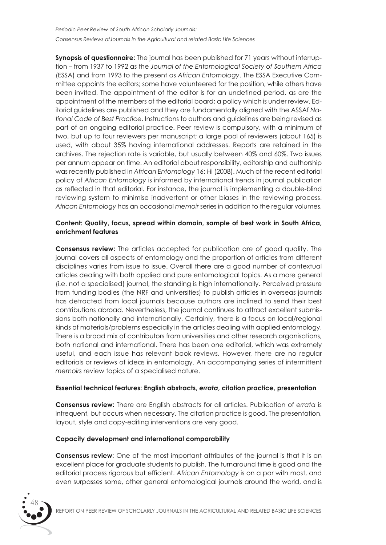**Synopsis of questionnaire:** The journal has been published for 71 years without interruption – from 1937 to 1992 as the *Journal of the Entomological Society of Southern Africa* (ESSA) and from 1993 to the present as *African Entomology*. The ESSA Executive Committee appoints the editors; some have volunteered for the position, while others have been invited. The appointment of the editor is for an undefined period, as are the appointment of the members of the editorial board; a policy which is under review. Editorial guidelines are published and they are fundamentally aligned with the ASSAf *National Code of Best Practice*. Instructions to authors and guidelines are being revised as part of an ongoing editorial practice. Peer review is compulsory, with a minimum of two, but up to four reviewers per manuscript; a large pool of reviewers (about 165) is used, with about 35% having international addresses. Reports are retained in the archives. The rejection rate is variable, but usually between 40% and 60%. Two issues per annum appear on time. An editorial about responsibility, editorship and authorship was recently published in *African Entomology* 16: i-ii (2008). Much of the recent editorial policy of *African Entomology* is informed by international trends in journal publication as reflected in that editorial. For instance, the journal is implementing a double-blind reviewing system to minimise inadvertent or other biases in the reviewing process. *African Entomology* has an occasional *memoir* series in addition to the regular volumes.

#### **Content: Quality, focus, spread within domain, sample of best work in South Africa, enrichment features**

**Consensus review:** The articles accepted for publication are of good quality. The journal covers all aspects of entomology and the proportion of articles from different disciplines varies from issue to issue. Overall there are a good number of contextual articles dealing with both applied and pure entomological topics. As a more general (i.e. not a specialised) journal, the standing is high internationally. Perceived pressure from funding bodies (the NRF and universities) to publish articles in overseas journals has detracted from local journals because authors are inclined to send their best contributions abroad. Nevertheless, the journal continues to attract excellent submissions both nationally and internationally. Certainly, there is a focus on local/regional kinds of materials/problems especially in the articles dealing with applied entomology. There is a broad mix of contributors from universities and other research organisations, both national and international. There has been one editorial, which was extremely useful, and each issue has relevant book reviews. However, there are no regular editorials or reviews of ideas in entomology. An accompanying series of intermittent *memoirs* review topics of a specialised nature.

#### **Essential technical features: English abstracts,** *errata***, citation practice, presentation**

**Consensus review:** There are English abstracts for all articles. Publication of *errata* is infrequent, but occurs when necessary. The citation practice is good. The presentation, layout, style and copy-editing interventions are very good.

#### **Capacity development and international comparability**

**Consensus review:** One of the most important attributes of the journal is that it is an excellent place for graduate students to publish. The turnaround time is good and the editorial process rigorous but efficient. *African Entomology* is on a par with most, and even surpasses some, other general entomological journals around the world, and is

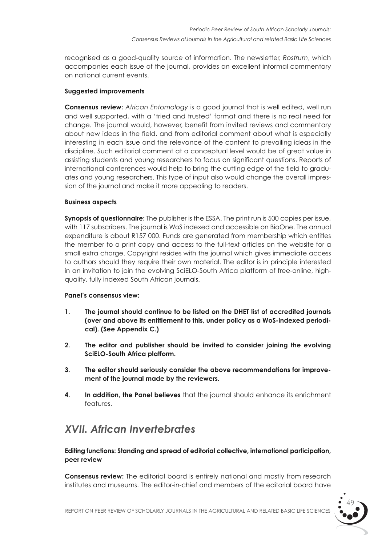recognised as a good-quality source of information. The newsletter, *Rostrum*, which accompanies each issue of the journal, provides an excellent informal commentary on national current events.

#### **Suggested improvements**

**Consensus review:** *African Entomology* is a good journal that is well edited, well run and well supported, with a 'tried and trusted' format and there is no real need for change. The journal would, however, benefit from invited reviews and commentary about new ideas in the field, and from editorial comment about what is especially interesting in each issue and the relevance of the content to prevailing ideas in the discipline. Such editorial comment at a conceptual level would be of great value in assisting students and young researchers to focus on significant questions. Reports of international conferences would help to bring the cutting edge of the field to graduates and young researchers. This type of input also would change the overall impression of the journal and make it more appealing to readers.

#### **Business aspects**

**Synopsis of questionnaire:** The publisher is the ESSA. The print run is 500 copies per issue, with 117 subscribers. The journal is WoS indexed and accessible on BioOne. The annual expenditure is about R157 000. Funds are generated from membership which entitles the member to a print copy and access to the full-text articles on the website for a small extra charge. Copyright resides with the journal which gives immediate access to authors should they require their own material. The editor is in principle interested in an invitation to join the evolving SciELO-South Africa platform of free-online, highquality, fully indexed South African journals.

#### **Panel's consensus view:**

- **1. The journal should continue to be listed on the DHET list of accredited journals (over and above its entitlement to this, under policy as a WoS-indexed periodical). (See Appendix C.)**
- **2. The editor and publisher should be invited to consider joining the evolving SciELO-South Africa platform.**
- **3. The editor should seriously consider the above recommendations for improvement of the journal made by the reviewers.**
- **4. In addition, the Panel believes** that the journal should enhance its enrichment features.

## *XVII. African Invertebrates*

**Editing functions: Standing and spread of editorial collective, international participation, peer review**

**Consensus review:** The editorial board is entirely national and mostly from research institutes and museums. The editor-in-chief and members of the editorial board have

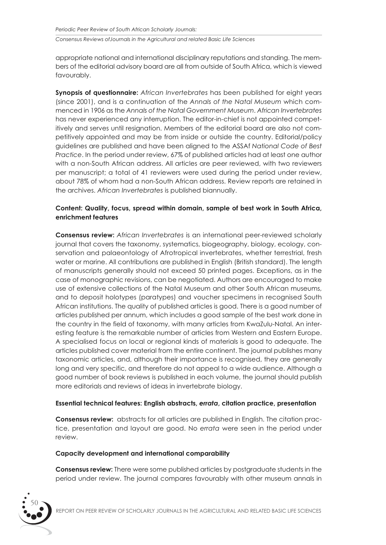appropriate national and international disciplinary reputations and standing. The members of the editorial advisory board are all from outside of South Africa, which is viewed favourably.

**Synopsis of questionnaire:** *African Invertebrates* has been published for eight years (since 2001), and is a continuation of the *Annals of the Natal Museum* which commenced in 1906 as the *Annals of the Natal Government Museum*. *African Invertebrates* has never experienced any interruption. The editor-in-chief is not appointed competitively and serves until resignation. Members of the editorial board are also not competitively appointed and may be from inside or outside the country. Editorial/policy guidelines are published and have been aligned to the ASSAf *National Code of Best Practice*. In the period under review, 67% of published articles had at least one author with a non-South African address. All articles are peer reviewed, with two reviewers per manuscript; a total of 41 reviewers were used during the period under review, about 78% of whom had a non-South African address. Review reports are retained in the archives. *African Invertebrates* is published biannually.

#### **Content: Quality, focus, spread within domain, sample of best work in South Africa, enrichment features**

**Consensus review:** *African Invertebrates* is an international peer-reviewed scholarly journal that covers the taxonomy, systematics, biogeography, biology, ecology, conservation and palaeontology of Afrotropical invertebrates, whether terrestrial, fresh water or marine. All contributions are published in English (British standard). The length of manuscripts generally should not exceed 50 printed pages. Exceptions, as in the case of monographic revisions, can be negotiated. Authors are encouraged to make use of extensive collections of the Natal Museum and other South African museums, and to deposit holotypes (paratypes) and voucher specimens in recognised South African institutions. The quality of published articles is good. There is a good number of articles published per annum, which includes a good sample of the best work done in the country in the field of taxonomy, with many articles from KwaZulu-Natal. An interesting feature is the remarkable number of articles from Western and Eastern Europe. A specialised focus on local or regional kinds of materials is good to adequate. The articles published cover material from the entire continent. The journal publishes many taxonomic articles, and, although their importance is recognised, they are generally long and very specific, and therefore do not appeal to a wide audience. Although a good number of book reviews is published in each volume, the journal should publish more editorials and reviews of ideas in invertebrate biology.

#### **Essential technical features: English abstracts,** *errata***, citation practice, presentation**

**Consensus review:** abstracts for all articles are published in English. The citation practice, presentation and layout are good. No *errata* were seen in the period under review.

#### **Capacity development and international comparability**

**Consensus review:** There were some published articles by postgraduate students in the period under review. The journal compares favourably with other museum annals in

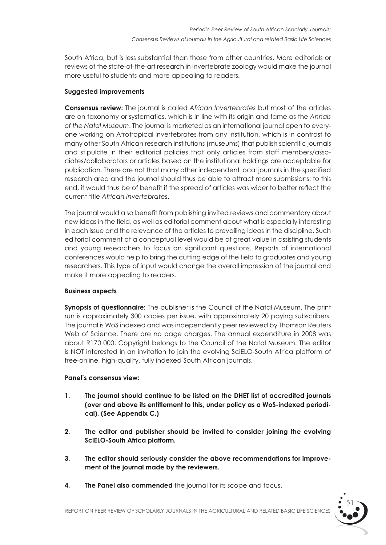South Africa, but is less substantial than those from other countries. More editorials or reviews of the state-of-the-art research in invertebrate zoology would make the journal more useful to students and more appealing to readers.

#### **Suggested improvements**

**Consensus review:** The journal is called *African Invertebrates* but most of the articles are on taxonomy or systematics, which is in line with its origin and fame as the *Annals of the Natal Museum*. The journal is marketed as an international journal open to everyone working on Afrotropical invertebrates from any institution, which is in contrast to many other South African research institutions (museums) that publish scientific journals and stipulate in their editorial policies that only articles from staff members/associates/collaborators or articles based on the institutional holdings are acceptable for publication. There are not that many other independent local journals in the specified research area and the journal should thus be able to attract more submissions; to this end, it would thus be of benefit if the spread of articles was wider to better reflect the current title *African Invertebrates*.

The journal would also benefit from publishing invited reviews and commentary about new ideas in the field, as well as editorial comment about what is especially interesting in each issue and the relevance of the articles to prevailing ideas in the discipline. Such editorial comment at a conceptual level would be of great value in assisting students and young researchers to focus on significant questions. Reports of international conferences would help to bring the cutting edge of the field to graduates and young researchers. This type of input would change the overall impression of the journal and make it more appealing to readers.

#### **Business aspects**

**Synopsis of questionnaire:** The publisher is the Council of the Natal Museum. The print run is approximately 300 copies per issue, with approximately 20 paying subscribers. The journal is WoS indexed and was independently peer reviewed by Thomson Reuters Web of Science. There are no page charges. The annual expenditure in 2008 was about R170 000. Copyright belongs to the Council of the Natal Museum. The editor is NOT interested in an invitation to join the evolving SciELO-South Africa platform of free-online, high-quality, fully indexed South African journals.

#### **Panel's consensus view:**

- **1. The journal should continue to be listed on the DHET list of accredited journals (over and above its entitlement to this, under policy as a WoS-indexed periodical). (See Appendix C.)**
- **2. The editor and publisher should be invited to consider joining the evolving SciELO-South Africa platform.**
- **3. The editor should seriously consider the above recommendations for improvement of the journal made by the reviewers.**
- **4. The Panel also commended** the journal for its scope and focus.

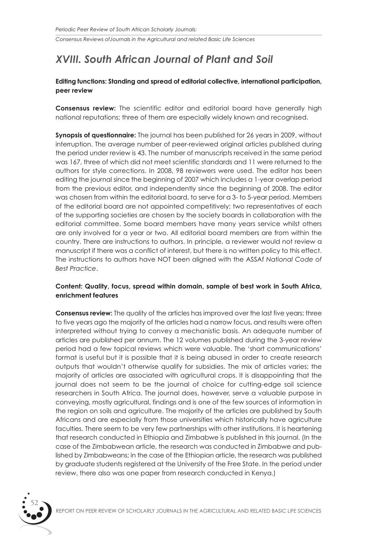## *XVIII. South African Journal of Plant and Soil*

#### **Editing functions: Standing and spread of editorial collective, international participation, peer review**

**Consensus review:** The scientific editor and editorial board have generally high national reputations; three of them are especially widely known and recognised.

**Synopsis of questionnaire:** The journal has been published for 26 years in 2009, without interruption. The average number of peer-reviewed original articles published during the period under review is 43. The number of manuscripts received in the same period was 167, three of which did not meet scientific standards and 11 were returned to the authors for style corrections. In 2008, 98 reviewers were used. The editor has been editing the journal since the beginning of 2007 which includes a 1-year overlap period from the previous editor, and independently since the beginning of 2008. The editor was chosen from within the editorial board, to serve for a 3- to 5-year period. Members of the editorial board are not appointed competitively; two representatives of each of the supporting societies are chosen by the society boards in collaboration with the editorial committee. Some board members have many years service whilst others are only involved for a year or two. All editorial board members are from within the country. There are instructions to authors. In principle, a reviewer would not review a manuscript if there was a conflict of interest, but there is no written policy to this effect. The instructions to authors have NOT been aligned with the ASSAf *National Code of Best Practice*.

#### **Content: Quality, focus, spread within domain, sample of best work in South Africa, enrichment features**

**Consensus review:** The quality of the articles has improved over the last five years; three to five years ago the majority of the articles had a narrow focus, and results were often interpreted without trying to convey a mechanistic basis. An adequate number of articles are published per annum. The 12 volumes published during the 3-year review period had a few topical reviews which were valuable. The 'short communications' format is useful but it is possible that it is being abused in order to create research outputs that wouldn't otherwise qualify for subsidies. The mix of articles varies; the majority of articles are associated with agricultural crops. It is disappointing that the journal does not seem to be the journal of choice for cutting-edge soil science researchers in South Africa. The journal does, however, serve a valuable purpose in conveying, mostly agricultural, findings and is one of the few sources of information in the region on soils and agriculture. The majority of the articles are published by South Africans and are especially from those universities which historically have agriculture faculties. There seem to be very few partnerships with other institutions. It is heartening that research conducted in Ethiopia and Zimbabwe is published in this journal. (In the case of the Zimbabwean article, the research was conducted in Zimbabwe and published by Zimbabweans; in the case of the Ethiopian article, the research was published by graduate students registered at the University of the Free State. In the period under review, there also was one paper from research conducted in Kenya.)

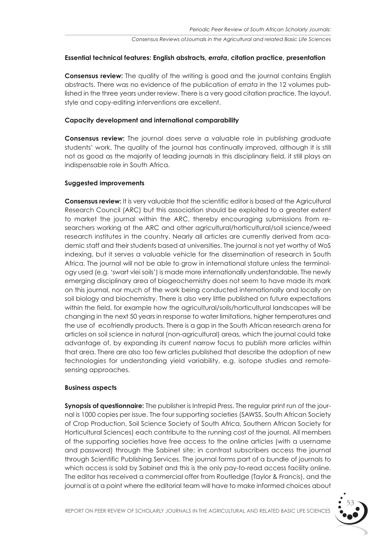#### **Essential technical features: English abstracts,** *errata***, citation practice, presentation**

**Consensus review:** The quality of the writing is good and the journal contains English abstracts. There was no evidence of the publication of *errata* in the 12 volumes published in the three years under review. There is a very good citation practice. The layout, style and copy-editing interventions are excellent.

#### **Capacity development and international comparability**

**Consensus review:** The journal does serve a valuable role in publishing graduate students' work. The quality of the journal has continually improved, although it is still not as good as the majority of leading journals in this disciplinary field, it still plays an indispensable role in South Africa.

#### **Suggested improvements**

**Consensus review:** It is very valuable that the scientific editor is based at the Agricultural Research Council (ARC) but this association should be exploited to a greater extent to market the journal within the ARC, thereby encouraging submissions from researchers working at the ARC and other agricultural/horticultural/soil science/weed research institutes in the country. Nearly all articles are currently derived from academic staff and their students based at universities. The journal is not yet worthy of WoS indexing, but it serves a valuable vehicle for the dissemination of research in South Africa. The journal will not be able to grow in international stature unless the terminology used (e.g. 'swart vlei soils') is made more internationally understandable. The newly emerging disciplinary area of biogeochemistry does not seem to have made its mark on this journal, nor much of the work being conducted internationally and locally on soil biology and biochemistry. There is also very little published on future expectations within the field, for example how the agricultural/soils/horticultural landscapes will be changing in the next 50 years in response to water limitations, higher temperatures and the use of ecofriendly products. There is a gap in the South African research arena for articles on soil science in natural (non-agricultural) areas, which the journal could take advantage of, by expanding its current narrow focus to publish more articles within that area. There are also too few articles published that describe the adoption of new technologies for understanding yield variability, e.g. isotope studies and remotesensing approaches.

#### **Business aspects**

**Synopsis of questionnaire:** The publisher is Intrepid Press. The regular print run of the journal is 1000 copies per issue. The four supporting societies (SAWSS, South African Society of Crop Production, Soil Science Society of South Africa, Southern African Society for Horticultural Sciences) each contribute to the running cost of the journal. All members of the supporting societies have free access to the online articles (with a username and password) through the Sabinet site; in contrast subscribers access the journal through Scientific Publishing Services. The journal forms part of a bundle of journals to which access is sold by Sabinet and this is the only pay-to-read access facility online. The editor has received a commercial offer from Routledge (Taylor & Francis), and the journal is at a point where the editorial team will have to make informed choices about

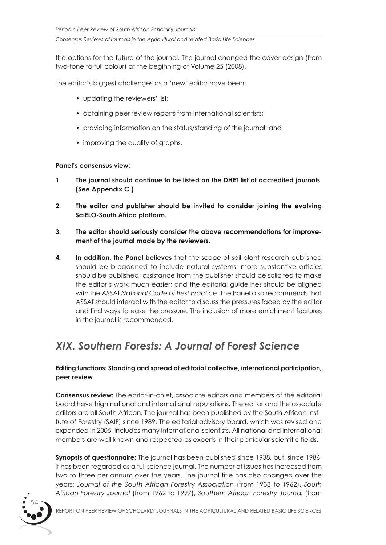the options for the future of the journal. The journal changed the cover design (from two-tone to full colour) at the beginning of Volume 25 (2008).

The editor's biggest challenges as a 'new' editor have been:

- updating the reviewers' list;
- obtaining peer review reports from international scientists;
- providing information on the status/standing of the journal; and
- improving the quality of graphs.

#### **Panel's consensus view:**

- **1. The journal should continue to be listed on the DHET list of accredited journals. (See Appendix C.)**
- **2. The editor and publisher should be invited to consider joining the evolving SciELO-South Africa platform.**
- **3. The editor should seriously consider the above recommendations for improvement of the journal made by the reviewers.**
- **4. In addition, the Panel believes** that the scope of soil plant research published should be broadened to include natural systems; more substantive articles should be published; assistance from the publisher should be solicited to make the editor's work much easier; and the editorial guidelines should be aligned with the ASSAf *National Code of Best Practice*. The Panel also recommends that ASSAf should interact with the editor to discuss the pressures faced by the editor and find ways to ease the pressure. The inclusion of more enrichment features in the journal is recommended.

## *XIX. Southern Forests: A Journal of Forest Science*

#### **Editing functions: Standing and spread of editorial collective, international participation, peer review**

**Consensus review:** The editor-in-chief, associate editors and members of the editorial board have high national and international reputations. The editor and the associate editors are all South African. The journal has been published by the South African Institute of Forestry (SAIF) since 1989. The editorial advisory board, which was revised and expanded in 2005, includes many international scientists. All national and international members are well known and respected as experts in their particular scientific fields.

**Synopsis of questionnaire:** The journal has been published since 1938, but, since 1986, it has been regarded as a full science journal. The number of issues has increased from two to three per annum over the years. The journal title has also changed over the years: *Journal of the South African Forestry Association* (from 1938 to 1962), *South African Forestry Journal* (from 1962 to 1997), *Southern African Forestry Journal* (from

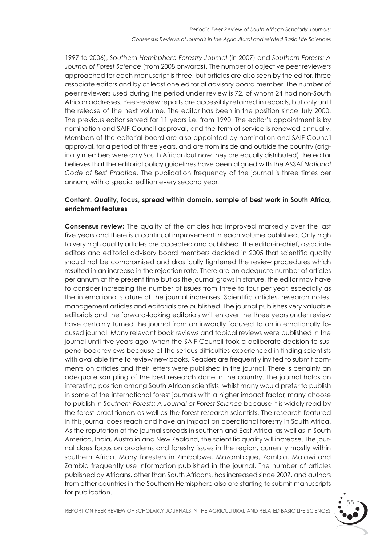1997 to 2006), *Southern Hemisphere Forestry Journal* (in 2007) and *Southern Forests: A Journal of Forest Science* (from 2008 onwards). The number of objective peer reviewers approached for each manuscript is three, but articles are also seen by the editor, three associate editors and by at least one editorial advisory board member. The number of peer reviewers used during the period under review is 72, of whom 24 had non-South African addresses. Peer-review reports are accessibly retained in records, but only until the release of the next volume. The editor has been in the position since July 2000. The previous editor served for 11 years i.e. from 1990. The editor's appointment is by nomination and SAIF Council approval, and the term of service is renewed annually. Members of the editorial board are also appointed by nomination and SAIF Council approval, for a period of three years, and are from inside and outside the country (originally members were only South African but now they are equally distributed) The editor believes that the editorial policy guidelines have been aligned with the ASSAf *National Code of Best Practice*. The publication frequency of the journal is three times per annum, with a special edition every second year.

#### **Content: Quality, focus, spread within domain, sample of best work in South Africa, enrichment features**

**Consensus review:** The quality of the articles has improved markedly over the last five years and there is a continual improvement in each volume published. Only high to very high quality articles are accepted and published. The editor-in-chief, associate editors and editorial advisory board members decided in 2005 that scientific quality should not be compromised and drastically tightened the review procedures which resulted in an increase in the rejection rate. There are an adequate number of articles per annum at the present time but as the journal grows in stature, the editor may have to consider increasing the number of issues from three to four per year, especially as the international stature of the journal increases. Scientific articles, research notes, management articles and editorials are published. The journal publishes very valuable editorials and the forward-looking editorials written over the three years under review have certainly turned the journal from an inwardly focused to an internationally focused journal. Many relevant book reviews and topical reviews were published in the journal until five years ago, when the SAIF Council took a deliberate decision to suspend book reviews because of the serious difficulties experienced in finding scientists with available time to review new books. Readers are frequently invited to submit comments on articles and their letters were published in the journal. There is certainly an adequate sampling of the best research done in the country. The journal holds an interesting position among South African scientists: whilst many would prefer to publish in some of the international forest journals with a higher impact factor, many choose to publish in *Southern Forests: A Journal of Forest Science* because it is widely read by the forest practitioners as well as the forest research scientists. The research featured in this journal does reach and have an impact on operational forestry in South Africa. As the reputation of the journal spreads in southern and East Africa, as well as in South America, India, Australia and New Zealand, the scientific quality will increase. The journal does focus on problems and forestry issues in the region, currently mostly within southern Africa. Many foresters in Zimbabwe, Mozambique, Zambia, Malawi and Zambia frequently use information published in the journal. The number of articles published by Africans, other than South Africans, has increased since 2007, and authors from other countries in the Southern Hemisphere also are starting to submit manuscripts for publication.

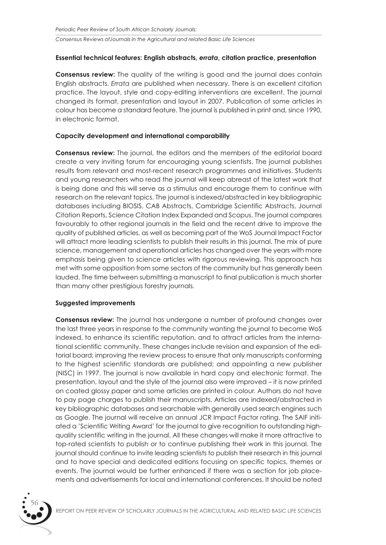#### **Essential technical features: English abstracts,** *errata***, citation practice, presentation**

**Consensus review:** The quality of the writing is good and the journal does contain English abstracts. *Errata* are published when necessary. There is an excellent citation practice. The layout, style and copy-editing interventions are excellent. The journal changed its format, presentation and layout in 2007. Publication of some articles in colour has become a standard feature. The journal is published in print and, since 1990, in electronic format.

#### **Capacity development and international comparability**

**Consensus review:** The journal, the editors and the members of the editorial board create a very inviting forum for encouraging young scientists. The journal publishes results from relevant and most-recent research programmes and initiatives. Students and young researchers who read the journal will keep abreast of the latest work that is being done and this will serve as a stimulus and encourage them to continue with research on the relevant topics. The journal is indexed/abstracted in key bibliographic databases including BIOSIS, CAB Abstracts, Cambridge Scientific Abstracts, Journal Citation Reports, Science Citation Index Expanded and Scopus. The journal compares favourably to other regional journals in the field and the recent drive to improve the quality of published articles, as well as becoming part of the WoS Journal Impact Factor will attract more leading scientists to publish their results in this journal. The mix of pure science, management and operational articles has changed over the years with more emphasis being given to science articles with rigorous reviewing. This approach has met with some opposition from some sectors of the community but has generally been lauded. The time between submitting a manuscript to final publication is much shorter than many other prestigious forestry journals.

#### **Suggested improvements**

**Consensus review:** The journal has undergone a number of profound changes over the last three years in response to the community wanting the journal to become WoS indexed, to enhance its scientific reputation, and to attract articles from the international scientific community. These changes include revision and expansion of the editorial board; improving the review process to ensure that only manuscripts conforming to the highest scientific standards are published; and appointing a new publisher (NISC) in 1997. The journal is now available in hard copy and electronic format. The presentation, layout and the style of the journal also were improved – it is now printed on coated glossy paper and some articles are printed in colour. Authors do not have to pay page charges to publish their manuscripts. Articles are indexed/abstracted in key bibliographic databases and searchable with generally used search engines such as Google. The journal will receive an annual JCR Impact Factor rating. The SAIF initiated a 'Scientific Writing Award' for the journal to give recognition to outstanding highquality scientific writing in the journal. All these changes will make it more attractive to top-rated scientists to publish or to continue publishing their work in this journal. The journal should continue to invite leading scientists to publish their research in this journal and to have special and dedicated editions focusing on specific topics, themes or events. The journal would be further enhanced if there was a section for job placements and advertisements for local and international conferences. It should be noted

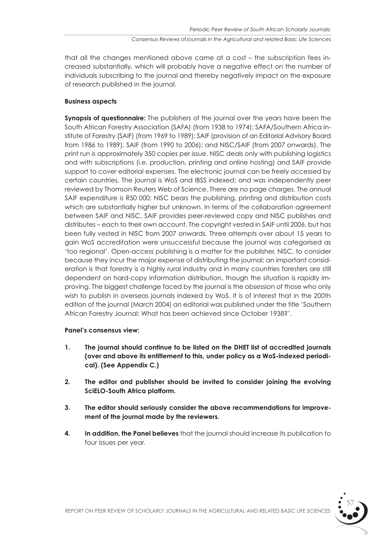that all the changes mentioned above came at a cost – the subscription fees increased substantially, which will probably have a negative effect on the number of individuals subscribing to the journal and thereby negatively impact on the exposure of research published in the journal.

#### **Business aspects**

**Synopsis of questionnaire:** The publishers of the journal over the years have been the South African Forestry Association (SAFA) (from 1938 to 1974); SAFA/Southern Africa Institute of Forestry (SAIF) (from 1969 to 1989); SAIF (provision of an Editorial Advisory Board from 1986 to 1989), SAIF (from 1990 to 2006); and NISC/SAIF (from 2007 onwards). The print run is approximately 350 copies per issue. NISC deals only with publishing logistics and with subscriptions (i.e. production, printing and online hosting) and SAIF provide support to cover editorial expenses. The electronic journal can be freely accessed by certain countries. The journal is WoS and IBSS indexed; and was independently peer reviewed by Thomson Reuters Web of Science. There are no page charges. The annual SAIF expenditure is R50 000; NISC bears the publishing, printing and distribution costs which are substantially higher but unknown. In terms of the collaboration agreement between SAIF and NISC, SAIF provides peer-reviewed copy and NISC publishes and distributes – each to their own account. The copyright vested in SAIF until 2006, but has been fully vested in NISC from 2007 onwards. Three attempts over about 15 years to gain WoS accreditation were unsuccessful because the journal was categorised as 'too regional'. Open-access publishing is a matter for the publisher, NISC, to consider because they incur the major expense of distributing the journal; an important consideration is that forestry is a highly rural industry and in many countries foresters are still dependent on hard-copy information distribution, though the situation is rapidly improving. The biggest challenge faced by the journal is the obsession of those who only wish to publish in overseas journals indexed by WoS. It is of interest that in the 200th edition of the journal (March 2004) an editorial was published under the title 'Southern African Forestry Journal: What has been achieved since October 1938?'.

#### **Panel's consensus view:**

- **1. The journal should continue to be listed on the DHET list of accredited journals (over and above its entitlement to this, under policy as a WoS-indexed periodical). (See Appendix C.)**
- **2. The editor and publisher should be invited to consider joining the evolving SciELO-South Africa platform.**
- **3. The editor should seriously consider the above recommendations for improvement of the journal made by the reviewers.**
- **4. In addition, the Panel believes** that the journal should increase its publication to four issues per year.

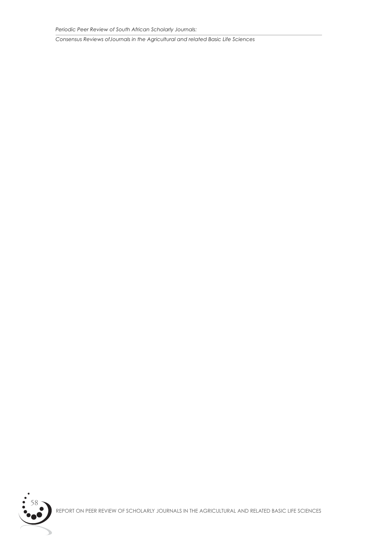

REPORT ON PEER REVIEW OF SCHOLARLY JOURNALS IN THE AGRICULTURAL AND RELATED BASIC LIFE SCIENCES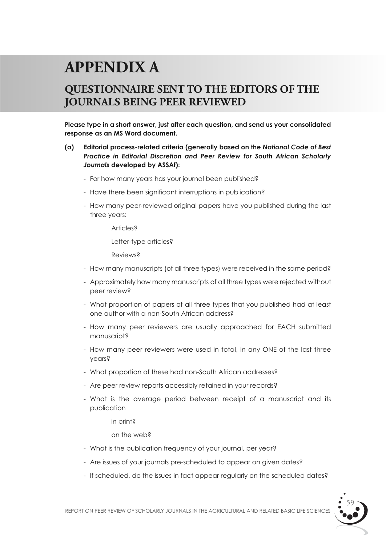# **APPENDIX A**

## **QUESTIONNAIRE SENT TO THE EDITORS OF THE JOURNALS BEING PEER REVIEWED**

**Please type in a short answer, just after each question, and send us your consolidated response as an MS Word document.**

- **(a) Editorial process-related criteria (generally based on the** *National Code of Best Practice in Editorial Discretion and Peer Review for South African Scholarly Journals* **developed by ASSAf):**
	- For how many years has your journal been published?
	- Have there been significant interruptions in publication?
	- How many peer-reviewed original papers have you published during the last three years:

Articles?

Letter-type articles?

Reviews?

- How many manuscripts (of all three types) were received in the same period?
- Approximately how many manuscripts of all three types were rejected without peer review?
- What proportion of papers of all three types that you published had at least one author with a non-South African address?
- How many peer reviewers are usually approached for EACH submitted manuscript?
- How many peer reviewers were used in total, in any ONE of the last three years?
- What proportion of these had non-South African addresses?
- Are peer review reports accessibly retained in your records?
- What is the average period between receipt of a manuscript and its publication

#### in print?

on the web?

- What is the publication frequency of your journal, per year?
- Are issues of your journals pre-scheduled to appear on given dates?
- If scheduled, do the issues in fact appear regularly on the scheduled dates?

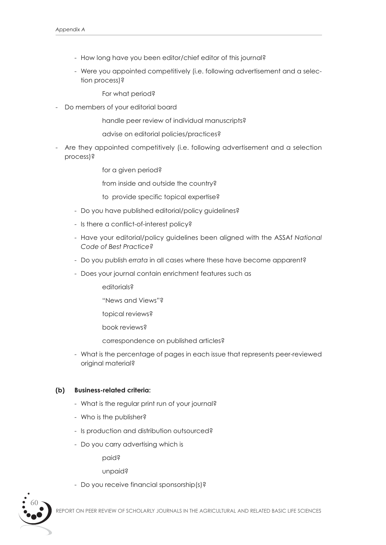- How long have you been editor/chief editor of this journal?
- Were you appointed competitively (i.e. following advertisement and a selection process)?

For what period?

Do members of your editorial board

handle peer review of individual manuscripts?

advise on editorial policies/practices?

Are they appointed competitively (i.e. following advertisement and a selection process)?

for a given period?

from inside and outside the country?

- to provide specific topical expertise?
- Do you have published editorial/policy guidelines?
- Is there a conflict-of-interest policy?
- Have your editorial/policy guidelines been aligned with the ASSAf *National Code of Best Practice?*
- Do you publish *errata* in all cases where these have become apparent?
- Does your journal contain enrichment features such as
	- editorials?
	- "News and Views"?
	- topical reviews?
	- book reviews?
	- correspondence on published articles?
- What is the percentage of pages in each issue that represents peer-reviewed original material?

#### **(b) Business-related criteria:**

- What is the regular print run of your journal?
- Who is the publisher?
- Is production and distribution outsourced?
- Do you carry advertising which is

paid?

unpaid?

- Do you receive financial sponsorship(s)?

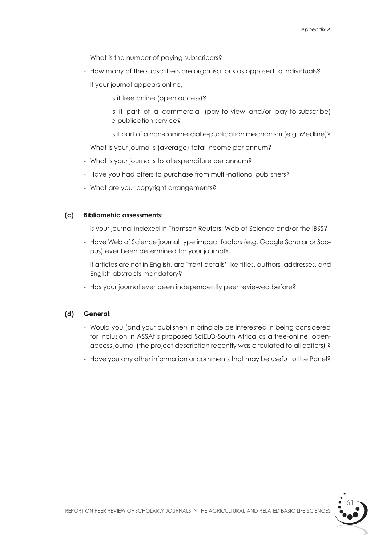- What is the number of paying subscribers?
- How many of the subscribers are organisations as opposed to individuals?
- If your journal appears online,

is it free online (open access)?

- is it part of a commercial (pay-to-view and/or pay-to-subscribe) e-publication service?
- is it part of a non-commercial e-publication mechanism (e.g. Medline)?
- What is your journal's (average) total income per annum?
- What is your journal's total expenditure per annum?
- Have you had offers to purchase from multi-national publishers?
- What are your copyright arrangements?

#### **(c) Bibliometric assessments:**

- Is your journal indexed in Thomson Reuters: Web of Science and/or the IBSS?
- Have Web of Science journal type impact factors (e.g. Google Scholar or Scopus) ever been determined for your journal?
- If articles are not in English, are 'front details' like titles, authors, addresses, and English abstracts mandatory?
- Has your journal ever been independently peer reviewed before?

#### **(d) General:**

- Would you (and your publisher) in principle be interested in being considered for inclusion in ASSAf's proposed SciELO-South Africa as a free-online, openaccess journal (the project description recently was circulated to all editors) ?
- Have you any other information or comments that may be useful to the Panel?

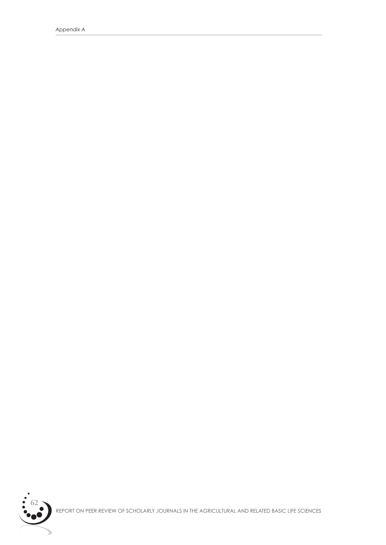

REPORT ON PEER REVIEW OF SCHOLARLY JOURNALS IN THE AGRICULTURAL AND RELATED BASIC LIFE SCIENCES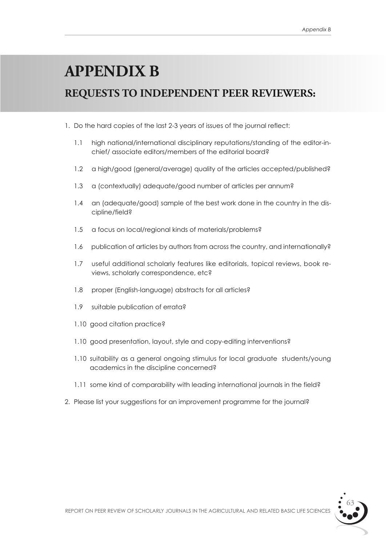## **APPENDIX B**

## **REQUESTS TO INDEPENDENT PEER REVIEWERS:**

- 1. Do the hard copies of the last 2-3 years of issues of the journal reflect:
	- 1.1 high national/international disciplinary reputations/standing of the editor-inchief/ associate editors/members of the editorial board?
	- 1.2 a high/good (general/average) quality of the articles accepted/published?
	- 1.3 a (contextually) adequate/good number of articles per annum?
	- 1.4 an (adequate/good) sample of the best work done in the country in the discipline/field?
	- 1.5 a focus on local/regional kinds of materials/problems?
	- 1.6 publication of articles by authors from across the country, and internationally?
	- 1.7 useful additional scholarly features like editorials, topical reviews, book reviews, scholarly correspondence, etc?
	- 1.8 proper (English-language) abstracts for all articles?
	- 1.9 suitable publication of errata?
	- 1.10 good citation practice?
	- 1.10 good presentation, layout, style and copy-editing interventions?
	- 1.10 suitability as a general ongoing stimulus for local graduate students/young academics in the discipline concerned?
	- 1.11 some kind of comparability with leading international journals in the field?
- 2. Please list your suggestions for an improvement programme for the journal?

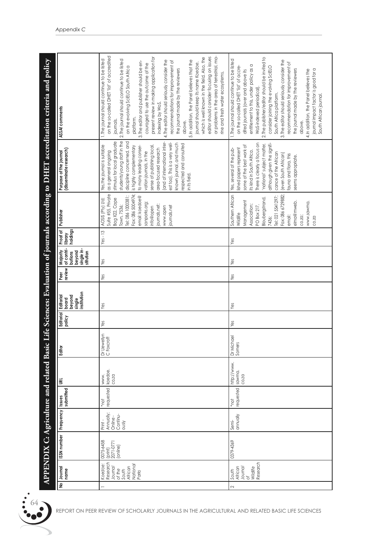|                                                                                   | APPENDIX C: Agriculture and related Basic   |                                                      |                               |                                |                            |                     |                                                       |                |                                                                        |                                 |                                                                                                                                                                                                               |                                                                                                                                                                                                                                                                                                                                                                                                                                 | Life Sciences: Evaluation of journals according to DHET accreditation criteria and policy                                                                                                                                                                                                                                                                                                                                                                                                                                                                                                                                                                                                                                                                              |
|-----------------------------------------------------------------------------------|---------------------------------------------|------------------------------------------------------|-------------------------------|--------------------------------|----------------------------|---------------------|-------------------------------------------------------|----------------|------------------------------------------------------------------------|---------------------------------|---------------------------------------------------------------------------------------------------------------------------------------------------------------------------------------------------------------|---------------------------------------------------------------------------------------------------------------------------------------------------------------------------------------------------------------------------------------------------------------------------------------------------------------------------------------------------------------------------------------------------------------------------------|------------------------------------------------------------------------------------------------------------------------------------------------------------------------------------------------------------------------------------------------------------------------------------------------------------------------------------------------------------------------------------------------------------------------------------------------------------------------------------------------------------------------------------------------------------------------------------------------------------------------------------------------------------------------------------------------------------------------------------------------------------------------|
| No Journal<br>name                                                                | ISSN number                                 | <b>Frequency</b>                                     | submitted<br><b>Issues</b>    | š                              | Editor                     | Editorial<br>policy | single<br>institution<br>beyond<br>Editorial<br>board | review<br>Peer | of contri-<br>single in-<br>Majority<br>beyond<br>stitution<br>butions | holdings<br>Proof of<br>library | Publisher                                                                                                                                                                                                     | Purpose of the journal<br>(disseminate research)                                                                                                                                                                                                                                                                                                                                                                                | ASSAf comments                                                                                                                                                                                                                                                                                                                                                                                                                                                                                                                                                                                                                                                                                                                                                         |
| Research<br>Koedoe:<br>National<br>African<br>Journal<br>of the<br>South<br>Parks | 0075-6458<br>${\binom{print}{2071 - 0771}}$ | Annually;<br>Online -<br>Continu-<br>ously<br>Print- | requested<br>tou <sub>*</sub> | koedoe.<br>CO.ZO<br>www.       | Dr Llewellyn<br>C Foxcroft | Yes                 | yes                                                   | Yes            | Yes                                                                    | $Yes - 13$                      | Suite #55, Private<br>Fax: 086 5004974;<br>Tel: 086 1000381;<br>email: koedoe@<br>Bag X22, Cape<br>AOSIS (PHy) Ltd;<br>sanparks.org;<br>Town, 7536;<br>journals.net;<br>journals.net<br>www.open<br>info@open | students/young staff in the<br>stimulus for local graduate<br>discipline concerned, and<br>and of international inter-<br>known journal, and much<br>est too). This is a very well-<br>respected and consulted<br>Yes, the journal is suitable<br>sense of publishing local,<br>is highly complementary<br>to many leading conser-<br>area-focused research<br>as a general ongoing<br>vation journals, in the<br>in its field. | on the so-called DHET 'list' of accredited<br>or problems in the area of terrestrial, ma-<br>editor should consider focusing on issues<br>present review in making application for<br>which is well known in the field. Also, the<br>1. The journal should continue to be listed<br>2. The journal should continue to be listed<br>5. In addition, the Panel believes that the<br>4. The editor should seriously consider the<br>recommendations for improvement of<br>3. The editor and publisher should be en-<br>journal should keep its name Koedoe,<br>couraged to use the outcome of the<br>on the evolving SciELO South Africa<br>the journal made by the reviewers<br>rine and fresh water ecosystems.<br>indexing by WoS.<br>platform.<br>journals.<br>above. |
| Research<br>Wildlife<br>Journal<br>African<br>South<br>$\vec{o}$                  | 0379-4369                                   | Semi-<br>annually                                    | requested<br>tou <sub>*</sub> | http://www.<br>sawma.<br>CO.ZO | Dr Michael<br>Somers       | yes                 | š                                                     | Yes            | Yes                                                                    | Yes                             | Fax: 086 6729882;<br>Southern African<br>Tel: 021 5541297;<br>Bloubergstrand,<br>Management<br>elma@mweb<br>www.sawma.<br>Association;<br>PO Box 217,<br>wildlife<br>email<br>CO.ZO;<br>CO.ZO<br>7436;        | There is clearly a focus on<br>although given the signifi-<br>'national' subject matter,<br>some of the best work of<br>lished papers represent<br>Yes, several of the pub-<br>its kind in South Africa.<br>cance of the African<br>(even South African)<br>fauna and flora, this<br>seems appropriate.                                                                                                                         | 2. The publisher/editor should be invited to<br>1. The journal should continue to be listed<br>3. The editor should seriously consider the<br>recommendation for improvement of<br>entitlement to this, under policy as a<br>on the so-called DHET 'list' of accre-<br>consider joining the evolving SciELO<br>journal impact factor is good for a<br>the journal made by the reviewers<br>4. In addition, the Panel believes the<br>dited journals (over and above its<br>WoS-indexed periodical)<br>South Africa platform.<br>South African journal<br>above.                                                                                                                                                                                                        |



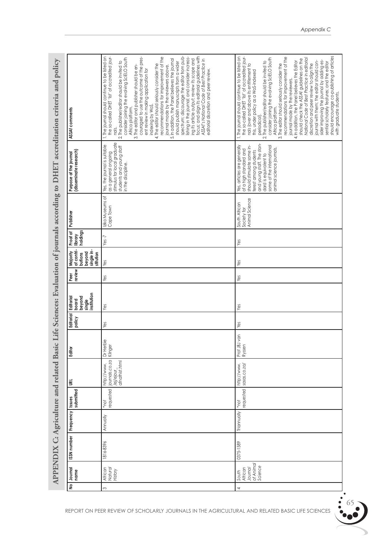| ASSAf comments                                                         | focus; and align its editorial guidelines with<br>1.The journal should continue to be listed on<br>the so-called DHET "list" of accreatied jour-<br>couraged to use the outcome of the pres-<br>recommendations for improvement of the<br>spectrum; discourage the editor from pub-<br>lishing in the journal; and consider increas-<br>consider joining the evolving SciELO South<br>ing its article output; review its scope and<br>5. In addition, the Panel believes the journal<br>ASSAF's National Code of Best Practice in<br>2. The publisher/editor should be invited to<br>should publish manuscripts from a wider<br>4. The editor should seriously consider the<br>journal made by the reviewers above.<br>3. The editor and publisher should be en-<br>ent review in making application for<br>editorial discretion and peer review.<br>indexing by WoS.<br>Africa platform.<br>nals. | should encourage co-publishing of articles<br>the so-called DHET 'list' of accredited jour-<br>1. The journal should continue to be listed on<br>recommendations for improvement of the<br>consider joining the evolving SciELO South<br>National Code of Best Practice in editorial<br>should check the ASSAf guidelines on the<br>sider improving the journal by adding es-<br>2. The publisher/editor should be invited to<br>journal with them; the editor should con-<br>4. In addition, the Panel believes the Editor<br>sential scholarly features; and the editor<br>discretion and peer review to align the<br>nals (over and above its entitlement to<br>3. The editor should seriously consider the<br>this, under policy as a WoS-indexed<br>journal made by the reviewers.<br>with graduate students.<br>Africa platform.<br>periodical) |
|------------------------------------------------------------------------|----------------------------------------------------------------------------------------------------------------------------------------------------------------------------------------------------------------------------------------------------------------------------------------------------------------------------------------------------------------------------------------------------------------------------------------------------------------------------------------------------------------------------------------------------------------------------------------------------------------------------------------------------------------------------------------------------------------------------------------------------------------------------------------------------------------------------------------------------------------------------------------------------|-------------------------------------------------------------------------------------------------------------------------------------------------------------------------------------------------------------------------------------------------------------------------------------------------------------------------------------------------------------------------------------------------------------------------------------------------------------------------------------------------------------------------------------------------------------------------------------------------------------------------------------------------------------------------------------------------------------------------------------------------------------------------------------------------------------------------------------------------------|
| (disseminate research)<br>Purpose of the journal                       | stimulus for local graduate<br>Yes, the journal is suitable<br>students and young staff<br>as a general ongoing<br>in the discipline.                                                                                                                                                                                                                                                                                                                                                                                                                                                                                                                                                                                                                                                                                                                                                              | and young staff. The stan-<br>Yes, articles are generally<br>some of the international<br>should stimulate some in-<br>animal science journals.<br>of a high standard and<br>terest among students<br>dard is equivalent to                                                                                                                                                                                                                                                                                                                                                                                                                                                                                                                                                                                                                           |
| Publisher                                                              | Iziko Museums of<br>Cape Town                                                                                                                                                                                                                                                                                                                                                                                                                                                                                                                                                                                                                                                                                                                                                                                                                                                                      | Animal Science<br>South African<br>Society for                                                                                                                                                                                                                                                                                                                                                                                                                                                                                                                                                                                                                                                                                                                                                                                                        |
| Proof of<br>holdings<br>library                                        | Yes- $7$                                                                                                                                                                                                                                                                                                                                                                                                                                                                                                                                                                                                                                                                                                                                                                                                                                                                                           | Yes                                                                                                                                                                                                                                                                                                                                                                                                                                                                                                                                                                                                                                                                                                                                                                                                                                                   |
| Majority<br>of contri-<br>single in-<br>beyond<br>stitution<br>butions | Yes                                                                                                                                                                                                                                                                                                                                                                                                                                                                                                                                                                                                                                                                                                                                                                                                                                                                                                | Yes                                                                                                                                                                                                                                                                                                                                                                                                                                                                                                                                                                                                                                                                                                                                                                                                                                                   |
| review<br>Peer                                                         | Yes                                                                                                                                                                                                                                                                                                                                                                                                                                                                                                                                                                                                                                                                                                                                                                                                                                                                                                | Yes                                                                                                                                                                                                                                                                                                                                                                                                                                                                                                                                                                                                                                                                                                                                                                                                                                                   |
| institution<br>beyond<br>Editorial<br>single<br>board                  | Yes                                                                                                                                                                                                                                                                                                                                                                                                                                                                                                                                                                                                                                                                                                                                                                                                                                                                                                | Yes                                                                                                                                                                                                                                                                                                                                                                                                                                                                                                                                                                                                                                                                                                                                                                                                                                                   |
| Editorial<br>policy                                                    | Yes                                                                                                                                                                                                                                                                                                                                                                                                                                                                                                                                                                                                                                                                                                                                                                                                                                                                                                | Yes                                                                                                                                                                                                                                                                                                                                                                                                                                                                                                                                                                                                                                                                                                                                                                                                                                                   |
| Editor                                                                 | $\underline{\mathbb{Q}}$<br>Dr Herbi<br>Klinger                                                                                                                                                                                                                                                                                                                                                                                                                                                                                                                                                                                                                                                                                                                                                                                                                                                    | van<br>Prof JBJ<br>Ryssen                                                                                                                                                                                                                                                                                                                                                                                                                                                                                                                                                                                                                                                                                                                                                                                                                             |
| g                                                                      | http://www.<br> journals.co.za<br>/ej/ejour_<br>afnathist.html                                                                                                                                                                                                                                                                                                                                                                                                                                                                                                                                                                                                                                                                                                                                                                                                                                     | http://www.<br>sasas.co.za/                                                                                                                                                                                                                                                                                                                                                                                                                                                                                                                                                                                                                                                                                                                                                                                                                           |
| Issues<br>submitted                                                    | requested<br>$\overline{p}$                                                                                                                                                                                                                                                                                                                                                                                                                                                                                                                                                                                                                                                                                                                                                                                                                                                                        | requested<br>$t_{\text{not}}$                                                                                                                                                                                                                                                                                                                                                                                                                                                                                                                                                                                                                                                                                                                                                                                                                         |
|                                                                        | Annually                                                                                                                                                                                                                                                                                                                                                                                                                                                                                                                                                                                                                                                                                                                                                                                                                                                                                           | Triannually                                                                                                                                                                                                                                                                                                                                                                                                                                                                                                                                                                                                                                                                                                                                                                                                                                           |
| ISSN number   Frequency                                                | 1816-8396                                                                                                                                                                                                                                                                                                                                                                                                                                                                                                                                                                                                                                                                                                                                                                                                                                                                                          | 0375-1589                                                                                                                                                                                                                                                                                                                                                                                                                                                                                                                                                                                                                                                                                                                                                                                                                                             |
| No Journal                                                             | African<br>Natural<br>History                                                                                                                                                                                                                                                                                                                                                                                                                                                                                                                                                                                                                                                                                                                                                                                                                                                                      | of Animal<br>Science<br>Journal<br>South<br>African                                                                                                                                                                                                                                                                                                                                                                                                                                                                                                                                                                                                                                                                                                                                                                                                   |
|                                                                        | 3                                                                                                                                                                                                                                                                                                                                                                                                                                                                                                                                                                                                                                                                                                                                                                                                                                                                                                  | 4                                                                                                                                                                                                                                                                                                                                                                                                                                                                                                                                                                                                                                                                                                                                                                                                                                                     |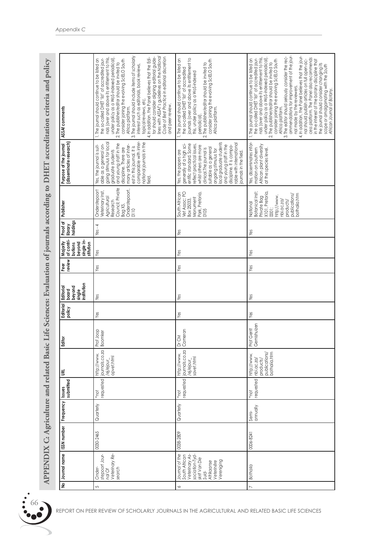| ASSAf comments                                                         | 3. The journal should include items of scholarly<br>lines with ASSAf's guidelines on the National<br>tor should consider aligning editorial guide-<br>Code of Best Practice in editorial discretion<br>nals (over and above its entitlement to this,<br>under policy as a WoS-indexed periodical).<br>4. In addition, the Panel believes that the Edi-<br>I. The journal should continue to be listed on<br>the so-called DHET 'list' of accredited jour-<br>consider joining the evolving SciELO South<br>2. The publisher/editor should be invited to<br>interest such as editorials, book reviews,<br>topical reviews, etc.<br>and peer review.<br>Africa platform. | journals (over and above its entitlement to<br>. The journal should continue to be listed on<br>consider joining the evolving SciELO South<br>2. The publisher/editor should be invited to<br>the so-called DHET 'list' of accredited<br>this, under policy as a WoS-indexed<br>Africa platform.<br>periodical)                                     | ommendations for improvement of the jour-<br>4. In addition, the Panel believes that the jour-<br>3. The editor should seriously consider the rec-<br>under policy as a WoS-indexed periodical).<br>nals (over and above its entitlement to this,<br>cess platform. The Panel also recommends<br>1. The journal should continue to be listed on<br>the so-called DHET 'list' of accredited jour-<br>consider joining the evolving SciELO South<br>nal should publish articles on full open-ac-<br>in the interest of the botany discipline that<br>2. The publisher/editor should be invited to<br>the journal should consider changing its<br>scope or amalgamating with the South<br>nal made by the reviewers.<br>African Journal of Botany.<br>Africa platform. |
|------------------------------------------------------------------------|------------------------------------------------------------------------------------------------------------------------------------------------------------------------------------------------------------------------------------------------------------------------------------------------------------------------------------------------------------------------------------------------------------------------------------------------------------------------------------------------------------------------------------------------------------------------------------------------------------------------------------------------------------------------|-----------------------------------------------------------------------------------------------------------------------------------------------------------------------------------------------------------------------------------------------------------------------------------------------------------------------------------------------------|---------------------------------------------------------------------------------------------------------------------------------------------------------------------------------------------------------------------------------------------------------------------------------------------------------------------------------------------------------------------------------------------------------------------------------------------------------------------------------------------------------------------------------------------------------------------------------------------------------------------------------------------------------------------------------------------------------------------------------------------------------------------|
| (disseminate research)<br>Purpose of the journal                       | comparable with inter-<br>going stimulus for local<br>national journals in the<br>and young staff in the<br>able as a general on-<br>many articles of inter-<br>Yes, the journal is suit-<br>est in this journal. It is<br>discipline. There are<br>graduate students<br>field.                                                                                                                                                                                                                                                                                                                                                                                        | local graduate students<br>entific standard. Some<br>rable with international<br>generally of a high sci-<br>reflect practical issues,<br>and young staff in the<br>discipline. It is compa-<br>whilst others are more<br>suitable as a general<br>clinical. The journal is<br>ongoing stimulus for<br>Yes, the papers are<br>ournals in the field. | Yes, disseminates infor-<br>African plant diversity<br>mation on Southern<br>at the species level.                                                                                                                                                                                                                                                                                                                                                                                                                                                                                                                                                                                                                                                                  |
| Publisher                                                              | Council; Private<br>Onderstepoort,<br>Onderstepoort<br>Veterinary Inst,<br>Agricultural<br>Research<br>Bag X5,<br>$\frac{10}{10}$                                                                                                                                                                                                                                                                                                                                                                                                                                                                                                                                      | Vet Assoc: PO<br>Park, Pretoria,<br>South African<br>Monument<br>Box 25033,<br>0105                                                                                                                                                                                                                                                                 | X101, Pretoria,<br>Botanical Inst;<br>bothalia.htm<br>publications/<br>http://www.<br>Private Bag<br>nbi.ac.za/<br>products/<br>National<br>0001;                                                                                                                                                                                                                                                                                                                                                                                                                                                                                                                                                                                                                   |
| holdings<br>Proof of<br>library                                        | $Yes - 4$                                                                                                                                                                                                                                                                                                                                                                                                                                                                                                                                                                                                                                                              | Yes                                                                                                                                                                                                                                                                                                                                                 | Yes                                                                                                                                                                                                                                                                                                                                                                                                                                                                                                                                                                                                                                                                                                                                                                 |
| of contri-<br>single in-<br>Majority<br>beyond<br>stitution<br>butions | Yes                                                                                                                                                                                                                                                                                                                                                                                                                                                                                                                                                                                                                                                                    | Yes                                                                                                                                                                                                                                                                                                                                                 | Yes                                                                                                                                                                                                                                                                                                                                                                                                                                                                                                                                                                                                                                                                                                                                                                 |
| review<br>Peer                                                         | Yes                                                                                                                                                                                                                                                                                                                                                                                                                                                                                                                                                                                                                                                                    | Yes                                                                                                                                                                                                                                                                                                                                                 | Yes                                                                                                                                                                                                                                                                                                                                                                                                                                                                                                                                                                                                                                                                                                                                                                 |
| institution<br>beyond<br>Editorial<br>board<br>single                  | Yes                                                                                                                                                                                                                                                                                                                                                                                                                                                                                                                                                                                                                                                                    | Yes                                                                                                                                                                                                                                                                                                                                                 | Yes                                                                                                                                                                                                                                                                                                                                                                                                                                                                                                                                                                                                                                                                                                                                                                 |
| Editorial<br>policy                                                    | Yes                                                                                                                                                                                                                                                                                                                                                                                                                                                                                                                                                                                                                                                                    | Yes                                                                                                                                                                                                                                                                                                                                                 | Yes                                                                                                                                                                                                                                                                                                                                                                                                                                                                                                                                                                                                                                                                                                                                                                 |
| Editor                                                                 | of Joop<br>Prof Joop<br>Boomker                                                                                                                                                                                                                                                                                                                                                                                                                                                                                                                                                                                                                                        | Dr CM<br>Cameron                                                                                                                                                                                                                                                                                                                                    | Prof Gerrit<br>Gemishuizen                                                                                                                                                                                                                                                                                                                                                                                                                                                                                                                                                                                                                                                                                                                                          |
| g                                                                      | journals.co.za<br>http://www.<br>opvet.html<br>/ej/ejour_                                                                                                                                                                                                                                                                                                                                                                                                                                                                                                                                                                                                              | journals.co.za<br>http://www.<br>/ej/ejour_<br>savet.html                                                                                                                                                                                                                                                                                           | publications/<br>bothalia.htm<br>http://www<br>nbi.ac.za/<br>products/                                                                                                                                                                                                                                                                                                                                                                                                                                                                                                                                                                                                                                                                                              |
| submitted<br>Issues                                                    | requested<br>tou <sub>*</sub>                                                                                                                                                                                                                                                                                                                                                                                                                                                                                                                                                                                                                                          | requested<br>tou <sub>*</sub>                                                                                                                                                                                                                                                                                                                       | requested<br>tou <sub>*</sub>                                                                                                                                                                                                                                                                                                                                                                                                                                                                                                                                                                                                                                                                                                                                       |
| Frequency                                                              | Quarterly                                                                                                                                                                                                                                                                                                                                                                                                                                                                                                                                                                                                                                                              | Quarterly                                                                                                                                                                                                                                                                                                                                           | annually<br>Semi-                                                                                                                                                                                                                                                                                                                                                                                                                                                                                                                                                                                                                                                                                                                                                   |
| ISSN number                                                            | 0030-2465                                                                                                                                                                                                                                                                                                                                                                                                                                                                                                                                                                                                                                                              | 0038-2809                                                                                                                                                                                                                                                                                                                                           | 0006-8241                                                                                                                                                                                                                                                                                                                                                                                                                                                                                                                                                                                                                                                                                                                                                           |
| Journal name                                                           | stepoort Jour-<br>Veterinary Re-<br>Onder-<br>search<br>nal Of                                                                                                                                                                                                                                                                                                                                                                                                                                                                                                                                                                                                         | Journal of the<br>Veterinary As-<br>sociation-Tyd-<br>South Africar<br>skrif Van Die<br>Vereniging<br>Veterinêre<br>Afrikaanse<br>Suid-                                                                                                                                                                                                             | Bothalia                                                                                                                                                                                                                                                                                                                                                                                                                                                                                                                                                                                                                                                                                                                                                            |
| $\frac{1}{2}$                                                          | 5                                                                                                                                                                                                                                                                                                                                                                                                                                                                                                                                                                                                                                                                      | ╰                                                                                                                                                                                                                                                                                                                                                   |                                                                                                                                                                                                                                                                                                                                                                                                                                                                                                                                                                                                                                                                                                                                                                     |

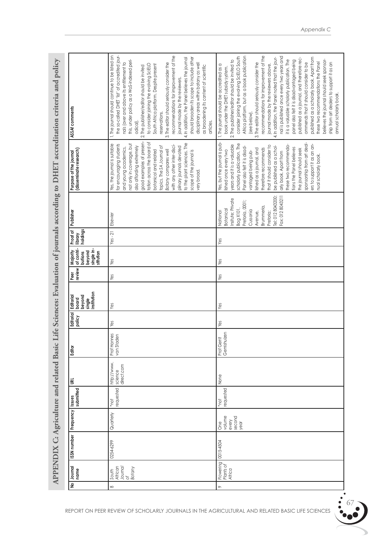|                                                                        | the so-called DHET 'list' of accredited jour-<br>. The journal should continue to be listed on<br>recommendations for improvement of the<br>should broaden its scope to include other<br>4. In addition, the Panel believes the journal<br>this, under policy as a WoS-indexed peri-<br>3. The editor should seriously consider the<br>nals (over and above its entitlement to<br>to consider joining the evolving SciELO<br>South Africa platform. Despite present<br>disciplinary areas within botany as wel<br>as broadening its content of scientific<br>2. The publisher/editor should be invited<br>journal made by the reviewers. | consider joining the evolving SciELO South<br>Africa platform, but as a book publication<br>recommendations for improvement of the<br>nal is published once every two years and<br>4. In addition, the Panel noted that the jour-<br>published as a scholarly book. Apart from<br>published as a journal, and therefore rec-<br>believes the journal should seek sponsor-<br>2. The publisher/editor should be invited to<br>it is a valuable scholarly publication. The<br>panel also felt it is disadvantaged being<br>these two recommendations the Panel<br>ship from art dealers to support it as an<br>3. The editor should seriously consider the<br>ommends that it should consider to be<br>journal made by the reviewers above.<br>O<br>book under the DHET subsidy system.<br>1. The journal should be accredited as |
|------------------------------------------------------------------------|------------------------------------------------------------------------------------------------------------------------------------------------------------------------------------------------------------------------------------------------------------------------------------------------------------------------------------------------------------------------------------------------------------------------------------------------------------------------------------------------------------------------------------------------------------------------------------------------------------------------------------------|---------------------------------------------------------------------------------------------------------------------------------------------------------------------------------------------------------------------------------------------------------------------------------------------------------------------------------------------------------------------------------------------------------------------------------------------------------------------------------------------------------------------------------------------------------------------------------------------------------------------------------------------------------------------------------------------------------------------------------------------------------------------------------------------------------------------------------|
| ASSAf comments                                                         | reservations.<br>articles.<br>odical).                                                                                                                                                                                                                                                                                                                                                                                                                                                                                                                                                                                                   | annual scholarly book.<br>(see below).                                                                                                                                                                                                                                                                                                                                                                                                                                                                                                                                                                                                                                                                                                                                                                                          |
| (disseminate research)<br>Purpose of the journal                       | good examples of presen-<br>tation across the board of<br>to the plant sciences. The<br>Yes, the journal is suitable<br>for encouraging students<br>not only in coverage, but<br>with any other inter-disci-<br>topics. The SA Journal of<br>plinary journals devoted<br>also affording extremely<br>and young academics,<br>botanical and related<br>Botany compares well<br>scope of the journal is<br>very broad.                                                                                                                                                                                                                     | Yes, but the journal is pub-<br>sponsorship from art deal-<br>scholarly publication. The<br>years and it is a valuable<br>ers to support it as an an-<br>that it should consider to<br>these two recommenda-<br>be published as a schol-<br>Panel also felt it is disad-<br>tions the Panel believes<br>therefore recommends<br>lished as a journal, and<br>the journal should seek<br>lished once every two<br>vantaged being pub-<br>arly book. Apart from<br>nual scholarly book.                                                                                                                                                                                                                                                                                                                                            |
| Publisher                                                              | Elsevier                                                                                                                                                                                                                                                                                                                                                                                                                                                                                                                                                                                                                                 | Fax: 012 8043211<br>Tel: 012 8043200;<br>Insitute; Private<br>Pretoria, 0001;<br>Brummeria,<br>Bag X101,<br>Botanical<br>Cussonia<br>National<br>Pretoria;<br>Avenue,                                                                                                                                                                                                                                                                                                                                                                                                                                                                                                                                                                                                                                                           |
| Proof of<br>holdings<br>library                                        | $Yes - 21$                                                                                                                                                                                                                                                                                                                                                                                                                                                                                                                                                                                                                               | Yes                                                                                                                                                                                                                                                                                                                                                                                                                                                                                                                                                                                                                                                                                                                                                                                                                             |
| of contri-<br>single in-<br>Majority<br>beyond<br>stitution<br>butions | Yes                                                                                                                                                                                                                                                                                                                                                                                                                                                                                                                                                                                                                                      | Yes                                                                                                                                                                                                                                                                                                                                                                                                                                                                                                                                                                                                                                                                                                                                                                                                                             |
| review<br>Peer                                                         | Yes                                                                                                                                                                                                                                                                                                                                                                                                                                                                                                                                                                                                                                      | Yes                                                                                                                                                                                                                                                                                                                                                                                                                                                                                                                                                                                                                                                                                                                                                                                                                             |
| institution<br>beyond<br>Editorial<br>single<br>board                  | Yes                                                                                                                                                                                                                                                                                                                                                                                                                                                                                                                                                                                                                                      | Yes                                                                                                                                                                                                                                                                                                                                                                                                                                                                                                                                                                                                                                                                                                                                                                                                                             |
| Editorial<br>policy                                                    | Yes                                                                                                                                                                                                                                                                                                                                                                                                                                                                                                                                                                                                                                      | Yes                                                                                                                                                                                                                                                                                                                                                                                                                                                                                                                                                                                                                                                                                                                                                                                                                             |
| Editor                                                                 | Prof Hannes<br>van Staden                                                                                                                                                                                                                                                                                                                                                                                                                                                                                                                                                                                                                | Prof Gerrit<br>Gemishuizen                                                                                                                                                                                                                                                                                                                                                                                                                                                                                                                                                                                                                                                                                                                                                                                                      |
| g                                                                      | http://www.<br>direct.com<br>science                                                                                                                                                                                                                                                                                                                                                                                                                                                                                                                                                                                                     | None                                                                                                                                                                                                                                                                                                                                                                                                                                                                                                                                                                                                                                                                                                                                                                                                                            |
| submitted<br>Issues                                                    | equested<br>tou <sub>*</sub>                                                                                                                                                                                                                                                                                                                                                                                                                                                                                                                                                                                                             | equested<br>tou                                                                                                                                                                                                                                                                                                                                                                                                                                                                                                                                                                                                                                                                                                                                                                                                                 |
| Frequency                                                              | Quarterly                                                                                                                                                                                                                                                                                                                                                                                                                                                                                                                                                                                                                                | second<br>volume<br>every<br>eug<br>year                                                                                                                                                                                                                                                                                                                                                                                                                                                                                                                                                                                                                                                                                                                                                                                        |
| ISSN number                                                            | 0254-6299                                                                                                                                                                                                                                                                                                                                                                                                                                                                                                                                                                                                                                | 0015-4504                                                                                                                                                                                                                                                                                                                                                                                                                                                                                                                                                                                                                                                                                                                                                                                                                       |
| Journal<br>name                                                        | African<br>Journal<br>of<br>Botany<br>South                                                                                                                                                                                                                                                                                                                                                                                                                                                                                                                                                                                              | Flowering<br>Plants of<br>Africa                                                                                                                                                                                                                                                                                                                                                                                                                                                                                                                                                                                                                                                                                                                                                                                                |
| $\overline{\mathbf{z}}$                                                | $\infty$                                                                                                                                                                                                                                                                                                                                                                                                                                                                                                                                                                                                                                 | $\sim$                                                                                                                                                                                                                                                                                                                                                                                                                                                                                                                                                                                                                                                                                                                                                                                                                          |
|                                                                        |                                                                                                                                                                                                                                                                                                                                                                                                                                                                                                                                                                                                                                          | REPORT ON PEER REVIEW OF SCHOLARLY JOURNALS IN THE AGRICULTURAL AND RELATED BASIC LIFE SCIENCES                                                                                                                                                                                                                                                                                                                                                                                                                                                                                                                                                                                                                                                                                                                                 |



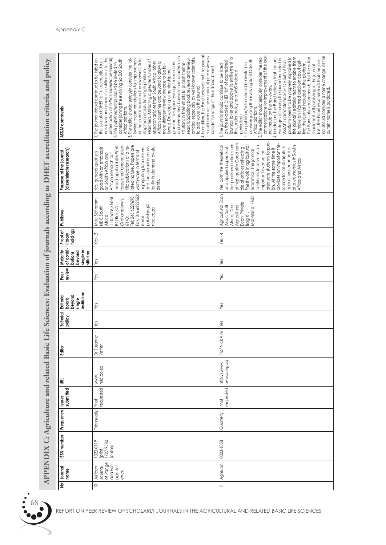| ASSAf comments                                                         | and researchers based in non-academic in-<br>4. In addition, the Panel believes that the journal<br>should increase the number of peer reviewers<br>lowing recommendations for improvement<br>of the journal made by the reviewers: Solic-<br>under policy as a WoS-indexed periodical).<br>nals (over and above its entitlement to this,<br>3. The editor should seriously consider the fol-<br>articles, especially by well-known scientists,<br>to add value to the journal.<br>1. The journal should continue to be listed on<br>the so-called DHET 'list' of accredited jour-<br>search. Soliciting book reviews and review<br>consider joining the evolving SciELO South<br>searchers. Attracting a greater number of<br>stitutions in their efforts to publish their re-<br>research articles from South Africa, other<br>African countries and beyond to allow a<br>gramme to support younger researchers<br>2. The publisher/editor should be invited to<br>more stringent review process to be fol-<br>outside the range of the editorial board.<br>lowed. Developing a mentorship pro-<br>iting manuscripts from high-profile re-<br>Africa platform. | ommendations for improvement of the jour-<br>nal should consider a name change, as the<br>3. The editor should seriously consider the rec-<br>platform needs to be properly explained to<br>ting the journal included in the platform.<br>The Panel also recommends that the editor<br>the journal's editorial team to enable them<br>journals (over and above its entitlement to<br>4. In addition, the Panel believes that the ad-<br>vantages of having the journal included in<br>ASSAf's administered SciELO-South Africa<br>The publisher/editor should be invited to<br>consider joining the evolving SciELO South<br>Last, the Panel recommends that the jour-<br>to make an informed decision about get-<br>on the so-called DHET 'list' of accredited<br>1. The journal should continue to be listed<br>should limit self publishing in the journal.<br>this, under policy as a WoS-indexed<br>nal made by the reviewers.<br>current name is outdated.<br>Africa platform.<br>periodical)<br>$\sim$ |
|------------------------------------------------------------------------|------------------------------------------------------------------------------------------------------------------------------------------------------------------------------------------------------------------------------------------------------------------------------------------------------------------------------------------------------------------------------------------------------------------------------------------------------------------------------------------------------------------------------------------------------------------------------------------------------------------------------------------------------------------------------------------------------------------------------------------------------------------------------------------------------------------------------------------------------------------------------------------------------------------------------------------------------------------------------------------------------------------------------------------------------------------------------------------------------------------------------------------------------------------|---------------------------------------------------------------------------------------------------------------------------------------------------------------------------------------------------------------------------------------------------------------------------------------------------------------------------------------------------------------------------------------------------------------------------------------------------------------------------------------------------------------------------------------------------------------------------------------------------------------------------------------------------------------------------------------------------------------------------------------------------------------------------------------------------------------------------------------------------------------------------------------------------------------------------------------------------------------------------------------------------------------|
| (disseminate research)<br>Purpose of the journal                       | respected among scien-<br>lated nature. Papers are<br>tently in demand by stu-<br>tific publications of a re-<br>and the journal is consis-<br>broad applicability. Well<br>good with an emphasis<br>highlighting local issues<br>worthwhile in terms of<br>Yes, general quality is<br>on Souith Africa and<br>African research but<br>dents.                                                                                                                                                                                                                                                                                                                                                                                                                                                                                                                                                                                                                                                                                                                                                                                                                    | graduate students to pub-<br>of high quality.Good sam-<br>the published articles are<br>provides an important re-<br>Yes, both the theoretical<br>finest work in agricultural<br>continues to serve as an<br>and economics in South<br>source for all students in<br>and applied aspects of<br>ple of articles reflecting<br>lish. At the same time it<br>agricultural economics<br>econimics. The journal<br>important avenue for<br>Africa and Africa.                                                                                                                                                                                                                                                                                                                                                                                                                                                                                                                                                      |
| Proof of Publisher                                                     | Fax: 046 6229550;<br>Tel: 046 6229698;<br>I Dundas Street,<br>  Mike Schramm:<br>  NISC South<br>Grahamstown,<br>publishing@<br>PO Box 377,<br>nisc.co.za<br>Africa;<br>email:<br>6140;                                                                                                                                                                                                                                                                                                                                                                                                                                                                                                                                                                                                                                                                                                                                                                                                                                                                                                                                                                          | Agricultural Econ<br>Matieland, 7602<br>Econ; Private<br>Assoc South<br>Africa, Dept<br>Agricultural<br>Bag XI,                                                                                                                                                                                                                                                                                                                                                                                                                                                                                                                                                                                                                                                                                                                                                                                                                                                                                               |
| holdings<br>library                                                    | $Yes - 2$                                                                                                                                                                                                                                                                                                                                                                                                                                                                                                                                                                                                                                                                                                                                                                                                                                                                                                                                                                                                                                                                                                                                                        | $Yes - 4$                                                                                                                                                                                                                                                                                                                                                                                                                                                                                                                                                                                                                                                                                                                                                                                                                                                                                                                                                                                                     |
| of contri-<br>single in-<br>Majority<br>beyond<br>stitution<br>butions | Yes                                                                                                                                                                                                                                                                                                                                                                                                                                                                                                                                                                                                                                                                                                                                                                                                                                                                                                                                                                                                                                                                                                                                                              | Yes                                                                                                                                                                                                                                                                                                                                                                                                                                                                                                                                                                                                                                                                                                                                                                                                                                                                                                                                                                                                           |
| review<br>Peer                                                         | Yes                                                                                                                                                                                                                                                                                                                                                                                                                                                                                                                                                                                                                                                                                                                                                                                                                                                                                                                                                                                                                                                                                                                                                              | Yes                                                                                                                                                                                                                                                                                                                                                                                                                                                                                                                                                                                                                                                                                                                                                                                                                                                                                                                                                                                                           |
| nstitution<br>beyond<br>Editorial<br>single<br>board                   | yex                                                                                                                                                                                                                                                                                                                                                                                                                                                                                                                                                                                                                                                                                                                                                                                                                                                                                                                                                                                                                                                                                                                                                              | Yes                                                                                                                                                                                                                                                                                                                                                                                                                                                                                                                                                                                                                                                                                                                                                                                                                                                                                                                                                                                                           |
| Editorial<br>policy                                                    | Yes                                                                                                                                                                                                                                                                                                                                                                                                                                                                                                                                                                                                                                                                                                                                                                                                                                                                                                                                                                                                                                                                                                                                                              | Yes                                                                                                                                                                                                                                                                                                                                                                                                                                                                                                                                                                                                                                                                                                                                                                                                                                                                                                                                                                                                           |
| Editor                                                                 | Dr Susanne<br>Vetter                                                                                                                                                                                                                                                                                                                                                                                                                                                                                                                                                                                                                                                                                                                                                                                                                                                                                                                                                                                                                                                                                                                                             | Prof Nick Vink                                                                                                                                                                                                                                                                                                                                                                                                                                                                                                                                                                                                                                                                                                                                                                                                                                                                                                                                                                                                |
| g                                                                      | nisc.co.za<br>www.                                                                                                                                                                                                                                                                                                                                                                                                                                                                                                                                                                                                                                                                                                                                                                                                                                                                                                                                                                                                                                                                                                                                               | aeasa.org.za<br>http://www.                                                                                                                                                                                                                                                                                                                                                                                                                                                                                                                                                                                                                                                                                                                                                                                                                                                                                                                                                                                   |
| submitted<br><b>Issues</b>                                             | requested<br>tou                                                                                                                                                                                                                                                                                                                                                                                                                                                                                                                                                                                                                                                                                                                                                                                                                                                                                                                                                                                                                                                                                                                                                 | requested<br>tou <sub>*</sub>                                                                                                                                                                                                                                                                                                                                                                                                                                                                                                                                                                                                                                                                                                                                                                                                                                                                                                                                                                                 |
|                                                                        | Triannually                                                                                                                                                                                                                                                                                                                                                                                                                                                                                                                                                                                                                                                                                                                                                                                                                                                                                                                                                                                                                                                                                                                                                      | Quarterly                                                                                                                                                                                                                                                                                                                                                                                                                                                                                                                                                                                                                                                                                                                                                                                                                                                                                                                                                                                                     |
| ISSN number   Frequency                                                | 1727-9380<br>1022-0119<br>(online)<br>(print)                                                                                                                                                                                                                                                                                                                                                                                                                                                                                                                                                                                                                                                                                                                                                                                                                                                                                                                                                                                                                                                                                                                    | 0303-1853                                                                                                                                                                                                                                                                                                                                                                                                                                                                                                                                                                                                                                                                                                                                                                                                                                                                                                                                                                                                     |
| Journal<br>name                                                        | of Range<br>and For-<br>age Sci-<br>Journal<br>African<br>ence                                                                                                                                                                                                                                                                                                                                                                                                                                                                                                                                                                                                                                                                                                                                                                                                                                                                                                                                                                                                                                                                                                   | Agrekon                                                                                                                                                                                                                                                                                                                                                                                                                                                                                                                                                                                                                                                                                                                                                                                                                                                                                                                                                                                                       |
| $\bar{\mathbf{z}}$                                                     | $\subseteq$                                                                                                                                                                                                                                                                                                                                                                                                                                                                                                                                                                                                                                                                                                                                                                                                                                                                                                                                                                                                                                                                                                                                                      |                                                                                                                                                                                                                                                                                                                                                                                                                                                                                                                                                                                                                                                                                                                                                                                                                                                                                                                                                                                                               |



REPORT ON PEER REVIEW OF SCHOLARLY JOURNALS IN THE AGRICULTURAL AND RELATED BASIC LIFE SCIENCES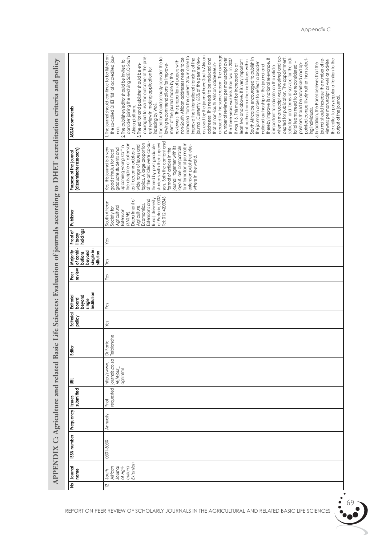| ASSAf comments                                                         | creased for the same reason. The average<br>. The journal should continue to be listed on<br>the so-called DHET 'list' of accredited jour-<br>couraged to use the outcome of the pres-<br>4. The editor should seriously consider the fol-<br>ers used by the journal have South African<br>consider joining the evolving SciELO South<br>increased from the current 27% in order to<br>when a manuscript was received and ac-<br>journal. Currently, 85% of the peer review-<br>cepted for publication. The appointment,<br>selection and terms of service for the edi-<br>improve the international standing of the<br>thereby improve its national relevance. It<br>non-South African addresses needs to be<br>addresses. This needs to be reduced and<br>South Africa be encouraged to publish in<br>number of reviewers per manuscript over<br>pointed competitively rather than select-<br>journal should increase the number of re-<br>the three years was less than two. In 2007<br>the editor to pay regular attention to the<br>viewers per manuscript as well as advise<br>2. The publisher/editor should be invited to<br>least two and above. It is very important<br>that authors from other institutions within<br>reviewers: The proportion of papers with<br>the journal in order to reflect a broader<br>that of non-South African addresses in-<br>torial teams need to be reconsidered -<br>positions should be advertised and ap-<br>5. In addition, the Panel believes that the<br>3. The editor and publisher should be en-<br>it was 1.6. This must be increased to at<br>national authorship of the journal and<br>lowing recommendations for improve-<br>is important to indicate on the article<br>ent review in making application for<br>ment of the journal made by the<br>output of the journal<br>indexing by WoS.<br>Africa platform.<br>ing individuals.<br>nals. |
|------------------------------------------------------------------------|-----------------------------------------------------------------------------------------------------------------------------------------------------------------------------------------------------------------------------------------------------------------------------------------------------------------------------------------------------------------------------------------------------------------------------------------------------------------------------------------------------------------------------------------------------------------------------------------------------------------------------------------------------------------------------------------------------------------------------------------------------------------------------------------------------------------------------------------------------------------------------------------------------------------------------------------------------------------------------------------------------------------------------------------------------------------------------------------------------------------------------------------------------------------------------------------------------------------------------------------------------------------------------------------------------------------------------------------------------------------------------------------------------------------------------------------------------------------------------------------------------------------------------------------------------------------------------------------------------------------------------------------------------------------------------------------------------------------------------------------------------------------------------------------------------------------------------------------------------------------------------------------------------|
| (disseminate research)<br>Purpose of the journal                       | of the articles were co-au-<br>sors. Both the content and<br>students with their supervi-<br>upcoming young staff in<br>the discipline of extension<br>topics. A large proportion<br>to international journals in<br>wide range of issues and<br>thored by post-graduate<br>extension published else-<br>ayout, are comparable<br>journal, together with its<br>format of articles in the<br>graduate students and<br>as it accommodates a<br>Yes, this journal is a very<br>good stimulus for local<br>where in the world.                                                                                                                                                                                                                                                                                                                                                                                                                                                                                                                                                                                                                                                                                                                                                                                                                                                                                                                                                                                                                                                                                                                                                                                                                                                                                                                                                                         |
| Publisher                                                              | of Pretoria, 0002;<br>Tel: 012 4203246<br>Rural, University<br>Department of<br>Extensions and<br>South African<br>Ecomomics,<br>Agriculture,<br>Agricultural<br>Society for<br>Extension<br>(SASAE),                                                                                                                                                                                                                                                                                                                                                                                                                                                                                                                                                                                                                                                                                                                                                                                                                                                                                                                                                                                                                                                                                                                                                                                                                                                                                                                                                                                                                                                                                                                                                                                                                                                                                               |
| holdings<br>Proof of<br>library                                        | Yes                                                                                                                                                                                                                                                                                                                                                                                                                                                                                                                                                                                                                                                                                                                                                                                                                                                                                                                                                                                                                                                                                                                                                                                                                                                                                                                                                                                                                                                                                                                                                                                                                                                                                                                                                                                                                                                                                                 |
| of contri-<br>single in-<br>Majority<br>beyond<br>stitution<br>butions | yes                                                                                                                                                                                                                                                                                                                                                                                                                                                                                                                                                                                                                                                                                                                                                                                                                                                                                                                                                                                                                                                                                                                                                                                                                                                                                                                                                                                                                                                                                                                                                                                                                                                                                                                                                                                                                                                                                                 |
| review<br>Peer                                                         | Yes                                                                                                                                                                                                                                                                                                                                                                                                                                                                                                                                                                                                                                                                                                                                                                                                                                                                                                                                                                                                                                                                                                                                                                                                                                                                                                                                                                                                                                                                                                                                                                                                                                                                                                                                                                                                                                                                                                 |
| institution<br>beyond<br>Editorial<br>single<br>board                  | yex                                                                                                                                                                                                                                                                                                                                                                                                                                                                                                                                                                                                                                                                                                                                                                                                                                                                                                                                                                                                                                                                                                                                                                                                                                                                                                                                                                                                                                                                                                                                                                                                                                                                                                                                                                                                                                                                                                 |
| Editorial                                                              | yes                                                                                                                                                                                                                                                                                                                                                                                                                                                                                                                                                                                                                                                                                                                                                                                                                                                                                                                                                                                                                                                                                                                                                                                                                                                                                                                                                                                                                                                                                                                                                                                                                                                                                                                                                                                                                                                                                                 |
| Editor                                                                 | Terblanche<br>Dr Fanie                                                                                                                                                                                                                                                                                                                                                                                                                                                                                                                                                                                                                                                                                                                                                                                                                                                                                                                                                                                                                                                                                                                                                                                                                                                                                                                                                                                                                                                                                                                                                                                                                                                                                                                                                                                                                                                                              |
| g                                                                      | journals.co.za<br>http://www.<br>/ej/ejour_<br>agri.html                                                                                                                                                                                                                                                                                                                                                                                                                                                                                                                                                                                                                                                                                                                                                                                                                                                                                                                                                                                                                                                                                                                                                                                                                                                                                                                                                                                                                                                                                                                                                                                                                                                                                                                                                                                                                                            |
| submitted                                                              | requested<br>tou <sub>*</sub>                                                                                                                                                                                                                                                                                                                                                                                                                                                                                                                                                                                                                                                                                                                                                                                                                                                                                                                                                                                                                                                                                                                                                                                                                                                                                                                                                                                                                                                                                                                                                                                                                                                                                                                                                                                                                                                                       |
| Frequency Issues                                                       | Annually                                                                                                                                                                                                                                                                                                                                                                                                                                                                                                                                                                                                                                                                                                                                                                                                                                                                                                                                                                                                                                                                                                                                                                                                                                                                                                                                                                                                                                                                                                                                                                                                                                                                                                                                                                                                                                                                                            |
| ISSN number                                                            | 0301-603X                                                                                                                                                                                                                                                                                                                                                                                                                                                                                                                                                                                                                                                                                                                                                                                                                                                                                                                                                                                                                                                                                                                                                                                                                                                                                                                                                                                                                                                                                                                                                                                                                                                                                                                                                                                                                                                                                           |
| Journal<br>name<br>$\frac{1}{2}$                                       | Extension<br>cultural<br>Journal<br>of Agri-<br>African<br>South                                                                                                                                                                                                                                                                                                                                                                                                                                                                                                                                                                                                                                                                                                                                                                                                                                                                                                                                                                                                                                                                                                                                                                                                                                                                                                                                                                                                                                                                                                                                                                                                                                                                                                                                                                                                                                    |
|                                                                        | $\overline{\mathbf{C}}$                                                                                                                                                                                                                                                                                                                                                                                                                                                                                                                                                                                                                                                                                                                                                                                                                                                                                                                                                                                                                                                                                                                                                                                                                                                                                                                                                                                                                                                                                                                                                                                                                                                                                                                                                                                                                                                                             |

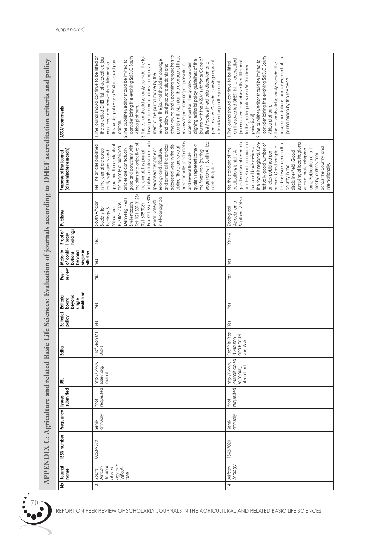| ASSAf comments                                                         | the so-called DHET 'list' of accredited jour-<br>other young and upcoming researchers to<br>publish in it. Maintain the average of three<br>. The journal should continue to be listed on<br>3. The editor should seriously consider the fol-<br>consider joining the evolving SciELO South<br>journal with the ASSAf's National Code of<br>aligning editorial policy guidelines of the<br>peer review. Consider carrying appropri-<br>this, under policy as a WoS-indexed peri-<br>reviewers. The journal should encourage<br>2. The publisher/editor should be invited to<br>Best Practice in editorial discretion and<br>nals (over and above its entitlement to<br>order to maintain the quality. Consider<br>reviewers per manuscript if possible, in<br>and allow postgraduate students and<br>lowing recommendations for improve-<br>ment of the journal made by the<br>ate advertising in the journal.<br>Africa platform.<br>odical). | recommendations for improvement of the<br>consider joining the evolving SciELO South<br>on the so-called DHET 'list' of accredited<br>2. The publisher/editor should be invited to<br>journals (over and above its entitlement<br>1. The journal should continue to be listed<br>3. The editor should seriously consider the<br>to this, under policy as a WoS-indexed<br>journal made by the reviewers.<br>Africa platform.<br>periodical).                                                  |
|------------------------------------------------------------------------|------------------------------------------------------------------------------------------------------------------------------------------------------------------------------------------------------------------------------------------------------------------------------------------------------------------------------------------------------------------------------------------------------------------------------------------------------------------------------------------------------------------------------------------------------------------------------------------------------------------------------------------------------------------------------------------------------------------------------------------------------------------------------------------------------------------------------------------------------------------------------------------------------------------------------------------------|-----------------------------------------------------------------------------------------------------------------------------------------------------------------------------------------------------------------------------------------------------------------------------------------------------------------------------------------------------------------------------------------------------------------------------------------------------------------------------------------------|
| (disseminate research)<br>Purpose of the journal                       | publishes articles in a much<br>exceptionally good articles<br>edge) done in South Africa<br>the aims and objectives of<br>quately represent some of<br>good mix. The contents of<br>addressed were in the dis-<br>Yes, The articles published<br>and almost all the articles<br>good and consistent with<br>the majority of published<br>cipline. There are several<br>in the journal are consis-<br>articles are contextually<br>specialised discipline of<br>enology and viticulture,<br>the finest work (cutting<br>tently high quality and<br>the journal. This journal<br>and several that ade-<br>in this discipline.                                                                                                                                                                                                                                                                                                                   | articles, short communica-<br>The focus is regional. Con-<br>sampling of local/regional<br>good number of research<br>textually good number of<br>the best work done in the<br>annum. Good sample of<br>lems. Publication of arti-<br>across the country, and<br>tions and book reviews.<br>Yes, the standard of the<br>kinds of materials/prob-<br>publications is high. A<br>articles published per<br>discipline/field. Good<br>cles by authors from<br>internationally.<br>country in the |
| Publisher                                                              | Tel: 021 809 3123/<br>Fax: 021 889 6335,<br>Dennesig, 7601,<br>nietvoor.agri.za<br>email: sasev@<br>Stellenbosch,<br>South African<br>0218093089,<br>PO Box 2029<br>Society for<br>Ecology &<br>Viticulture,                                                                                                                                                                                                                                                                                                                                                                                                                                                                                                                                                                                                                                                                                                                                   | Association of<br>Southern Africa<br><b>Zoological</b>                                                                                                                                                                                                                                                                                                                                                                                                                                        |
| Proof of<br>holdings<br>library                                        | Yes                                                                                                                                                                                                                                                                                                                                                                                                                                                                                                                                                                                                                                                                                                                                                                                                                                                                                                                                            | $Yes - 6$                                                                                                                                                                                                                                                                                                                                                                                                                                                                                     |
| of contri-<br>single in-<br>Majority<br>beyond<br>stitution<br>butions | Yes                                                                                                                                                                                                                                                                                                                                                                                                                                                                                                                                                                                                                                                                                                                                                                                                                                                                                                                                            | Yes                                                                                                                                                                                                                                                                                                                                                                                                                                                                                           |
| review<br>Peer                                                         | Yes                                                                                                                                                                                                                                                                                                                                                                                                                                                                                                                                                                                                                                                                                                                                                                                                                                                                                                                                            | Yes                                                                                                                                                                                                                                                                                                                                                                                                                                                                                           |
| institution<br>beyond<br>Editorial<br>single<br>board                  | Yes                                                                                                                                                                                                                                                                                                                                                                                                                                                                                                                                                                                                                                                                                                                                                                                                                                                                                                                                            | Yes                                                                                                                                                                                                                                                                                                                                                                                                                                                                                           |
| Editorial<br>policy                                                    | Yes                                                                                                                                                                                                                                                                                                                                                                                                                                                                                                                                                                                                                                                                                                                                                                                                                                                                                                                                            | Yes                                                                                                                                                                                                                                                                                                                                                                                                                                                                                           |
| Editor                                                                 | Prof Leon MT<br>Dicks                                                                                                                                                                                                                                                                                                                                                                                                                                                                                                                                                                                                                                                                                                                                                                                                                                                                                                                          | Prof P le Fras<br>and Prof JH<br>N Mouton<br>van Wyk                                                                                                                                                                                                                                                                                                                                                                                                                                          |
| g                                                                      | http://www.<br>sasev.org/<br>journal                                                                                                                                                                                                                                                                                                                                                                                                                                                                                                                                                                                                                                                                                                                                                                                                                                                                                                           | journals.co.za<br>http://www.<br>/ej/ejour_<br>afzoo.html                                                                                                                                                                                                                                                                                                                                                                                                                                     |
| submitted<br><b>Issues</b>                                             | requested<br>tou <sub>*</sub>                                                                                                                                                                                                                                                                                                                                                                                                                                                                                                                                                                                                                                                                                                                                                                                                                                                                                                                  | requested<br>tou <sub>*</sub>                                                                                                                                                                                                                                                                                                                                                                                                                                                                 |
| Frequency                                                              | annually<br>Semi-                                                                                                                                                                                                                                                                                                                                                                                                                                                                                                                                                                                                                                                                                                                                                                                                                                                                                                                              | annually<br>Semi-                                                                                                                                                                                                                                                                                                                                                                                                                                                                             |
| ISSN number                                                            | 0253-939X                                                                                                                                                                                                                                                                                                                                                                                                                                                                                                                                                                                                                                                                                                                                                                                                                                                                                                                                      | 1562-7020                                                                                                                                                                                                                                                                                                                                                                                                                                                                                     |
| No Journal<br>name                                                     | ogy and<br>Viticul-<br>of Enol-<br>Journal<br>African<br>South<br>ture                                                                                                                                                                                                                                                                                                                                                                                                                                                                                                                                                                                                                                                                                                                                                                                                                                                                         | African<br>Zoology                                                                                                                                                                                                                                                                                                                                                                                                                                                                            |
|                                                                        | $\overline{\mathcal{C}}$                                                                                                                                                                                                                                                                                                                                                                                                                                                                                                                                                                                                                                                                                                                                                                                                                                                                                                                       | $\overline{4}$                                                                                                                                                                                                                                                                                                                                                                                                                                                                                |



REPORT ON PEER REVIEW OF SCHOLARLY JOURNALS IN THE AGRICULTURAL AND RELATED BASIC LIFE SCIENCES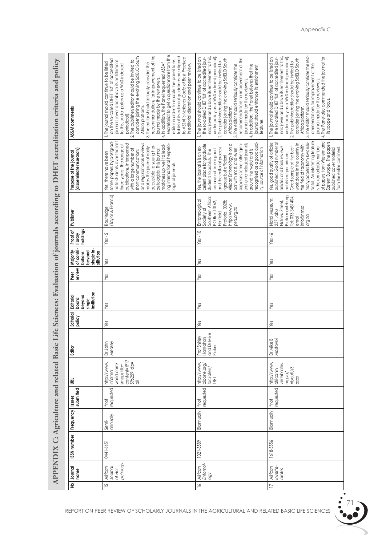APPENDIX C: Agriculture and related Basic Life Sciences: Evaluation of journals according to DHET accreditation criteria and policy **APPENDIX C: Agriculture and related Basic Life Sciences: Evaluation of journals according to DHET accreditation criteria and policy**

| Editorial<br>policy<br>Editor                            |
|----------------------------------------------------------|
| Yes<br>Dr John<br>Measey                                 |
| Yes<br>Hanrahan<br>and Dr Mike<br>Picker<br>Prof Shirley |
| Yes<br>Yes<br>Dr Mike B<br>Mostovski                     |

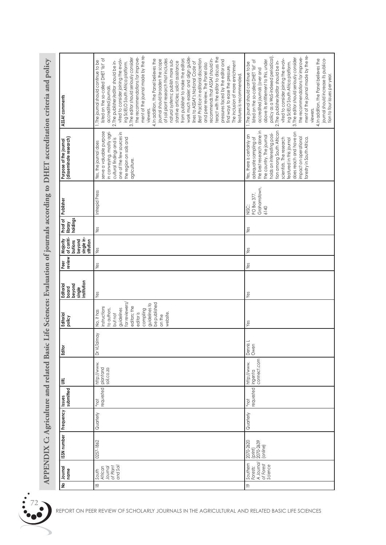APPENDIX C: Agriculture and related Basic Life Sciences: Evaluation of journals according to DHET accreditation criteria and policy **APPENDIX C: Agriculture and related Basic Life Sciences: Evaluation of journals according to DHET accreditation criteria and policy**

| Journal<br>name<br>$\overline{2}$                                              | ISSN number                                   | Frequency | submitted<br>Issues           | g                                     | Editor           | Editorial<br>policy                                                                                                                                                                   | institution<br>Editorial<br>beyond<br>board<br>single | Peer<br>review | of contri-<br>butions<br>beyond<br>single in-<br>Majority<br>stitution | Proof of<br>holdings<br>library | Publisher                                    | (disseminate research)<br>Purpose of the journal                                                                                                                                                                                                                                                              | ASSAf comments                                                                                                                                                                                                                                                                                                                                                                                                                                                                                                                                                                                                                                                                                                                                                                                                                                                                                                                                                                      |
|--------------------------------------------------------------------------------|-----------------------------------------------|-----------|-------------------------------|---------------------------------------|------------------|---------------------------------------------------------------------------------------------------------------------------------------------------------------------------------------|-------------------------------------------------------|----------------|------------------------------------------------------------------------|---------------------------------|----------------------------------------------|---------------------------------------------------------------------------------------------------------------------------------------------------------------------------------------------------------------------------------------------------------------------------------------------------------------|-------------------------------------------------------------------------------------------------------------------------------------------------------------------------------------------------------------------------------------------------------------------------------------------------------------------------------------------------------------------------------------------------------------------------------------------------------------------------------------------------------------------------------------------------------------------------------------------------------------------------------------------------------------------------------------------------------------------------------------------------------------------------------------------------------------------------------------------------------------------------------------------------------------------------------------------------------------------------------------|
| and Soil<br>of Plant<br>Journal<br>African<br>South<br>$\frac{\infty}{\infty}$ | 0257-1862                                     | Quarterly | requested<br>tou <sub>*</sub> | http://www.<br>plantand<br>soil.co.za | Dr VLTolmay      | for reviewers/<br>be published<br>guidelines to<br>editors; the<br>instructions<br>guidelines<br>to authors,<br>compiling<br>No, it has<br>editor is<br>website.<br>but not<br>on the | Yes                                                   | Yes            | Yes                                                                    | Yes                             | Intrepid Press                               | serve a valuable purpose<br>in conveying, mostly agri-<br>one of the few sources in<br>the region on soils and<br>cultural findings and is<br>Yes, the journal does<br>agriculture.                                                                                                                           | ment of the journal made by the re-<br>the recommendations for improve-<br>work much easier; and align guide-<br>eract with the editor to discuss the<br>3. The editor should seriously consider<br>vited to consider joining the evolv-<br>recommends that ASSAf should in-<br>listed on the so-called DHET 'list' of<br>from publisher to make the editors<br>Best Practice in editorial discretion<br>journal should broaden the scope<br>of soil plant research that includes<br>4. In addition, the Panel believes the<br>pressures faced by the editor and<br>natural systems; publish more sub-<br>1. The journal should continue to be<br>2. The publisher/editor should be in-<br>stantive articles; solicit assistance<br>lines to ASSAf's National Code of<br>ing SciELO South Africa platform.<br>The inclusion of more enrichment<br>and peer review. The Panel also<br>find ways to ease the pressure.<br>eatures is recommended.<br>accredited journals.<br>viewers. |
| A Journal<br>Southern<br>of Forest<br>Science<br>Forests:<br>$\approx$         | 2070-2620<br>2070-2639<br>(online)<br>(print) | Quarterly | requested<br>tou <sub>*</sub> | connect.com<br>http://www.<br>ingenta | Dennis L<br>Owen | Yes                                                                                                                                                                                   | yes                                                   | Yes            | Yes                                                                    | Yes                             | Grahamstown,<br>PO Box 377,<br>NISC;<br>6140 | the best research done in<br>tion among South African<br>does reach and have an<br>holds an interesting posi-<br>Yes, there is certainly an<br>the country. The journal<br>adequate sampling of<br>scientists. The research<br>impact on operational<br>forestry in South Africa.<br>featured in this journal | policy as a WoS-indexed periodical).<br>ment of the journal made by the re-<br>the recommendations for improve-<br>3. The editor should seriously consider<br>vited to consider joining the evolv-<br>journal should increase its publica-<br>4. In addition, the Panel believes the<br>above its entitlement to this, under<br>listed on the so-called DHET 'list' of<br>2. The publisher/editor should be in-<br>ing SciELO South Africa platform.<br>1. The journal should continue to be<br>accredited journals (over and<br>tion to four issues per year.<br>viewers.                                                                                                                                                                                                                                                                                                                                                                                                          |

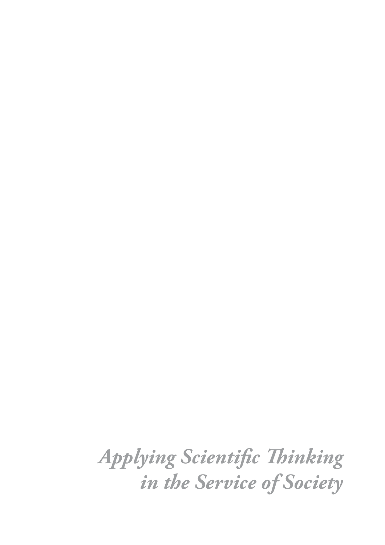*Applying the Service of Society in the Service of Society*